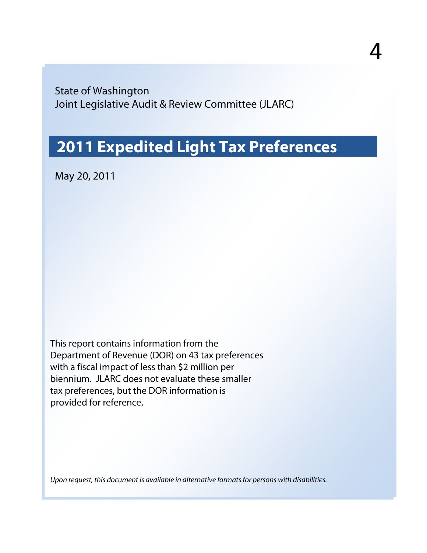State of Washington Joint Legislative Audit & Review Committee (JLARC)

### **2011 Expedited Light Tax Preferences**

May 20, 2011

This report contains information from the Department of Revenue (DOR) on 43 tax preferences with a fiscal impact of less than \$2 million per biennium. JLARC does not evaluate these smaller tax preferences, but the DOR information is provided for reference.

*Upon request, this document is available in alternative formats for persons with disabilities.*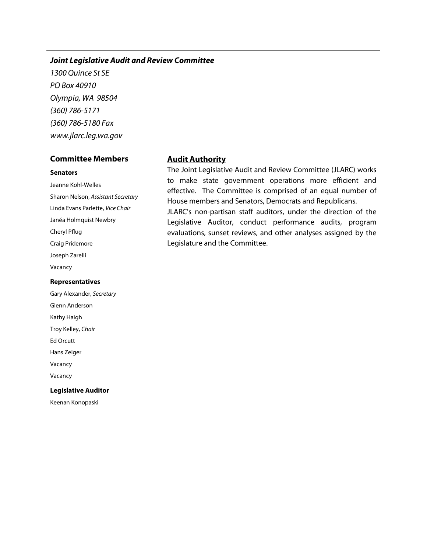#### *Joint Legislative Audit and Review Committee*

*1300 Quince St SE PO Box 40910 Olympia, WA 98504 (360) 786-5171 (360) 786-5180 Fax www.jlarc.leg.wa.gov*

#### **Committee Members Audit Authority**

#### **Senators**

Jeanne Kohl-Welles Sharon Nelson, *Assistant Secretary* Linda Evans Parlette, *Vice Chair* Janéa Holmquist Newbry Cheryl Pflug Craig Pridemore Joseph Zarelli Vacancy

#### **Representatives**

Gary Alexander, *Secretary* Glenn Anderson Kathy Haigh Troy Kelley, *Chair* Ed Orcutt Hans Zeiger Vacancy Vacancy **Legislative Auditor**

Keenan Konopaski

The Joint Legislative Audit and Review Committee (JLARC) works to make state government operations more efficient and effective. The Committee is comprised of an equal number of House members and Senators, Democrats and Republicans.

JLARC's non-partisan staff auditors, under the direction of the Legislative Auditor, conduct performance audits, program evaluations, sunset reviews, and other analyses assigned by the Legislature and the Committee.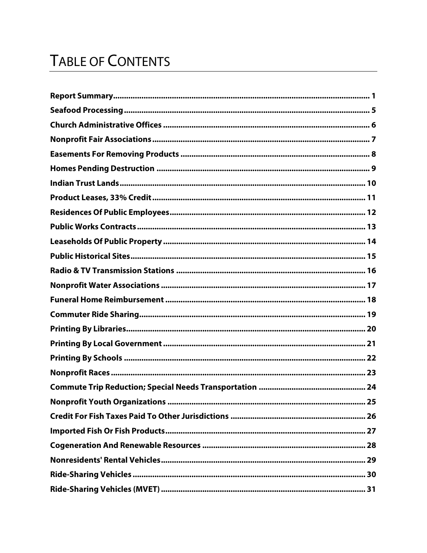## **TABLE OF CONTENTS**

| Radio & TV Transmission Stations ……………………………………………………………………………… 16 |
|--------------------------------------------------------------------|
|                                                                    |
|                                                                    |
|                                                                    |
|                                                                    |
|                                                                    |
|                                                                    |
|                                                                    |
|                                                                    |
| 25                                                                 |
|                                                                    |
|                                                                    |
|                                                                    |
|                                                                    |
|                                                                    |
|                                                                    |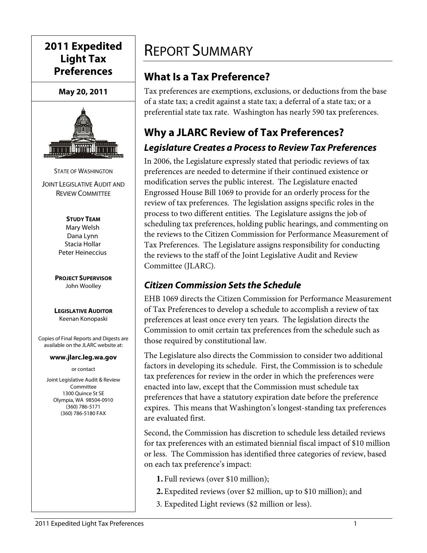### **2011 Expedited Light Tax Preferences**

**May 20, 2011**



STATE OF WASHINGTON JOINT LEGISLATIVE AUDIT AND REVIEW COMMITTEE

> **STUDY TEAM** Mary Welsh Dana Lynn Stacia Hollar Peter Heineccius

**PROJECT SUPERVISOR** John Woolley

**LEGISLATIVE AUDITOR** Keenan Konopaski

Copies of Final Reports and Digests are available on the JLARC website at:

#### **www.jlarc.leg.wa.gov**

or contact

Joint Legislative Audit & Review Committee 1300 Quince St SE Olympia, WA 98504-0910 (360) 786-5171 (360) 786-5180 FAX

### <span id="page-4-0"></span>REPORT SUMMARY

### **What Is a Tax Preference?**

Tax preferences are exemptions, exclusions, or deductions from the base of a state tax; a credit against a state tax; a deferral of a state tax; or a preferential state tax rate. Washington has nearly 590 tax preferences.

### **Why a JLARC Review of Tax Preferences?** *Legislature Creates a Process to Review Tax Preferences*

In 2006, the Legislature expressly stated that periodic reviews of tax preferences are needed to determine if their continued existence or modification serves the public interest. The Legislature enacted Engrossed House Bill 1069 to provide for an orderly process for the review of tax preferences. The legislation assigns specific roles in the process to two different entities. The Legislature assigns the job of scheduling tax preferences, holding public hearings, and commenting on the reviews to the Citizen Commission for Performance Measurement of Tax Preferences. The Legislature assigns responsibility for conducting the reviews to the staff of the Joint Legislative Audit and Review Committee (JLARC).

#### *Citizen Commission Sets the Schedule*

EHB 1069 directs the Citizen Commission for Performance Measurement of Tax Preferences to develop a schedule to accomplish a review of tax preferences at least once every ten years. The legislation directs the Commission to omit certain tax preferences from the schedule such as those required by constitutional law.

The Legislature also directs the Commission to consider two additional factors in developing its schedule. First, the Commission is to schedule tax preferences for review in the order in which the preferences were enacted into law, except that the Commission must schedule tax preferences that have a statutory expiration date before the preference expires. This means that Washington's longest-standing tax preferences are evaluated first.

Second, the Commission has discretion to schedule less detailed reviews for tax preferences with an estimated biennial fiscal impact of \$10 million or less. The Commission has identified three categories of review, based on each tax preference's impact:

- **1.** Full reviews (over \$10 million);
- **2.**Expedited reviews (over \$2 million, up to \$10 million); and
- 3. Expedited Light reviews (\$2 million or less).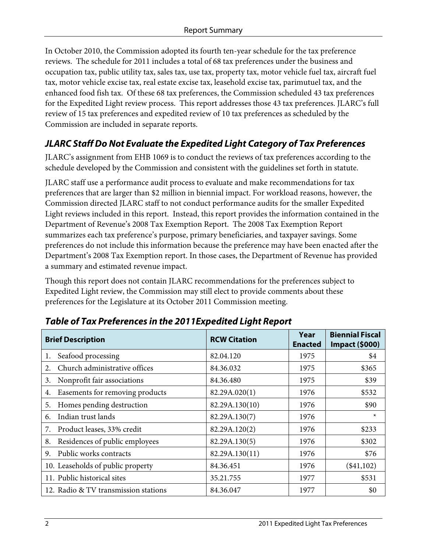In October 2010, the Commission adopted its fourth ten-year schedule for the tax preference reviews. The schedule for 2011 includes a total of 68 tax preferences under the business and occupation tax, public utility tax, sales tax, use tax, property tax, motor vehicle fuel tax, aircraft fuel tax, motor vehicle excise tax, real estate excise tax, leasehold excise tax, parimutuel tax, and the enhanced food fish tax. Of these 68 tax preferences, the Commission scheduled 43 tax preferences for the Expedited Light review process. This report addresses those 43 tax preferences. JLARC's full review of 15 tax preferences and expedited review of 10 tax preferences as scheduled by the Commission are included in separate reports.

#### *JLARC Staff Do Not Evaluate the Expedited Light Category of Tax Preferences*

JLARC's assignment from EHB 1069 is to conduct the reviews of tax preferences according to the schedule developed by the Commission and consistent with the guidelines set forth in statute.

JLARC staff use a performance audit process to evaluate and make recommendations for tax preferences that are larger than \$2 million in biennial impact. For workload reasons, however, the Commission directed JLARC staff to not conduct performance audits for the smaller Expedited Light reviews included in this report. Instead, this report provides the information contained in the Department of Revenue's 2008 Tax Exemption Report. The 2008 Tax Exemption Report summarizes each tax preference's purpose, primary beneficiaries, and taxpayer savings. Some preferences do not include this information because the preference may have been enacted after the Department's 2008 Tax Exemption report. In those cases, the Department of Revenue has provided a summary and estimated revenue impact.

Though this report does not contain JLARC recommendations for the preferences subject to Expedited Light review, the Commission may still elect to provide comments about these preferences for the Legislature at its October 2011 Commission meeting.

| <b>Brief Description</b>              | <b>RCW Citation</b> | Year<br><b>Enacted</b> | <b>Biennial Fiscal</b><br><b>Impact (\$000)</b> |
|---------------------------------------|---------------------|------------------------|-------------------------------------------------|
| Seafood processing<br>1.              | 82.04.120           | 1975                   | \$4                                             |
| Church administrative offices<br>2.   | 84.36.032           | 1975                   | \$365                                           |
| Nonprofit fair associations<br>3.     | 84.36.480           | 1975                   | \$39                                            |
| Easements for removing products<br>4. | 82.29A.020(1)       | 1976                   | \$532                                           |
| Homes pending destruction<br>5.       | 82.29A.130(10)      | 1976                   | \$90                                            |
| Indian trust lands<br>6.              | 82.29A.130(7)       | 1976                   | $\ast$                                          |
| Product leases, 33% credit<br>7.      | 82.29A.120(2)       | 1976                   | \$233                                           |
| Residences of public employees<br>8.  | 82.29A.130(5)       | 1976                   | \$302                                           |
| Public works contracts<br>9.          | 82.29A.130(11)      | 1976                   | \$76                                            |
| 10. Leaseholds of public property     | 84.36.451           | 1976                   | $(\$41,102)$                                    |
| 11. Public historical sites           | 35.21.755           | 1977                   | \$531                                           |
| 12. Radio & TV transmission stations  | 84.36.047           | 1977                   | \$0                                             |

#### *Table of Tax Preferences in the 2011Expedited Light Report*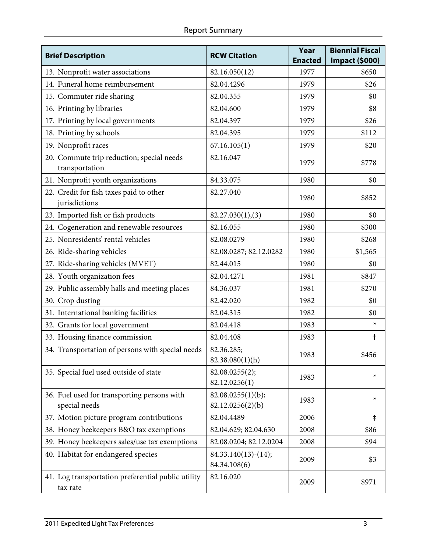| <b>Brief Description</b>                                       | <b>RCW Citation</b>                   | Year<br><b>Enacted</b> | <b>Biennial Fiscal</b><br><b>Impact (\$000)</b> |
|----------------------------------------------------------------|---------------------------------------|------------------------|-------------------------------------------------|
| 13. Nonprofit water associations                               | 82.16.050(12)                         | 1977                   | \$650                                           |
| 14. Funeral home reimbursement                                 | 82.04.4296                            | 1979                   | \$26                                            |
| 15. Commuter ride sharing                                      | 82.04.355                             | 1979                   | \$0                                             |
| 16. Printing by libraries                                      | 82.04.600                             | 1979                   | \$8                                             |
| 17. Printing by local governments                              | 82.04.397                             | 1979                   | \$26                                            |
| 18. Printing by schools                                        | 82.04.395                             | 1979                   | \$112                                           |
| 19. Nonprofit races                                            | 67.16.105(1)                          | 1979                   | \$20                                            |
| 20. Commute trip reduction; special needs<br>transportation    | 82.16.047                             | 1979                   | \$778                                           |
| 21. Nonprofit youth organizations                              | 84.33.075                             | 1980                   | \$0                                             |
| 22. Credit for fish taxes paid to other<br>jurisdictions       | 82.27.040                             | 1980                   | \$852                                           |
| 23. Imported fish or fish products                             | 82.27.030(1), (3)                     | 1980                   | \$0                                             |
| 24. Cogeneration and renewable resources                       | 82.16.055                             | 1980                   | \$300                                           |
| 25. Nonresidents' rental vehicles                              | 82.08.0279                            | 1980                   | \$268                                           |
| 26. Ride-sharing vehicles                                      | 82.08.0287; 82.12.0282                | 1980                   | \$1,565                                         |
| 27. Ride-sharing vehicles (MVET)                               | 82.44.015                             | 1980                   | \$0                                             |
| 28. Youth organization fees                                    | 82.04.4271                            | 1981                   | \$847                                           |
| 29. Public assembly halls and meeting places                   | 84.36.037                             | 1981                   | \$270                                           |
| 30. Crop dusting                                               | 82.42.020                             | 1982                   | \$0                                             |
| 31. International banking facilities                           | 82.04.315                             | 1982                   | \$0                                             |
| 32. Grants for local government                                | 82.04.418                             | 1983                   | $\star$                                         |
| 33. Housing finance commission                                 | 82.04.408                             | 1983                   | t                                               |
| 34. Transportation of persons with special needs               | 82.36.285;<br>82.38.080(1)(h)         | 1983                   | \$456                                           |
| 35. Special fuel used outside of state                         | 82.08.0255(2);<br>82.12.0256(1)       | 1983                   | $\star$                                         |
| 36. Fuel used for transporting persons with<br>special needs   | 82.08.0255(1)(b);<br>82.12.0256(2)(b) | 1983                   | $\star$                                         |
| 37. Motion picture program contributions                       | 82.04.4489                            | 2006                   | $\ddagger$                                      |
| 38. Honey beekeepers B&O tax exemptions                        | 82.04.629; 82.04.630                  | 2008                   | \$86                                            |
| 39. Honey beekeepers sales/use tax exemptions                  | 82.08.0204; 82.12.0204                | 2008                   | \$94                                            |
| 40. Habitat for endangered species                             | $84.33.140(13)-(14);$<br>84.34.108(6) | 2009                   | \$3                                             |
| 41. Log transportation preferential public utility<br>tax rate | 82.16.020                             | 2009                   | \$971                                           |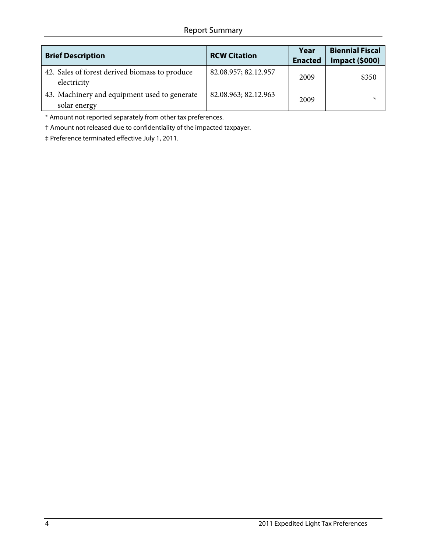#### Report Summary

| <b>Brief Description</b>                                      | <b>RCW Citation</b>  | Year<br><b>Enacted</b> | <b>Biennial Fiscal</b><br><b>Impact (\$000)</b> |
|---------------------------------------------------------------|----------------------|------------------------|-------------------------------------------------|
| 42. Sales of forest derived biomass to produce<br>electricity | 82.08.957; 82.12.957 | 2009                   | \$350                                           |
| 43. Machinery and equipment used to generate<br>solar energy  | 82.08.963; 82.12.963 | 2009                   |                                                 |

\* Amount not reported separately from other tax preferences.

† Amount not released due to confidentiality of the impacted taxpayer.

‡ Preference terminated effective July 1, 2011.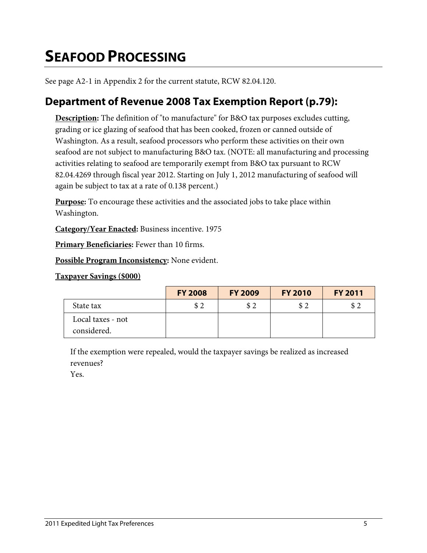## <span id="page-8-0"></span>**SEAFOOD PROCESSING**

See page A2-1 in Appendix 2 for the current statute, RCW 82.04.120.

### **Department of Revenue 2008 Tax Exemption Report (p.79):**

**Description:** The definition of "to manufacture" for B&O tax purposes excludes cutting, grading or ice glazing of seafood that has been cooked, frozen or canned outside of Washington. As a result, seafood processors who perform these activities on their own seafood are not subject to manufacturing B&O tax. (NOTE: all manufacturing and processing activities relating to seafood are temporarily exempt from B&O tax pursuant to RCW 82.04.4269 through fiscal year 2012. Starting on July 1, 2012 manufacturing of seafood will again be subject to tax at a rate of 0.138 percent.)

**Purpose:** To encourage these activities and the associated jobs to take place within Washington.

**Category/Year Enacted:** Business incentive. 1975

**Primary Beneficiaries:** Fewer than 10 firms.

**Possible Program Inconsistency:** None evident.

#### **Taxpayer Savings (\$000)**

|                                  | <b>FY 2008</b> | <b>FY 2009</b> | <b>FY 2010</b> | <b>FY 2011</b> |
|----------------------------------|----------------|----------------|----------------|----------------|
| State tax                        | \$2            | \$2            | \$2            | \$2            |
| Local taxes - not<br>considered. |                |                |                |                |

If the exemption were repealed, would the taxpayer savings be realized as increased revenues?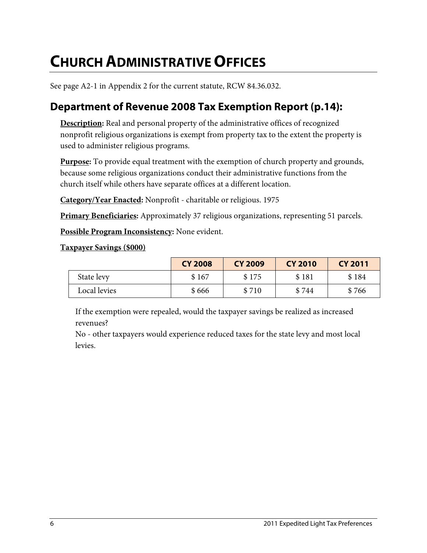## <span id="page-9-0"></span>**CHURCH ADMINISTRATIVE OFFICES**

See page A2-1 in Appendix 2 for the current statute, RCW 84.36.032.

### **Department of Revenue 2008 Tax Exemption Report (p.14):**

**Description:** Real and personal property of the administrative offices of recognized nonprofit religious organizations is exempt from property tax to the extent the property is used to administer religious programs.

**Purpose:** To provide equal treatment with the exemption of church property and grounds, because some religious organizations conduct their administrative functions from the church itself while others have separate offices at a different location.

**Category/Year Enacted:** Nonprofit - charitable or religious. 1975

**Primary Beneficiaries:** Approximately 37 religious organizations, representing 51 parcels.

**Possible Program Inconsistency:** None evident.

#### **Taxpayer Savings (\$000)**

|              | <b>CY 2008</b> | <b>CY 2009</b> | <b>CY 2010</b> | <b>CY 2011</b> |
|--------------|----------------|----------------|----------------|----------------|
| State levy   | \$167          | \$175          | \$181          | \$184          |
| Local levies | \$666          | \$710          | \$744          | \$766          |

If the exemption were repealed, would the taxpayer savings be realized as increased revenues?

No - other taxpayers would experience reduced taxes for the state levy and most local levies.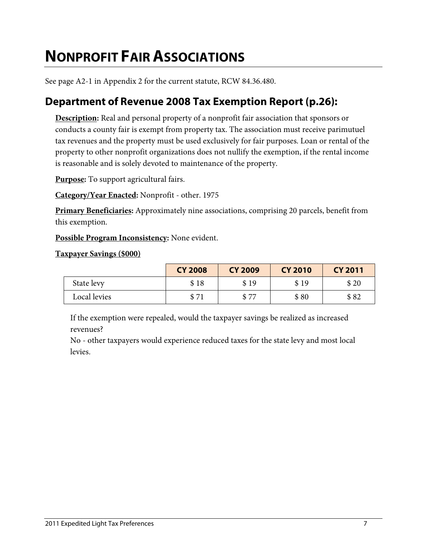## <span id="page-10-0"></span>**NONPROFIT FAIR ASSOCIATIONS**

See page A2-1 in Appendix 2 for the current statute, RCW 84.36.480.

### **Department of Revenue 2008 Tax Exemption Report (p.26):**

**Description:** Real and personal property of a nonprofit fair association that sponsors or conducts a county fair is exempt from property tax. The association must receive parimutuel tax revenues and the property must be used exclusively for fair purposes. Loan or rental of the property to other nonprofit organizations does not nullify the exemption, if the rental income is reasonable and is solely devoted to maintenance of the property.

**Purpose:** To support agricultural fairs.

**Category/Year Enacted:** Nonprofit - other. 1975

**Primary Beneficiaries:** Approximately nine associations, comprising 20 parcels, benefit from this exemption.

**Possible Program Inconsistency:** None evident.

#### **Taxpayer Savings (\$000)**

|              | <b>CY 2008</b> | <b>CY 2009</b> | <b>CY 2010</b> | <b>CY 2011</b> |
|--------------|----------------|----------------|----------------|----------------|
| State levy   | \$18           | \$19           | \$19           | \$20           |
| Local levies | \$71           | \$77           | \$80           | \$82           |

If the exemption were repealed, would the taxpayer savings be realized as increased revenues?

No - other taxpayers would experience reduced taxes for the state levy and most local levies.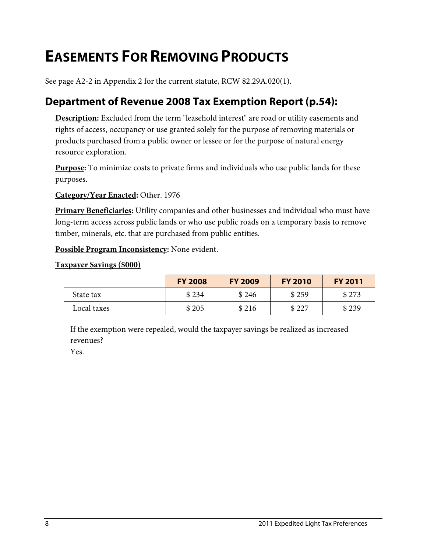## <span id="page-11-0"></span>**EASEMENTS FOR REMOVING PRODUCTS**

See page A2-2 in Appendix 2 for the current statute, RCW 82.29A.020(1).

### **Department of Revenue 2008 Tax Exemption Report (p.54):**

**Description:** Excluded from the term "leasehold interest" are road or utility easements and rights of access, occupancy or use granted solely for the purpose of removing materials or products purchased from a public owner or lessee or for the purpose of natural energy resource exploration.

**Purpose:** To minimize costs to private firms and individuals who use public lands for these purposes.

**Category/Year Enacted:** Other. 1976

**Primary Beneficiaries:** Utility companies and other businesses and individual who must have long-term access across public lands or who use public roads on a temporary basis to remove timber, minerals, etc. that are purchased from public entities.

**Possible Program Inconsistency:** None evident.

#### **Taxpayer Savings (\$000)**

|             | <b>FY 2008</b> | <b>FY 2009</b> | <b>FY 2010</b> | <b>FY 2011</b> |
|-------------|----------------|----------------|----------------|----------------|
| State tax   | \$234          | \$246          | \$259          | \$273          |
| Local taxes | \$205          | \$216          | \$227          | \$239          |

If the exemption were repealed, would the taxpayer savings be realized as increased revenues?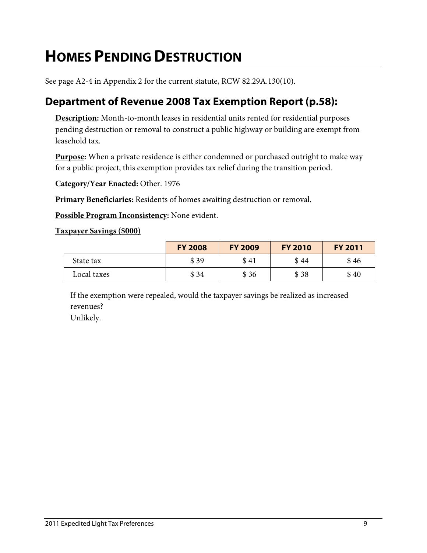## <span id="page-12-0"></span>**HOMES PENDING DESTRUCTION**

See page A2-4 in Appendix 2 for the current statute, RCW 82.29A.130(10).

### **Department of Revenue 2008 Tax Exemption Report (p.58):**

**Description:** Month-to-month leases in residential units rented for residential purposes pending destruction or removal to construct a public highway or building are exempt from leasehold tax.

**Purpose:** When a private residence is either condemned or purchased outright to make way for a public project, this exemption provides tax relief during the transition period.

**Category/Year Enacted:** Other. 1976

**Primary Beneficiaries:** Residents of homes awaiting destruction or removal.

**Possible Program Inconsistency:** None evident.

#### **Taxpayer Savings (\$000)**

|             | <b>FY 2008</b> | <b>FY 2009</b> | <b>FY 2010</b> | <b>FY 2011</b> |
|-------------|----------------|----------------|----------------|----------------|
| State tax   | \$39           | \$41           | \$44           | \$46           |
| Local taxes | \$34           | \$36           | \$38           | \$40           |

If the exemption were repealed, would the taxpayer savings be realized as increased revenues? Unlikely.

2011 Expedited Light Tax Preferences 9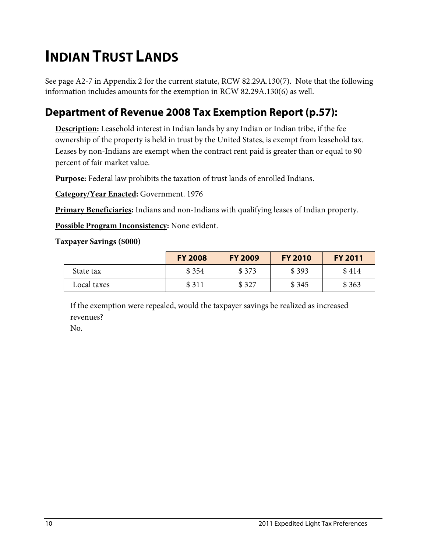## <span id="page-13-0"></span>**INDIAN TRUST LANDS**

See page A2-7 in Appendix 2 for the current statute, RCW 82.29A.130(7). Note that the following information includes amounts for the exemption in RCW 82.29A.130(6) as well.

### **Department of Revenue 2008 Tax Exemption Report (p.57):**

**Description:** Leasehold interest in Indian lands by any Indian or Indian tribe, if the fee ownership of the property is held in trust by the United States, is exempt from leasehold tax. Leases by non-Indians are exempt when the contract rent paid is greater than or equal to 90 percent of fair market value.

**Purpose:** Federal law prohibits the taxation of trust lands of enrolled Indians.

**Category/Year Enacted:** Government. 1976

**Primary Beneficiaries:** Indians and non-Indians with qualifying leases of Indian property.

**Possible Program Inconsistency:** None evident.

#### **Taxpayer Savings (\$000)**

|             | <b>FY 2008</b> | <b>FY 2009</b> | <b>FY 2010</b> | <b>FY 2011</b> |
|-------------|----------------|----------------|----------------|----------------|
| State tax   | \$354          | \$373          | \$393          | \$414          |
| Local taxes | \$311          | \$327          | \$345          | \$363          |

If the exemption were repealed, would the taxpayer savings be realized as increased revenues?

No.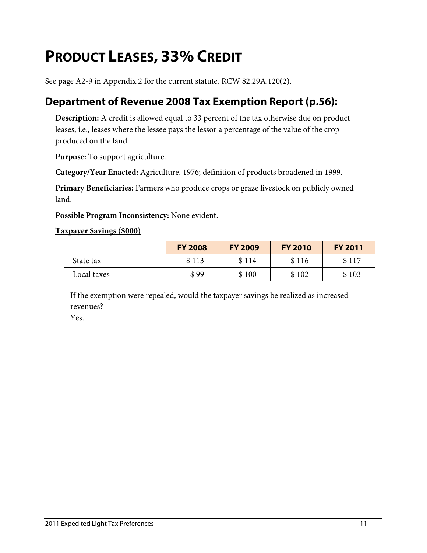## <span id="page-14-0"></span>**PRODUCT LEASES, 33% CREDIT**

See page A2-9 in Appendix 2 for the current statute, RCW 82.29A.120(2).

### **Department of Revenue 2008 Tax Exemption Report (p.56):**

**Description:** A credit is allowed equal to 33 percent of the tax otherwise due on product leases, i.e., leases where the lessee pays the lessor a percentage of the value of the crop produced on the land.

**Purpose:** To support agriculture.

**Category/Year Enacted:** Agriculture. 1976; definition of products broadened in 1999.

**Primary Beneficiaries:** Farmers who produce crops or graze livestock on publicly owned land.

**Possible Program Inconsistency:** None evident.

#### **Taxpayer Savings (\$000)**

|             | <b>FY 2008</b> | <b>FY 2009</b> | <b>FY 2010</b> | <b>FY 2011</b> |
|-------------|----------------|----------------|----------------|----------------|
| State tax   | \$113          | \$114          | \$116          | \$117          |
| Local taxes | \$99           | \$100          | \$102          | \$103          |

If the exemption were repealed, would the taxpayer savings be realized as increased revenues?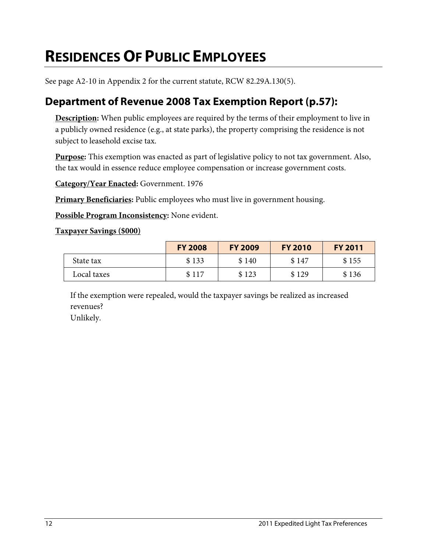## <span id="page-15-0"></span>**RESIDENCES OF PUBLIC EMPLOYEES**

See page A2-10 in Appendix 2 for the current statute, RCW 82.29A.130(5).

### **Department of Revenue 2008 Tax Exemption Report (p.57):**

**Description:** When public employees are required by the terms of their employment to live in a publicly owned residence (e.g., at state parks), the property comprising the residence is not subject to leasehold excise tax.

**Purpose:** This exemption was enacted as part of legislative policy to not tax government. Also, the tax would in essence reduce employee compensation or increase government costs.

**Category/Year Enacted:** Government. 1976

**Primary Beneficiaries:** Public employees who must live in government housing.

**Possible Program Inconsistency:** None evident.

#### **Taxpayer Savings (\$000)**

|             | <b>FY 2008</b> | <b>FY 2009</b> | <b>FY 2010</b> | <b>FY 2011</b> |
|-------------|----------------|----------------|----------------|----------------|
| State tax   | \$133          | \$140          | \$147          | \$155          |
| Local taxes | \$117          | \$123          | \$129          | \$136          |

If the exemption were repealed, would the taxpayer savings be realized as increased revenues? Unlikely.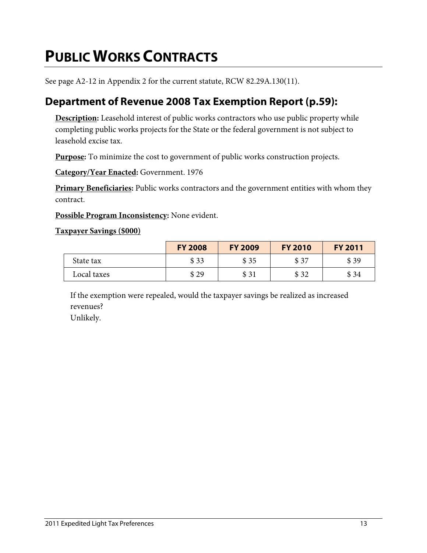## <span id="page-16-0"></span>**PUBLIC WORKS CONTRACTS**

See page A2-12 in Appendix 2 for the current statute, RCW 82.29A.130(11).

### **Department of Revenue 2008 Tax Exemption Report (p.59):**

**Description:** Leasehold interest of public works contractors who use public property while completing public works projects for the State or the federal government is not subject to leasehold excise tax.

**Purpose:** To minimize the cost to government of public works construction projects.

**Category/Year Enacted:** Government. 1976

**Primary Beneficiaries:** Public works contractors and the government entities with whom they contract.

**Possible Program Inconsistency:** None evident.

#### **Taxpayer Savings (\$000)**

|             | <b>FY 2008</b> | <b>FY 2009</b> | <b>FY 2010</b> | <b>FY 2011</b> |
|-------------|----------------|----------------|----------------|----------------|
| State tax   | \$33           | \$35           | \$37           | \$39           |
| Local taxes | \$29           | \$31           | \$32           | \$ 34          |

If the exemption were repealed, would the taxpayer savings be realized as increased revenues?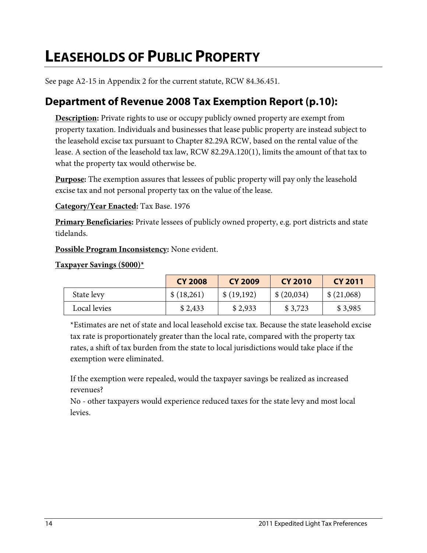## <span id="page-17-0"></span>**LEASEHOLDS OF PUBLIC PROPERTY**

See page A2-15 in Appendix 2 for the current statute, RCW 84.36.451.

### **Department of Revenue 2008 Tax Exemption Report (p.10):**

**Description:** Private rights to use or occupy publicly owned property are exempt from property taxation. Individuals and businesses that lease public property are instead subject to the leasehold excise tax pursuant to Chapter 82.29A RCW, based on the rental value of the lease. A section of the leasehold tax law, RCW 82.29A.120(1), limits the amount of that tax to what the property tax would otherwise be.

**Purpose:** The exemption assures that lessees of public property will pay only the leasehold excise tax and not personal property tax on the value of the lease.

**Category/Year Enacted:** Tax Base. 1976

**Primary Beneficiaries:** Private lessees of publicly owned property, e.g. port districts and state tidelands.

**Possible Program Inconsistency:** None evident.

**Taxpayer Savings (\$000)\***

|              | <b>CY 2008</b> | CY 2009    | <b>CY 2010</b> | CY 2011    |
|--------------|----------------|------------|----------------|------------|
| State levy   | \$(18,261)     | \$(19,192) | \$(20,034)     | \$(21,068) |
| Local levies | \$2,433        | \$2,933    | \$3,723        | \$3,985    |

\*Estimates are net of state and local leasehold excise tax. Because the state leasehold excise tax rate is proportionately greater than the local rate, compared with the property tax rates, a shift of tax burden from the state to local jurisdictions would take place if the exemption were eliminated.

If the exemption were repealed, would the taxpayer savings be realized as increased revenues?

No - other taxpayers would experience reduced taxes for the state levy and most local levies.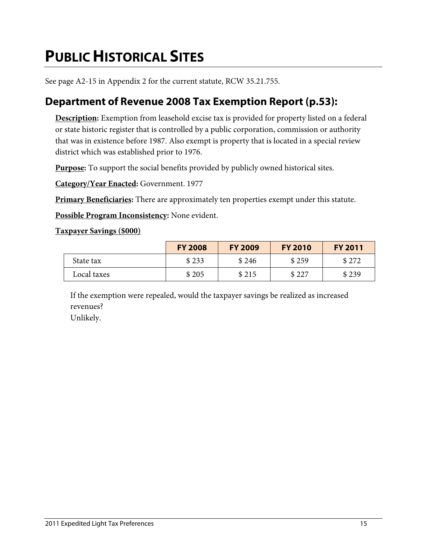## <span id="page-18-0"></span>**PUBLIC HISTORICAL SITES**

See page A2-15 in Appendix 2 for the current statute, RCW 35.21.755.

### **Department of Revenue 2008 Tax Exemption Report (p.53):**

**Description:** Exemption from leasehold excise tax is provided for property listed on a federal or state historic register that is controlled by a public corporation, commission or authority that was in existence before 1987. Also exempt is property that is located in a special review district which was established prior to 1976.

**Purpose:** To support the social benefits provided by publicly owned historical sites.

**Category/Year Enacted:** Government. 1977

**Primary Beneficiaries:** There are approximately ten properties exempt under this statute.

**Possible Program Inconsistency:** None evident.

#### **Taxpayer Savings (\$000)**

|             | <b>FY 2008</b> | <b>FY 2009</b> | <b>FY 2010</b> | <b>FY 2011</b> |
|-------------|----------------|----------------|----------------|----------------|
| State tax   | \$233          | \$246          | \$259          | \$272          |
| Local taxes | \$205          | \$215          | \$227          | \$239          |

If the exemption were repealed, would the taxpayer savings be realized as increased revenues? Unlikely.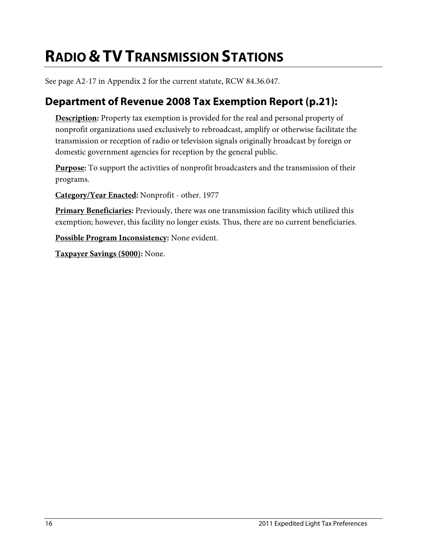## <span id="page-19-0"></span>**RADIO &TV TRANSMISSION STATIONS**

See page A2-17 in Appendix 2 for the current statute, RCW 84.36.047.

### **Department of Revenue 2008 Tax Exemption Report (p.21):**

**Description:** Property tax exemption is provided for the real and personal property of nonprofit organizations used exclusively to rebroadcast, amplify or otherwise facilitate the transmission or reception of radio or television signals originally broadcast by foreign or domestic government agencies for reception by the general public.

**Purpose:** To support the activities of nonprofit broadcasters and the transmission of their programs.

**Category/Year Enacted:** Nonprofit - other. 1977

**Primary Beneficiaries:** Previously, there was one transmission facility which utilized this exemption; however, this facility no longer exists. Thus, there are no current beneficiaries.

**Possible Program Inconsistency:** None evident.

**Taxpayer Savings (\$000):** None.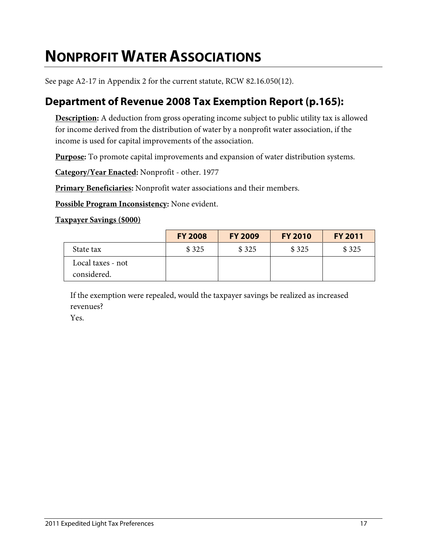## <span id="page-20-0"></span>**NONPROFIT WATER ASSOCIATIONS**

See page A2-17 in Appendix 2 for the current statute, RCW 82.16.050(12).

### **Department of Revenue 2008 Tax Exemption Report (p.165):**

**Description:** A deduction from gross operating income subject to public utility tax is allowed for income derived from the distribution of water by a nonprofit water association, if the income is used for capital improvements of the association.

**Purpose:** To promote capital improvements and expansion of water distribution systems.

**Category/Year Enacted:** Nonprofit - other. 1977

**Primary Beneficiaries:** Nonprofit water associations and their members.

**Possible Program Inconsistency:** None evident.

#### **Taxpayer Savings (\$000)**

|                                  | <b>FY 2008</b> | <b>FY 2009</b> | <b>FY 2010</b> | <b>FY 2011</b> |
|----------------------------------|----------------|----------------|----------------|----------------|
| State tax                        | \$325          | \$325          | \$325          | \$325          |
| Local taxes - not<br>considered. |                |                |                |                |

If the exemption were repealed, would the taxpayer savings be realized as increased revenues?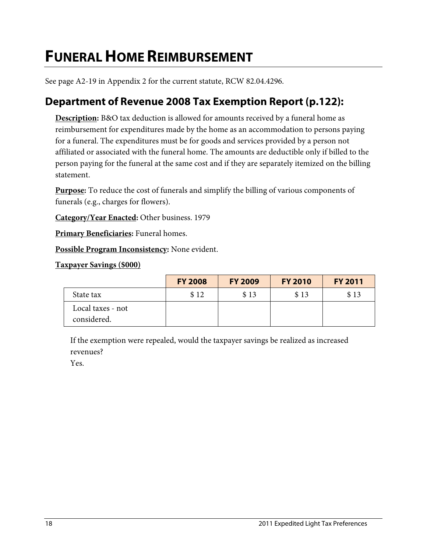## <span id="page-21-0"></span>**FUNERAL HOME REIMBURSEMENT**

See page A2-19 in Appendix 2 for the current statute, RCW 82.04.4296.

### **Department of Revenue 2008 Tax Exemption Report (p.122):**

**Description:** B&O tax deduction is allowed for amounts received by a funeral home as reimbursement for expenditures made by the home as an accommodation to persons paying for a funeral. The expenditures must be for goods and services provided by a person not affiliated or associated with the funeral home. The amounts are deductible only if billed to the person paying for the funeral at the same cost and if they are separately itemized on the billing statement.

**Purpose:** To reduce the cost of funerals and simplify the billing of various components of funerals (e.g., charges for flowers).

**Category/Year Enacted:** Other business. 1979

**Primary Beneficiaries:** Funeral homes.

**Possible Program Inconsistency:** None evident.

**Taxpayer Savings (\$000)**

|                                  | <b>FY 2008</b> | <b>FY 2009</b> | <b>FY 2010</b> | <b>FY 2011</b> |
|----------------------------------|----------------|----------------|----------------|----------------|
| State tax                        | \$12           | \$13           | \$13           | \$13           |
| Local taxes - not<br>considered. |                |                |                |                |

If the exemption were repealed, would the taxpayer savings be realized as increased revenues?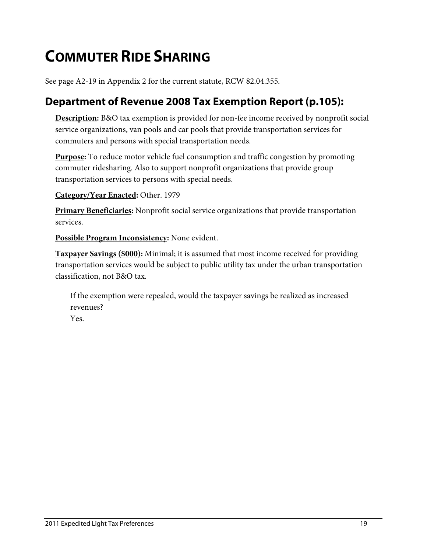## <span id="page-22-0"></span>**COMMUTER RIDE SHARING**

See page A2-19 in Appendix 2 for the current statute, RCW 82.04.355.

### **Department of Revenue 2008 Tax Exemption Report (p.105):**

**Description:** B&O tax exemption is provided for non-fee income received by nonprofit social service organizations, van pools and car pools that provide transportation services for commuters and persons with special transportation needs.

**Purpose:** To reduce motor vehicle fuel consumption and traffic congestion by promoting commuter ridesharing. Also to support nonprofit organizations that provide group transportation services to persons with special needs.

**Category/Year Enacted:** Other. 1979

**Primary Beneficiaries:** Nonprofit social service organizations that provide transportation services.

**Possible Program Inconsistency:** None evident.

**Taxpayer Savings (\$000):** Minimal; it is assumed that most income received for providing transportation services would be subject to public utility tax under the urban transportation classification, not B&O tax.

If the exemption were repealed, would the taxpayer savings be realized as increased revenues? Yes.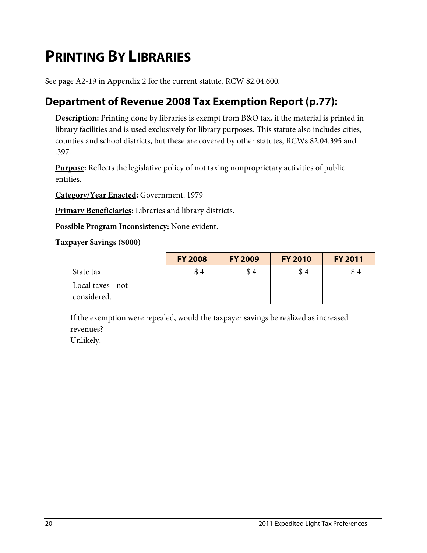## <span id="page-23-0"></span>**PRINTING BY LIBRARIES**

See page A2-19 in Appendix 2 for the current statute, RCW 82.04.600.

### **Department of Revenue 2008 Tax Exemption Report (p.77):**

**Description:** Printing done by libraries is exempt from B&O tax, if the material is printed in library facilities and is used exclusively for library purposes. This statute also includes cities, counties and school districts, but these are covered by other statutes, RCWs 82.04.395 and .397.

**Purpose:** Reflects the legislative policy of not taxing nonproprietary activities of public entities.

**Category/Year Enacted:** Government. 1979

**Primary Beneficiaries:** Libraries and library districts.

**Possible Program Inconsistency:** None evident.

#### **Taxpayer Savings (\$000)**

|                                  | <b>FY 2008</b> | <b>FY 2009</b> | <b>FY 2010</b> | <b>FY 2011</b> |
|----------------------------------|----------------|----------------|----------------|----------------|
| State tax                        | \$4            | \$4            | \$4            | \$4            |
| Local taxes - not<br>considered. |                |                |                |                |

If the exemption were repealed, would the taxpayer savings be realized as increased revenues?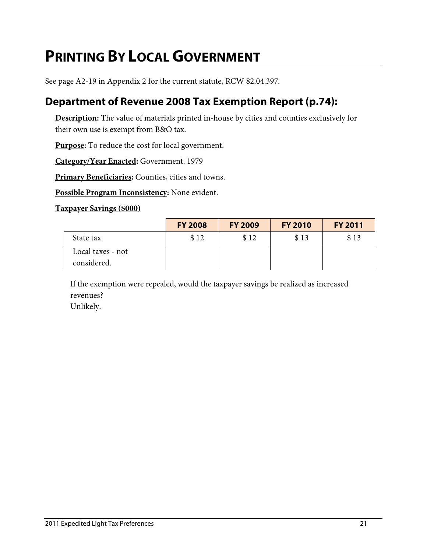## <span id="page-24-0"></span>**PRINTING BY LOCAL GOVERNMENT**

See page A2-19 in Appendix 2 for the current statute, RCW 82.04.397.

### **Department of Revenue 2008 Tax Exemption Report (p.74):**

**Description:** The value of materials printed in-house by cities and counties exclusively for their own use is exempt from B&O tax.

**Purpose:** To reduce the cost for local government.

**Category/Year Enacted:** Government. 1979

**Primary Beneficiaries:** Counties, cities and towns.

**Possible Program Inconsistency:** None evident.

#### **Taxpayer Savings (\$000)**

|                                  | <b>FY 2008</b> | <b>FY 2009</b> | <b>FY 2010</b> | <b>FY 2011</b> |
|----------------------------------|----------------|----------------|----------------|----------------|
| State tax                        | \$12           | \$12           | \$13           | \$13           |
| Local taxes - not<br>considered. |                |                |                |                |

If the exemption were repealed, would the taxpayer savings be realized as increased revenues?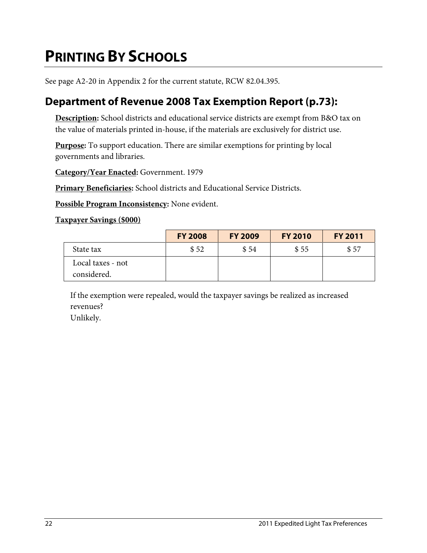## <span id="page-25-0"></span>**PRINTING BY SCHOOLS**

See page A2-20 in Appendix 2 for the current statute, RCW 82.04.395.

### **Department of Revenue 2008 Tax Exemption Report (p.73):**

**Description:** School districts and educational service districts are exempt from B&O tax on the value of materials printed in-house, if the materials are exclusively for district use.

**Purpose:** To support education. There are similar exemptions for printing by local governments and libraries.

**Category/Year Enacted:** Government. 1979

**Primary Beneficiaries:** School districts and Educational Service Districts.

**Possible Program Inconsistency:** None evident.

#### **Taxpayer Savings (\$000)**

|                                  | <b>FY 2008</b> | <b>FY 2009</b> | <b>FY 2010</b> | <b>FY 2011</b> |
|----------------------------------|----------------|----------------|----------------|----------------|
| State tax                        | \$52           | \$54           | \$55           | \$57           |
| Local taxes - not<br>considered. |                |                |                |                |

If the exemption were repealed, would the taxpayer savings be realized as increased revenues?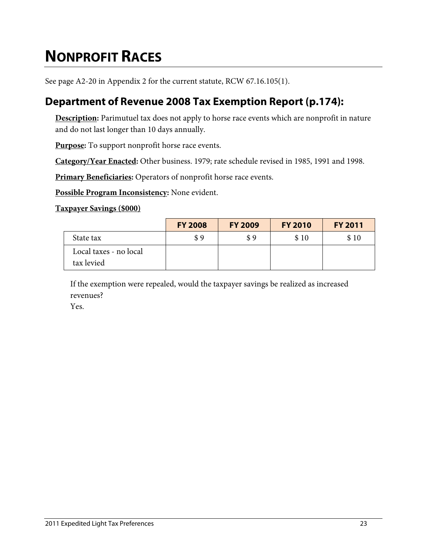# <span id="page-26-0"></span>**NONPROFIT RACES**

See page A2-20 in Appendix 2 for the current statute, RCW 67.16.105(1).

### **Department of Revenue 2008 Tax Exemption Report (p.174):**

**Description:** Parimutuel tax does not apply to horse race events which are nonprofit in nature and do not last longer than 10 days annually.

**Purpose:** To support nonprofit horse race events.

**Category/Year Enacted:** Other business. 1979; rate schedule revised in 1985, 1991 and 1998.

**Primary Beneficiaries:** Operators of nonprofit horse race events.

**Possible Program Inconsistency:** None evident.

#### **Taxpayer Savings (\$000)**

|                                      | <b>FY 2008</b> | <b>FY 2009</b> | <b>FY 2010</b> | <b>FY 2011</b> |
|--------------------------------------|----------------|----------------|----------------|----------------|
| State tax                            | \$9            | \$9            | \$10           | \$10           |
| Local taxes - no local<br>tax levied |                |                |                |                |

If the exemption were repealed, would the taxpayer savings be realized as increased revenues?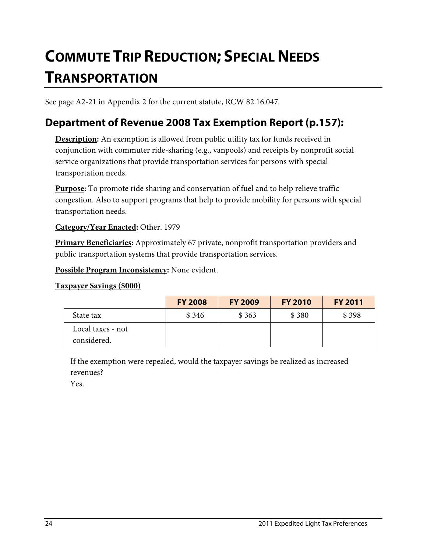# <span id="page-27-0"></span>**COMMUTE TRIP REDUCTION; SPECIAL NEEDS TRANSPORTATION**

See page A2-21 in Appendix 2 for the current statute, RCW 82.16.047.

### **Department of Revenue 2008 Tax Exemption Report (p.157):**

**Description:** An exemption is allowed from public utility tax for funds received in conjunction with commuter ride-sharing (e.g., vanpools) and receipts by nonprofit social service organizations that provide transportation services for persons with special transportation needs.

**Purpose:** To promote ride sharing and conservation of fuel and to help relieve traffic congestion. Also to support programs that help to provide mobility for persons with special transportation needs.

#### **Category/Year Enacted:** Other. 1979

**Primary Beneficiaries:** Approximately 67 private, nonprofit transportation providers and public transportation systems that provide transportation services.

**Possible Program Inconsistency:** None evident.

#### **Taxpayer Savings (\$000)**

|                                  | <b>FY 2008</b> | <b>FY 2009</b> | <b>FY 2010</b> | <b>FY 2011</b> |
|----------------------------------|----------------|----------------|----------------|----------------|
| State tax                        | \$346          | \$363          | \$380          | \$398          |
| Local taxes - not<br>considered. |                |                |                |                |

If the exemption were repealed, would the taxpayer savings be realized as increased revenues?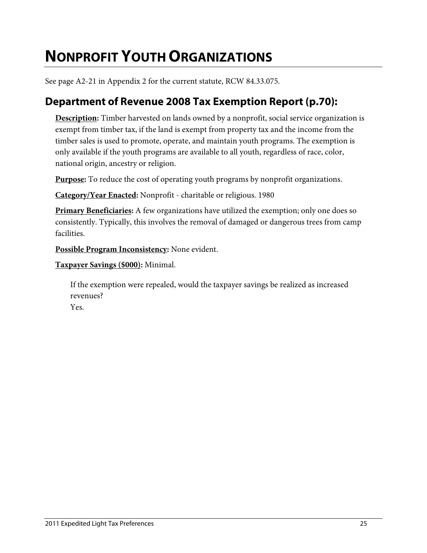## <span id="page-28-0"></span>**NONPROFIT YOUTH ORGANIZATIONS**

See page A2-21 in Appendix 2 for the current statute, RCW 84.33.075.

### **Department of Revenue 2008 Tax Exemption Report (p.70):**

**Description:** Timber harvested on lands owned by a nonprofit, social service organization is exempt from timber tax, if the land is exempt from property tax and the income from the timber sales is used to promote, operate, and maintain youth programs. The exemption is only available if the youth programs are available to all youth, regardless of race, color, national origin, ancestry or religion.

**Purpose:** To reduce the cost of operating youth programs by nonprofit organizations.

**Category/Year Enacted:** Nonprofit - charitable or religious. 1980

**Primary Beneficiaries:** A few organizations have utilized the exemption; only one does so consistently. Typically, this involves the removal of damaged or dangerous trees from camp facilities.

**Possible Program Inconsistency:** None evident.

**Taxpayer Savings (\$000):** Minimal.

If the exemption were repealed, would the taxpayer savings be realized as increased revenues?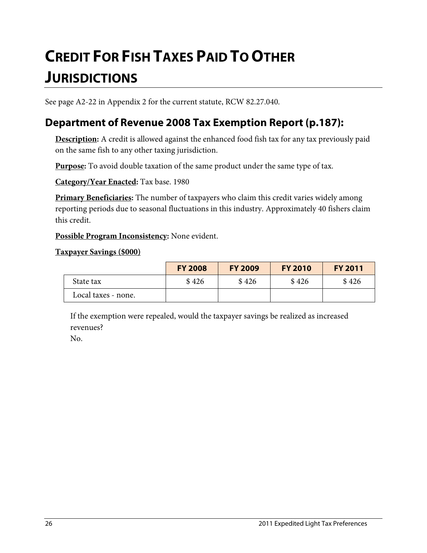# <span id="page-29-0"></span>**CREDIT FOR FISH TAXES PAID TO OTHER JURISDICTIONS**

See page A2-22 in Appendix 2 for the current statute, RCW 82.27.040.

### **Department of Revenue 2008 Tax Exemption Report (p.187):**

**Description:** A credit is allowed against the enhanced food fish tax for any tax previously paid on the same fish to any other taxing jurisdiction.

**Purpose:** To avoid double taxation of the same product under the same type of tax.

**Category/Year Enacted:** Tax base. 1980

**Primary Beneficiaries:** The number of taxpayers who claim this credit varies widely among reporting periods due to seasonal fluctuations in this industry. Approximately 40 fishers claim this credit.

**Possible Program Inconsistency:** None evident.

**Taxpayer Savings (\$000)**

|                     | <b>FY 2008</b> | <b>FY 2009</b> | <b>FY 2010</b> | <b>FY 2011</b> |
|---------------------|----------------|----------------|----------------|----------------|
| State tax           | \$426          | \$426          | \$426          | \$426          |
| Local taxes - none. |                |                |                |                |

If the exemption were repealed, would the taxpayer savings be realized as increased revenues?

No.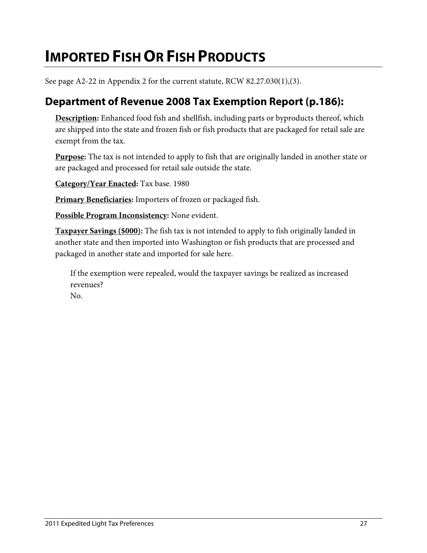## <span id="page-30-0"></span>**IMPORTED FISH OR FISH PRODUCTS**

See page A2-22 in Appendix 2 for the current statute, RCW 82.27.030(1),(3).

### **Department of Revenue 2008 Tax Exemption Report (p.186):**

**Description:** Enhanced food fish and shellfish, including parts or byproducts thereof, which are shipped into the state and frozen fish or fish products that are packaged for retail sale are exempt from the tax.

**Purpose:** The tax is not intended to apply to fish that are originally landed in another state or are packaged and processed for retail sale outside the state.

**Category/Year Enacted:** Tax base. 1980

**Primary Beneficiaries:** Importers of frozen or packaged fish.

**Possible Program Inconsistency:** None evident.

**Taxpayer Savings (\$000):** The fish tax is not intended to apply to fish originally landed in another state and then imported into Washington or fish products that are processed and packaged in another state and imported for sale here.

If the exemption were repealed, would the taxpayer savings be realized as increased revenues?

No.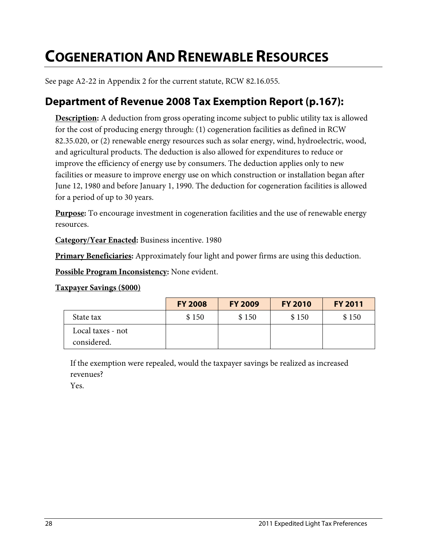## <span id="page-31-0"></span>**COGENERATION AND RENEWABLE RESOURCES**

See page A2-22 in Appendix 2 for the current statute, RCW 82.16.055.

### **Department of Revenue 2008 Tax Exemption Report (p.167):**

**Description:** A deduction from gross operating income subject to public utility tax is allowed for the cost of producing energy through: (1) cogeneration facilities as defined in RCW 82.35.020, or (2) renewable energy resources such as solar energy, wind, hydroelectric, wood, and agricultural products. The deduction is also allowed for expenditures to reduce or improve the efficiency of energy use by consumers. The deduction applies only to new facilities or measure to improve energy use on which construction or installation began after June 12, 1980 and before January 1, 1990. The deduction for cogeneration facilities is allowed for a period of up to 30 years.

**Purpose:** To encourage investment in cogeneration facilities and the use of renewable energy resources.

**Category/Year Enacted:** Business incentive. 1980

**Primary Beneficiaries:** Approximately four light and power firms are using this deduction.

**Possible Program Inconsistency:** None evident.

#### **Taxpayer Savings (\$000)**

|                                  | <b>FY 2008</b> | <b>FY 2009</b> | <b>FY 2010</b> | <b>FY 2011</b> |
|----------------------------------|----------------|----------------|----------------|----------------|
| State tax                        | \$150          | \$150          | \$150          | \$150          |
| Local taxes - not<br>considered. |                |                |                |                |

If the exemption were repealed, would the taxpayer savings be realized as increased revenues?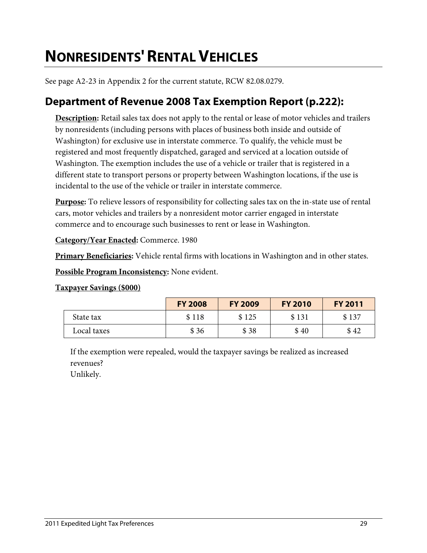## <span id="page-32-0"></span>**NONRESIDENTS' RENTAL VEHICLES**

See page A2-23 in Appendix 2 for the current statute, RCW 82.08.0279.

### **Department of Revenue 2008 Tax Exemption Report (p.222):**

**Description:** Retail sales tax does not apply to the rental or lease of motor vehicles and trailers by nonresidents (including persons with places of business both inside and outside of Washington) for exclusive use in interstate commerce. To qualify, the vehicle must be registered and most frequently dispatched, garaged and serviced at a location outside of Washington. The exemption includes the use of a vehicle or trailer that is registered in a different state to transport persons or property between Washington locations, if the use is incidental to the use of the vehicle or trailer in interstate commerce.

**Purpose:** To relieve lessors of responsibility for collecting sales tax on the in-state use of rental cars, motor vehicles and trailers by a nonresident motor carrier engaged in interstate commerce and to encourage such businesses to rent or lease in Washington.

**Category/Year Enacted:** Commerce. 1980

**Primary Beneficiaries:** Vehicle rental firms with locations in Washington and in other states.

**Possible Program Inconsistency:** None evident.

#### **Taxpayer Savings (\$000)**

|             | <b>FY 2008</b> | <b>FY 2009</b> | <b>FY 2010</b> | <b>FY 2011</b> |
|-------------|----------------|----------------|----------------|----------------|
| State tax   | \$118          | \$125          | \$131          | \$137          |
| Local taxes | \$36           | \$38           | \$40           | \$42           |

If the exemption were repealed, would the taxpayer savings be realized as increased revenues?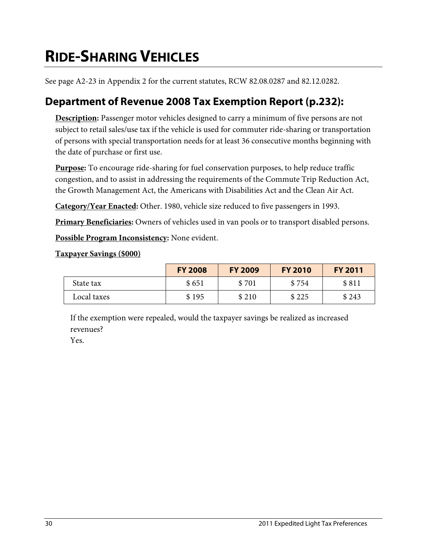# <span id="page-33-0"></span>**RIDE-SHARING VEHICLES**

See page A2-23 in Appendix 2 for the current statutes, RCW 82.08.0287 and 82.12.0282.

### **Department of Revenue 2008 Tax Exemption Report (p.232):**

**Description:** Passenger motor vehicles designed to carry a minimum of five persons are not subject to retail sales/use tax if the vehicle is used for commuter ride-sharing or transportation of persons with special transportation needs for at least 36 consecutive months beginning with the date of purchase or first use.

**Purpose:** To encourage ride-sharing for fuel conservation purposes, to help reduce traffic congestion, and to assist in addressing the requirements of the Commute Trip Reduction Act, the Growth Management Act, the Americans with Disabilities Act and the Clean Air Act.

**Category/Year Enacted:** Other. 1980, vehicle size reduced to five passengers in 1993.

**Primary Beneficiaries:** Owners of vehicles used in van pools or to transport disabled persons.

**Possible Program Inconsistency:** None evident.

#### **Taxpayer Savings (\$000)**

|             | <b>FY 2008</b> | <b>FY 2009</b> | <b>FY 2010</b> | <b>FY 2011</b> |
|-------------|----------------|----------------|----------------|----------------|
| State tax   | \$651          | \$701          | \$754          | \$811          |
| Local taxes | \$195          | \$210          | \$225          | \$243          |

If the exemption were repealed, would the taxpayer savings be realized as increased revenues?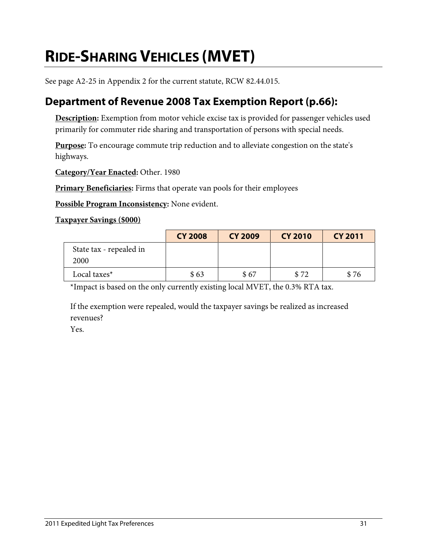# <span id="page-34-0"></span>**RIDE-SHARING VEHICLES (MVET)**

See page A2-25 in Appendix 2 for the current statute, RCW 82.44.015.

### **Department of Revenue 2008 Tax Exemption Report (p.66):**

**Description:** Exemption from motor vehicle excise tax is provided for passenger vehicles used primarily for commuter ride sharing and transportation of persons with special needs.

**Purpose:** To encourage commute trip reduction and to alleviate congestion on the state's highways.

**Category/Year Enacted:** Other. 1980

**Primary Beneficiaries:** Firms that operate van pools for their employees

**Possible Program Inconsistency:** None evident.

**Taxpayer Savings (\$000)**

|                                 | <b>CY 2008</b> | <b>CY 2009</b> | <b>CY 2010</b> | <b>CY 2011</b> |
|---------------------------------|----------------|----------------|----------------|----------------|
| State tax - repealed in<br>2000 |                |                |                |                |
| Local taxes*                    | \$63           | \$67           | \$72           | \$76           |

\*Impact is based on the only currently existing local MVET, the 0.3% RTA tax.

If the exemption were repealed, would the taxpayer savings be realized as increased revenues?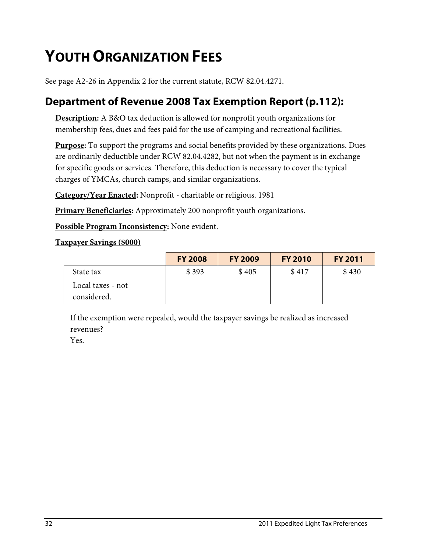# <span id="page-35-0"></span>**YOUTH ORGANIZATION FEES**

See page A2-26 in Appendix 2 for the current statute, RCW 82.04.4271.

### **Department of Revenue 2008 Tax Exemption Report (p.112):**

**Description:** A B&O tax deduction is allowed for nonprofit youth organizations for membership fees, dues and fees paid for the use of camping and recreational facilities.

**Purpose:** To support the programs and social benefits provided by these organizations. Dues are ordinarily deductible under RCW 82.04.4282, but not when the payment is in exchange for specific goods or services. Therefore, this deduction is necessary to cover the typical charges of YMCAs, church camps, and similar organizations.

**Category/Year Enacted:** Nonprofit - charitable or religious. 1981

**Primary Beneficiaries:** Approximately 200 nonprofit youth organizations.

**Possible Program Inconsistency:** None evident.

#### **Taxpayer Savings (\$000)**

|                                  | <b>FY 2008</b> | <b>FY 2009</b> | <b>FY 2010</b> | <b>FY 2011</b> |
|----------------------------------|----------------|----------------|----------------|----------------|
| State tax                        | \$393          | \$405          | \$417          | \$430          |
| Local taxes - not<br>considered. |                |                |                |                |

If the exemption were repealed, would the taxpayer savings be realized as increased revenues?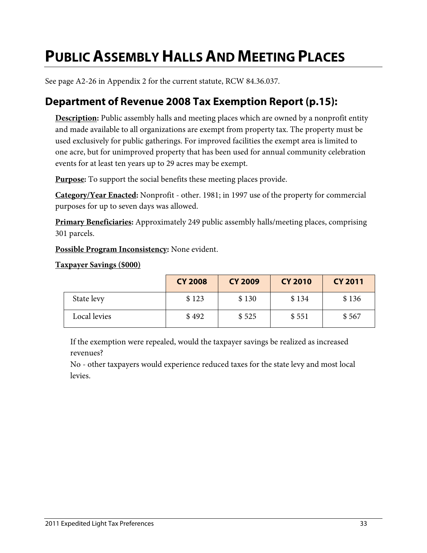## **PUBLIC ASSEMBLY HALLS AND MEETING PLACES**

See page A2-26 in Appendix 2 for the current statute, RCW 84.36.037.

#### **Department of Revenue 2008 Tax Exemption Report (p.15):**

**Description:** Public assembly halls and meeting places which are owned by a nonprofit entity and made available to all organizations are exempt from property tax. The property must be used exclusively for public gatherings. For improved facilities the exempt area is limited to one acre, but for unimproved property that has been used for annual community celebration events for at least ten years up to 29 acres may be exempt.

**Purpose:** To support the social benefits these meeting places provide.

**Category/Year Enacted:** Nonprofit - other. 1981; in 1997 use of the property for commercial purposes for up to seven days was allowed.

**Primary Beneficiaries:** Approximately 249 public assembly halls/meeting places, comprising 301 parcels.

**Possible Program Inconsistency:** None evident.

**Taxpayer Savings (\$000)**

|              | <b>CY 2008</b> | <b>CY 2009</b> | <b>CY 2010</b> | <b>CY 2011</b> |
|--------------|----------------|----------------|----------------|----------------|
| State levy   | \$123          | \$130          | \$134          | \$136          |
| Local levies | \$492          | \$525          | \$551          | \$567          |

If the exemption were repealed, would the taxpayer savings be realized as increased revenues?

No - other taxpayers would experience reduced taxes for the state levy and most local levies.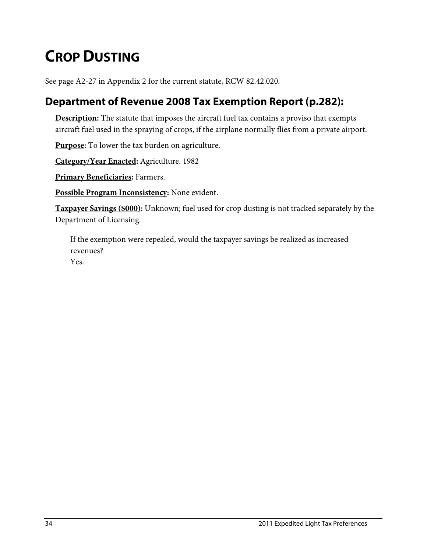# **CROP DUSTING**

See page A2-27 in Appendix 2 for the current statute, RCW 82.42.020.

### **Department of Revenue 2008 Tax Exemption Report (p.282):**

**Description:** The statute that imposes the aircraft fuel tax contains a proviso that exempts aircraft fuel used in the spraying of crops, if the airplane normally flies from a private airport.

**Purpose:** To lower the tax burden on agriculture.

**Category/Year Enacted:** Agriculture. 1982

**Primary Beneficiaries:** Farmers.

**Possible Program Inconsistency:** None evident.

**Taxpayer Savings (\$000):** Unknown; fuel used for crop dusting is not tracked separately by the Department of Licensing.

If the exemption were repealed, would the taxpayer savings be realized as increased revenues?

Yes.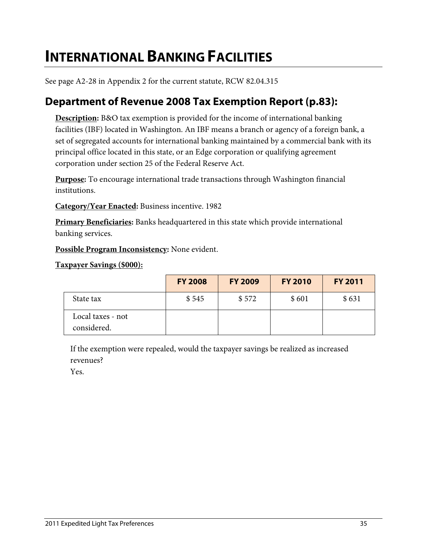## **INTERNATIONAL BANKING FACILITIES**

See page A2-28 in Appendix 2 for the current statute, RCW 82.04.315

### **Department of Revenue 2008 Tax Exemption Report (p.83):**

**Description:** B&O tax exemption is provided for the income of international banking facilities (IBF) located in Washington. An IBF means a branch or agency of a foreign bank, a set of segregated accounts for international banking maintained by a commercial bank with its principal office located in this state, or an Edge corporation or qualifying agreement corporation under section 25 of the Federal Reserve Act.

**Purpose:** To encourage international trade transactions through Washington financial institutions.

**Category/Year Enacted:** Business incentive. 1982

**Primary Beneficiaries:** Banks headquartered in this state which provide international banking services.

**Possible Program Inconsistency:** None evident.

**Taxpayer Savings (\$000):** 

|                                  | <b>FY 2008</b> | <b>FY 2009</b> | <b>FY 2010</b> | <b>FY 2011</b> |
|----------------------------------|----------------|----------------|----------------|----------------|
| State tax                        | \$545          | \$572          | \$601          | \$631          |
| Local taxes - not<br>considered. |                |                |                |                |

If the exemption were repealed, would the taxpayer savings be realized as increased revenues?

Yes.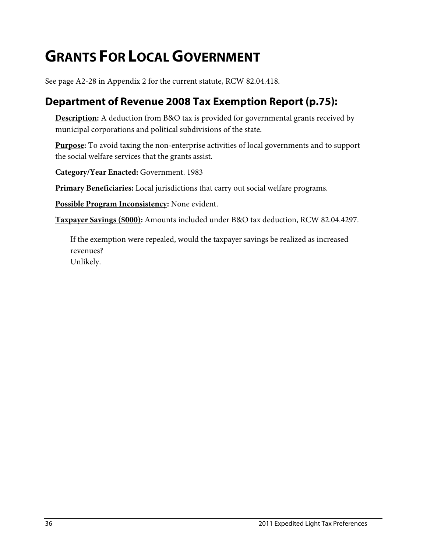# **GRANTS FOR LOCAL GOVERNMENT**

See page A2-28 in Appendix 2 for the current statute, RCW 82.04.418.

### **Department of Revenue 2008 Tax Exemption Report (p.75):**

**Description:** A deduction from B&O tax is provided for governmental grants received by municipal corporations and political subdivisions of the state.

**Purpose:** To avoid taxing the non-enterprise activities of local governments and to support the social welfare services that the grants assist.

**Category/Year Enacted:** Government. 1983

**Primary Beneficiaries:** Local jurisdictions that carry out social welfare programs.

**Possible Program Inconsistency:** None evident.

**Taxpayer Savings (\$000):** Amounts included under B&O tax deduction, RCW 82.04.4297.

If the exemption were repealed, would the taxpayer savings be realized as increased revenues?

Unlikely.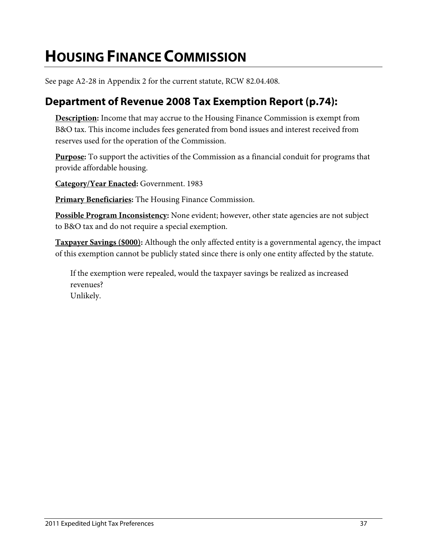## **HOUSING FINANCE COMMISSION**

See page A2-28 in Appendix 2 for the current statute, RCW 82.04.408.

### **Department of Revenue 2008 Tax Exemption Report (p.74):**

**Description:** Income that may accrue to the Housing Finance Commission is exempt from B&O tax. This income includes fees generated from bond issues and interest received from reserves used for the operation of the Commission.

**Purpose:** To support the activities of the Commission as a financial conduit for programs that provide affordable housing.

**Category/Year Enacted:** Government. 1983

**Primary Beneficiaries:** The Housing Finance Commission.

**Possible Program Inconsistency:** None evident; however, other state agencies are not subject to B&O tax and do not require a special exemption.

**Taxpayer Savings (\$000):** Although the only affected entity is a governmental agency, the impact of this exemption cannot be publicly stated since there is only one entity affected by the statute.

If the exemption were repealed, would the taxpayer savings be realized as increased revenues? Unlikely.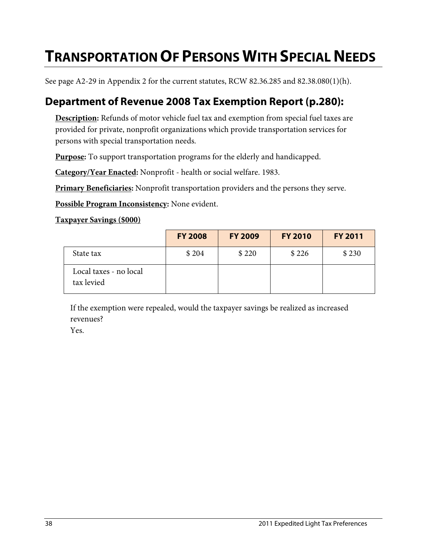## **TRANSPORTATION OF PERSONS WITH SPECIAL NEEDS**

See page A2-29 in Appendix 2 for the current statutes, RCW 82.36.285 and 82.38.080(1)(h).

### **Department of Revenue 2008 Tax Exemption Report (p.280):**

**Description:** Refunds of motor vehicle fuel tax and exemption from special fuel taxes are provided for private, nonprofit organizations which provide transportation services for persons with special transportation needs.

**Purpose:** To support transportation programs for the elderly and handicapped.

**Category/Year Enacted:** Nonprofit - health or social welfare. 1983.

**Primary Beneficiaries:** Nonprofit transportation providers and the persons they serve.

**Possible Program Inconsistency:** None evident.

#### **Taxpayer Savings (\$000)**

|                                      | <b>FY 2008</b> | <b>FY 2009</b> | <b>FY 2010</b> | <b>FY 2011</b> |
|--------------------------------------|----------------|----------------|----------------|----------------|
| State tax                            | \$204          | \$220          | \$226          | \$230          |
| Local taxes - no local<br>tax levied |                |                |                |                |

If the exemption were repealed, would the taxpayer savings be realized as increased revenues?

Yes.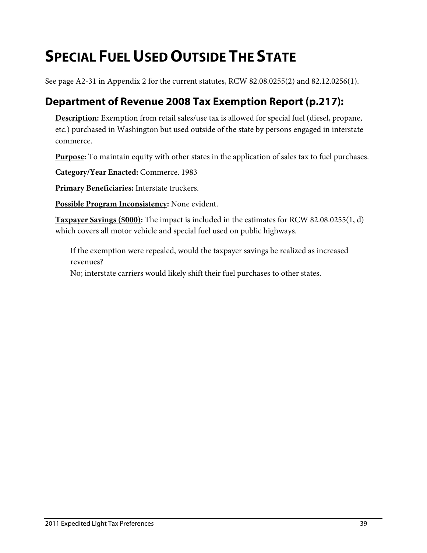# **SPECIAL FUEL USED OUTSIDE THE STATE**

See page A2-31 in Appendix 2 for the current statutes, RCW 82.08.0255(2) and 82.12.0256(1).

### **Department of Revenue 2008 Tax Exemption Report (p.217):**

**Description:** Exemption from retail sales/use tax is allowed for special fuel (diesel, propane, etc.) purchased in Washington but used outside of the state by persons engaged in interstate commerce.

**Purpose:** To maintain equity with other states in the application of sales tax to fuel purchases.

**Category/Year Enacted:** Commerce. 1983

**Primary Beneficiaries:** Interstate truckers.

**Possible Program Inconsistency:** None evident.

**Taxpayer Savings (\$000):** The impact is included in the estimates for RCW 82.08.0255(1, d) which covers all motor vehicle and special fuel used on public highways.

If the exemption were repealed, would the taxpayer savings be realized as increased revenues?

No; interstate carriers would likely shift their fuel purchases to other states.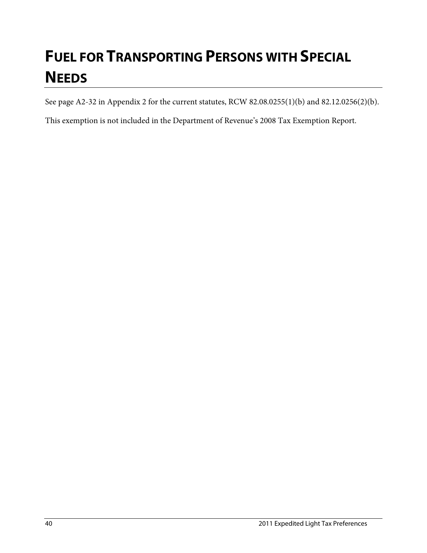# **FUEL FOR TRANSPORTING PERSONS WITH SPECIAL NEEDS**

See page A2-32 in Appendix 2 for the current statutes, RCW 82.08.0255(1)(b) and 82.12.0256(2)(b).

This exemption is not included in the Department of Revenue's 2008 Tax Exemption Report.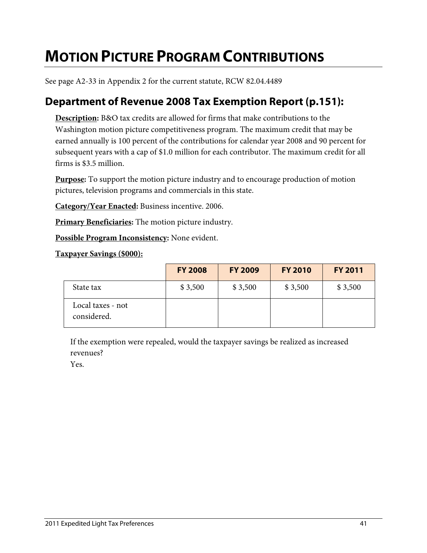## **MOTION PICTURE PROGRAM CONTRIBUTIONS**

See page A2-33 in Appendix 2 for the current statute, RCW 82.04.4489

#### **Department of Revenue 2008 Tax Exemption Report (p.151):**

**Description:** B&O tax credits are allowed for firms that make contributions to the Washington motion picture competitiveness program. The maximum credit that may be earned annually is 100 percent of the contributions for calendar year 2008 and 90 percent for subsequent years with a cap of \$1.0 million for each contributor. The maximum credit for all firms is \$3.5 million.

**Purpose:** To support the motion picture industry and to encourage production of motion pictures, television programs and commercials in this state.

**Category/Year Enacted:** Business incentive. 2006.

**Primary Beneficiaries:** The motion picture industry.

**Possible Program Inconsistency:** None evident.

**Taxpayer Savings (\$000):** 

|                                  | <b>FY 2008</b> | <b>FY 2009</b> | <b>FY 2010</b> | <b>FY 2011</b> |
|----------------------------------|----------------|----------------|----------------|----------------|
| State tax                        | \$3,500        | \$3,500        | \$3,500        | \$3,500        |
| Local taxes - not<br>considered. |                |                |                |                |

If the exemption were repealed, would the taxpayer savings be realized as increased revenues?

Yes.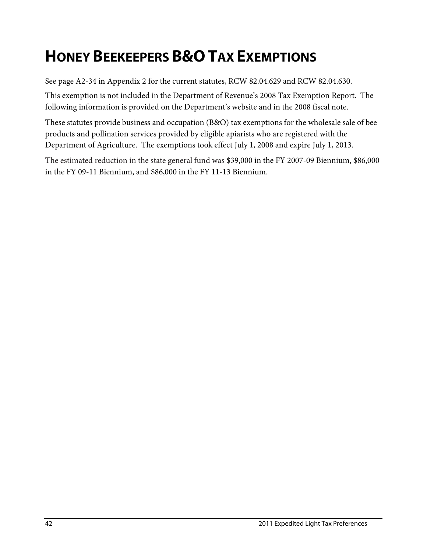## **HONEY BEEKEEPERS B&O TAX EXEMPTIONS**

See page A2-34 in Appendix 2 for the current statutes, RCW 82.04.629 and RCW 82.04.630.

This exemption is not included in the Department of Revenue's 2008 Tax Exemption Report. The following information is provided on the Department's website and in the 2008 fiscal note.

These statutes provide business and occupation (B&O) tax exemptions for the wholesale sale of bee products and pollination services provided by eligible apiarists who are registered with the Department of Agriculture. The exemptions took effect July 1, 2008 and expire July 1, 2013.

The estimated reduction in the state general fund was \$39,000 in the FY 2007-09 Biennium, \$86,000 in the FY 09-11 Biennium, and \$86,000 in the FY 11-13 Biennium.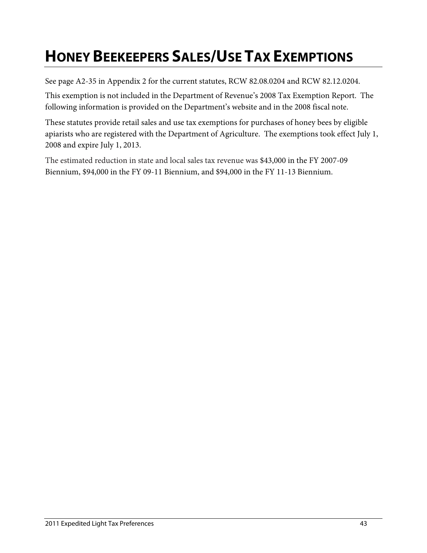# **HONEY BEEKEEPERS SALES/USE TAX EXEMPTIONS**

See page A2-35 in Appendix 2 for the current statutes, RCW 82.08.0204 and RCW 82.12.0204.

This exemption is not included in the Department of Revenue's 2008 Tax Exemption Report. The following information is provided on the Department's website and in the 2008 fiscal note.

These statutes provide retail sales and use tax exemptions for purchases of honey bees by eligible apiarists who are registered with the Department of Agriculture. The exemptions took effect July 1, 2008 and expire July 1, 2013.

The estimated reduction in state and local sales tax revenue was \$43,000 in the FY 2007-09 Biennium, \$94,000 in the FY 09-11 Biennium, and \$94,000 in the FY 11-13 Biennium.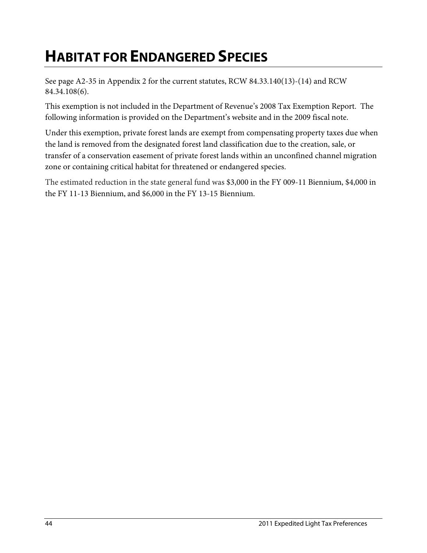## **HABITAT FOR ENDANGERED SPECIES**

See page A2-35 in Appendix 2 for the current statutes, RCW 84.33.140(13)-(14) and RCW 84.34.108(6).

This exemption is not included in the Department of Revenue's 2008 Tax Exemption Report. The following information is provided on the Department's website and in the 2009 fiscal note.

Under this exemption, private forest lands are exempt from compensating property taxes due when the land is removed from the designated forest land classification due to the creation, sale, or transfer of a conservation easement of private forest lands within an unconfined channel migration zone or containing critical habitat for threatened or endangered species.

The estimated reduction in the state general fund was \$3,000 in the FY 009-11 Biennium, \$4,000 in the FY 11-13 Biennium, and \$6,000 in the FY 13-15 Biennium.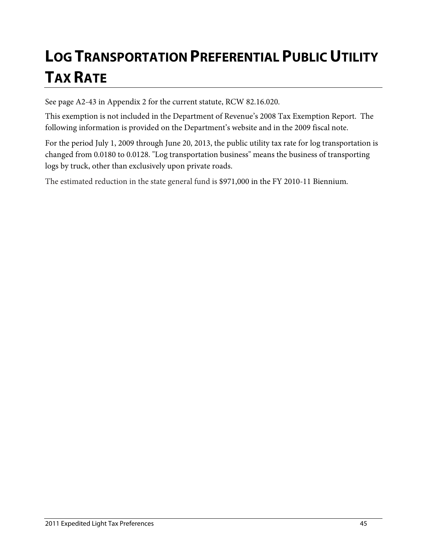# **LOG TRANSPORTATION PREFERENTIAL PUBLIC UTILITY TAX RATE**

See page A2-43 in Appendix 2 for the current statute, RCW 82.16.020.

This exemption is not included in the Department of Revenue's 2008 Tax Exemption Report. The following information is provided on the Department's website and in the 2009 fiscal note.

For the period July 1, 2009 through June 20, 2013, the public utility tax rate for log transportation is changed from 0.0180 to 0.0128. "Log transportation business" means the business of transporting logs by truck, other than exclusively upon private roads.

The estimated reduction in the state general fund is \$971,000 in the FY 2010-11 Biennium.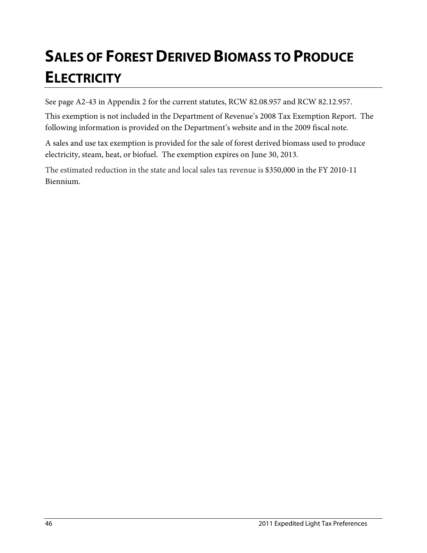# **SALES OF FOREST DERIVED BIOMASS TO PRODUCE ELECTRICITY**

See page A2-43 in Appendix 2 for the current statutes, RCW 82.08.957 and RCW 82.12.957.

This exemption is not included in the Department of Revenue's 2008 Tax Exemption Report. The following information is provided on the Department's website and in the 2009 fiscal note.

A sales and use tax exemption is provided for the sale of forest derived biomass used to produce electricity, steam, heat, or biofuel. The exemption expires on June 30, 2013.

The estimated reduction in the state and local sales tax revenue is \$350,000 in the FY 2010-11 Biennium.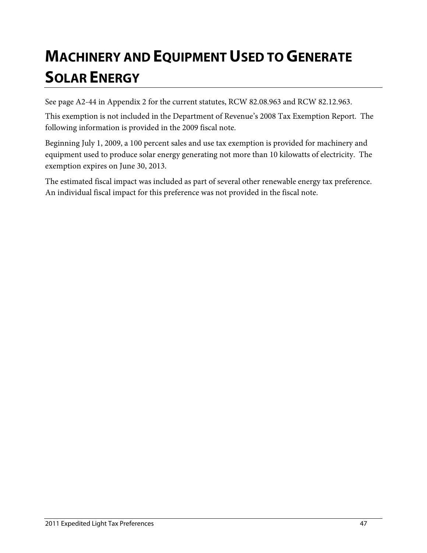## **MACHINERY AND EQUIPMENT USED TO GENERATE SOLAR ENERGY**

See page A2-44 in Appendix 2 for the current statutes, RCW 82.08.963 and RCW 82.12.963.

This exemption is not included in the Department of Revenue's 2008 Tax Exemption Report. The following information is provided in the 2009 fiscal note.

Beginning July 1, 2009, a 100 percent sales and use tax exemption is provided for machinery and equipment used to produce solar energy generating not more than 10 kilowatts of electricity. The exemption expires on June 30, 2013.

The estimated fiscal impact was included as part of several other renewable energy tax preference. An individual fiscal impact for this preference was not provided in the fiscal note.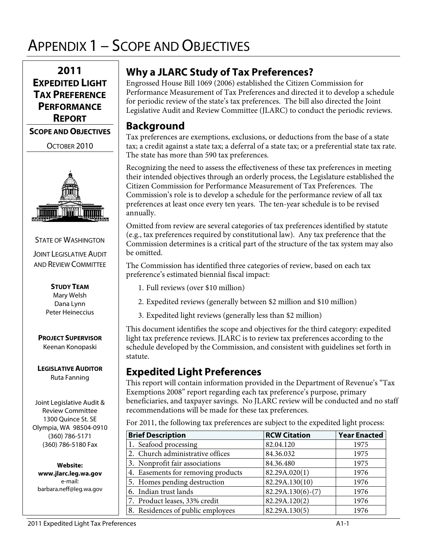## APPENDIX 1 – SCOPE AND OBJECTIVES



OCTOBER 2010



#### STATE OF WASHINGTON

**JOINT LEGISLATIVE AUDIT** AND REVIEW COMMITTEE

> **STUDY TEAM** Mary Welsh Dana Lynn Peter Heineccius

#### **PROJECT SUPERVISOR** Keenan Konopaski

**LEGISLATIVE AUDITOR** Ruta Fanning

Joint Legislative Audit & Review Committee 1300 Quince St. SE Olympia, WA 98504-0910 (360) 786-5171 (360) 786-5180 Fax

**Website: www.jlarc.leg.wa.gov** e-mail: barbara.neff@leg.wa.gov

#### **Why a JLARC Study of Tax Preferences?**

Engrossed House Bill 1069 (2006) established the Citizen Commission for Performance Measurement of Tax Preferences and directed it to develop a schedule for periodic review of the state's tax preferences. The bill also directed the Joint Legislative Audit and Review Committee (JLARC) to conduct the periodic reviews.

### **Background**

Tax preferences are exemptions, exclusions, or deductions from the base of a state tax; a credit against a state tax; a deferral of a state tax; or a preferential state tax rate. The state has more than 590 tax preferences.

Recognizing the need to assess the effectiveness of these tax preferences in meeting their intended objectives through an orderly process, the Legislature established the Citizen Commission for Performance Measurement of Tax Preferences. The Commission's role is to develop a schedule for the performance review of all tax preferences at least once every ten years. The ten-year schedule is to be revised annually.

Omitted from review are several categories of tax preferences identified by statute (e.g., tax preferences required by constitutional law). Any tax preference that the Commission determines is a critical part of the structure of the tax system may also be omitted.

The Commission has identified three categories of review, based on each tax preference's estimated biennial fiscal impact:

- 1. Full reviews (over \$10 million)
- 2. Expedited reviews (generally between \$2 million and \$10 million)
- 3. Expedited light reviews (generally less than \$2 million)

This document identifies the scope and objectives for the third category: expedited light tax preference reviews. JLARC is to review tax preferences according to the schedule developed by the Commission, and consistent with guidelines set forth in statute.

#### **Expedited Light Preferences**

This report will contain information provided in the Department of Revenue's "Tax Exemptions 2008" report regarding each tax preference's purpose, primary beneficiaries, and taxpayer savings. No JLARC review will be conducted and no staff recommendations will be made for these tax preferences.

For 2011, the following tax preferences are subject to the expedited light process:

| <b>Brief Description</b>           | <b>RCW Citation</b> | <b>Year Enacted</b> |
|------------------------------------|---------------------|---------------------|
| 1. Seafood processing              | 82.04.120           | 1975                |
| 2. Church administrative offices   | 84.36.032           | 1975                |
| 3. Nonprofit fair associations     | 84.36.480           | 1975                |
| 4. Easements for removing products | 82.29A.020(1)       | 1976                |
| 5. Homes pending destruction       | 82.29A.130(10)      | 1976                |
| 6. Indian trust lands              | $82.29A.130(6)-(7)$ | 1976                |
| 7. Product leases, 33% credit      | 82.29A.120(2)       | 1976                |
| 8. Residences of public employees  | 82.29A.130(5)       | 1976                |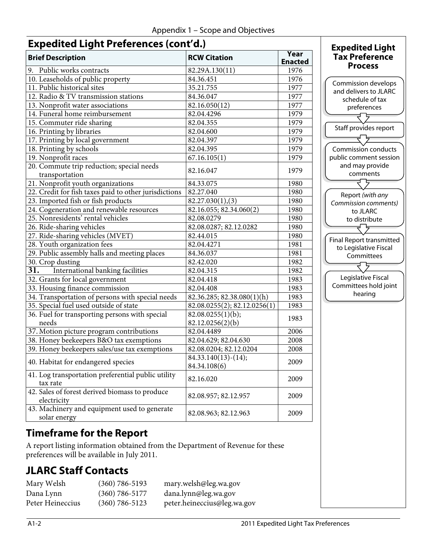### **Expedited Light Preferences (cont'd.)**

| <b>Brief Description</b>                                       | <b>RCW Citation</b>                   | Year<br><b>Enacted</b> |
|----------------------------------------------------------------|---------------------------------------|------------------------|
| 9. Public works contracts                                      | 82.29A.130(11)                        | 1976                   |
| 10. Leaseholds of public property                              | 84.36.451                             | 1976                   |
| 11. Public historical sites                                    | 35.21.755                             | 1977                   |
| 12. Radio & TV transmission stations                           | 84.36.047                             | 1977                   |
| 13. Nonprofit water associations                               | 82.16.050(12)                         | 1977                   |
| 14. Funeral home reimbursement                                 | 82.04.4296                            | 1979                   |
| 15. Commuter ride sharing                                      | 82.04.355                             | 1979                   |
| 16. Printing by libraries                                      | 82.04.600                             | 1979                   |
| 17. Printing by local government                               | 82.04.397                             | 1979                   |
| 18. Printing by schools                                        | 82.04.395                             | 1979                   |
| 19. Nonprofit races                                            | 67.16.105(1)                          | 1979                   |
| 20. Commute trip reduction; special needs<br>transportation    | 82.16.047                             | 1979                   |
| 21. Nonprofit youth organizations                              | 84.33.075                             | 1980                   |
| 22. Credit for fish taxes paid to other jurisdictions          | 82.27.040                             | 1980                   |
| 23. Imported fish or fish products                             | 82.27.030(1), (3)                     | 1980                   |
| 24. Cogeneration and renewable resources                       | 82.16.055; 82.34.060(2)               | 1980                   |
| 25. Nonresidents' rental vehicles                              | 82.08.0279                            | 1980                   |
| 26. Ride-sharing vehicles                                      | 82.08.0287; 82.12.0282                | 1980                   |
| 27. Ride-sharing vehicles (MVET)                               | 82.44.015                             | 1980                   |
| 28. Youth organization fees                                    | 82.04.4271                            | 1981                   |
| 29. Public assembly halls and meeting places                   | 84.36.037                             | 1981                   |
| 30. Crop dusting                                               | 82.42.020                             | 1982                   |
| International banking facilities<br>31.                        | 82.04.315                             | 1982                   |
| 32. Grants for local government                                | 82.04.418                             | 1983                   |
| 33. Housing finance commission                                 | 82.04.408                             | 1983                   |
| 34. Transportation of persons with special needs               | 82.36.285; 82.38.080(1)(h)            | 1983                   |
| 35. Special fuel used outside of state                         | 82.08.0255(2); 82.12.0256(1)          | 1983                   |
| 36. Fuel for transporting persons with special<br>needs        | 82.08.0255(1)(b);<br>82.12.0256(2)(b) | 1983                   |
| 37. Motion picture program contributions                       | 82.04.4489                            | 2006                   |
| 38. Honey beekeepers B&O tax exemptions                        | 82.04.629; 82.04.630                  | 2008                   |
| 39. Honey beekeepers sales/use tax exemptions                  | 82.08.0204; 82.12.0204                | 2008                   |
| 40. Habitat for endangered species                             | $84.33.140(13)-(14);$<br>84.34.108(6) | 2009                   |
| 41. Log transportation preferential public utility<br>tax rate | 82.16.020                             | 2009                   |
| 42. Sales of forest derived biomass to produce<br>electricity  | 82.08.957; 82.12.957                  | 2009                   |
| 43. Machinery and equipment used to generate<br>solar energy   | 82.08.963; 82.12.963                  | 2009                   |

#### Commission develops and delivers to JLARC schedule of tax preferences **Expedited Light Tax Preference Process**



### **Timeframe for the Report**

A report listing information obtained from the Department of Revenue for these preferences will be available in July 2011.

## **JLARC Staff Contacts**

| Mary Welsh       | $(360) 786 - 5193$ | mary.welsh@leg.wa.gov       |
|------------------|--------------------|-----------------------------|
| Dana Lynn        | $(360) 786 - 5177$ | dana.lynn@leg.wa.gov        |
| Peter Heineccius | $(360) 786 - 5123$ | peter.heineccius@leg.wa.gov |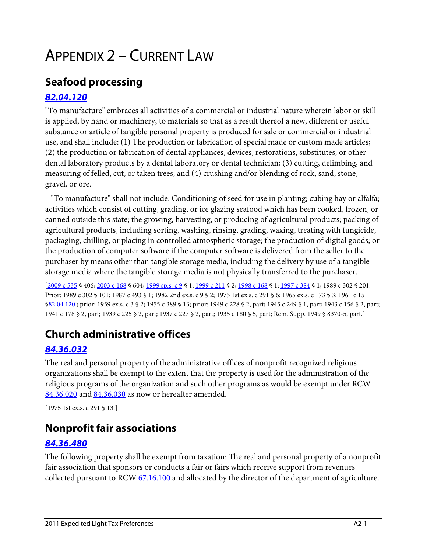### **Seafood processing**

#### *[82.04.120](http://apps.leg.wa.gov/RCW/default.aspx?cite=82.04.120)*

"To manufacture" embraces all activities of a commercial or industrial nature wherein labor or skill is applied, by hand or machinery, to materials so that as a result thereof a new, different or useful substance or article of tangible personal property is produced for sale or commercial or industrial use, and shall include: (1) The production or fabrication of special made or custom made articles; (2) the production or fabrication of dental appliances, devices, restorations, substitutes, or other dental laboratory products by a dental laboratory or dental technician; (3) cutting, delimbing, and measuring of felled, cut, or taken trees; and (4) crushing and/or blending of rock, sand, stone, gravel, or ore.

 "To manufacture" shall not include: Conditioning of seed for use in planting; cubing hay or alfalfa; activities which consist of cutting, grading, or ice glazing seafood which has been cooked, frozen, or canned outside this state; the growing, harvesting, or producing of agricultural products; packing of agricultural products, including sorting, washing, rinsing, grading, waxing, treating with fungicide, packaging, chilling, or placing in controlled atmospheric storage; the production of digital goods; or the production of computer software if the computer software is delivered from the seller to the purchaser by means other than tangible storage media, including the delivery by use of a tangible storage media where the tangible storage media is not physically transferred to the purchaser.

[\[2009 c 535](http://apps.leg.wa.gov/billinfo/summary.aspx?bill=2075&year=2009) § 406; [2003 c 168](http://apps.leg.wa.gov/billinfo/summary.aspx?bill=5783&year=2003) § 604[; 1999 sp.s. c 9](http://apps.leg.wa.gov/billinfo/summary.aspx?bill=2295&year=1999) § 1[; 1999 c 211](http://apps.leg.wa.gov/billinfo/summary.aspx?bill=1887&year=1999) § 2[; 1998 c 168](http://apps.leg.wa.gov/billinfo/summary.aspx?bill=1042&year=1998) § 1[; 1997 c 384](http://apps.leg.wa.gov/billinfo/summary.aspx?bill=5175&year=1997) § 1; 1989 c 302 § 201. Prior: 1989 c 302 § 101; 1987 c 493 § 1; 1982 2nd ex.s. c 9 § 2; 1975 1st ex.s. c 291 § 6; 1965 ex.s. c 173 § 3; 1961 c 15 [§82.04.120](http://apps.leg.wa.gov/RCW/default.aspx?cite=82.04.120) ; prior: 1959 ex.s. c 3 § 2; 1955 c 389 § 13; prior: 1949 c 228 § 2, part; 1945 c 249 § 1, part; 1943 c 156 § 2, part; 1941 c 178 § 2, part; 1939 c 225 § 2, part; 1937 c 227 § 2, part; 1935 c 180 § 5, part; Rem. Supp. 1949 § 8370-5, part.]

## **Church administrative offices**

#### *[84.36.032](http://apps.leg.wa.gov/RCW/default.aspx?cite=84.36.032)*

The real and personal property of the administrative offices of nonprofit recognized religious organizations shall be exempt to the extent that the property is used for the administration of the religious programs of the organization and such other programs as would be exempt under RCW [84.36.020](http://apps.leg.wa.gov/RCW/default.aspx?cite=84.36.020) and [84.36.030](http://apps.leg.wa.gov/RCW/default.aspx?cite=84.36.030) as now or hereafter amended.

[1975 1st ex.s. c 291 § 13.]

### **Nonprofit fair associations**

#### *[84.36.480](http://apps.leg.wa.gov/RCW/default.aspx?cite=84.36.480)*

The following property shall be exempt from taxation: The real and personal property of a nonprofit fair association that sponsors or conducts a fair or fairs which receive support from revenues collected pursuant to RCW [67.16.100](http://apps.leg.wa.gov/RCW/default.aspx?cite=67.16.100) and allocated by the director of the department of agriculture.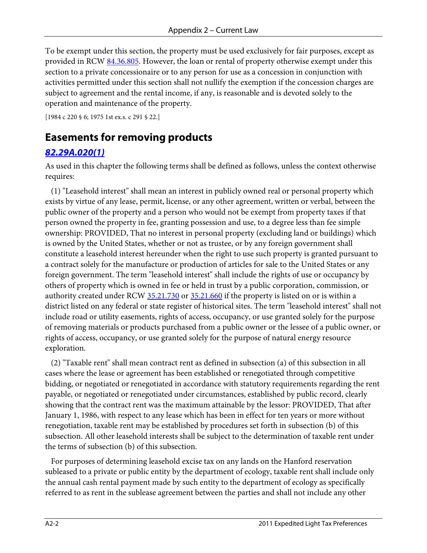To be exempt under this section, the property must be used exclusively for fair purposes, except as provided in RCW [84.36.805.](http://apps.leg.wa.gov/RCW/default.aspx?cite=84.36.805) However, the loan or rental of property otherwise exempt under this section to a private concessionaire or to any person for use as a concession in conjunction with activities permitted under this section shall not nullify the exemption if the concession charges are subject to agreement and the rental income, if any, is reasonable and is devoted solely to the operation and maintenance of the property.

[1984 c 220 § 6; 1975 1st ex.s. c 291 § 22.]

#### **Easements for removing products**

#### *[82.29A.020\(1\)](http://apps.leg.wa.gov/RCW/default.aspx?cite=82.29A.020)*

As used in this chapter the following terms shall be defined as follows, unless the context otherwise requires:

 (1) "Leasehold interest" shall mean an interest in publicly owned real or personal property which exists by virtue of any lease, permit, license, or any other agreement, written or verbal, between the public owner of the property and a person who would not be exempt from property taxes if that person owned the property in fee, granting possession and use, to a degree less than fee simple ownership: PROVIDED, That no interest in personal property (excluding land or buildings) which is owned by the United States, whether or not as trustee, or by any foreign government shall constitute a leasehold interest hereunder when the right to use such property is granted pursuant to a contract solely for the manufacture or production of articles for sale to the United States or any foreign government. The term "leasehold interest" shall include the rights of use or occupancy by others of property which is owned in fee or held in trust by a public corporation, commission, or authority created under RCW [35.21.730](http://apps.leg.wa.gov/RCW/default.aspx?cite=35.21.730) or [35.21.660](http://apps.leg.wa.gov/RCW/default.aspx?cite=35.21.660) if the property is listed on or is within a district listed on any federal or state register of historical sites. The term "leasehold interest" shall not include road or utility easements, rights of access, occupancy, or use granted solely for the purpose of removing materials or products purchased from a public owner or the lessee of a public owner, or rights of access, occupancy, or use granted solely for the purpose of natural energy resource exploration.

 (2) "Taxable rent" shall mean contract rent as defined in subsection (a) of this subsection in all cases where the lease or agreement has been established or renegotiated through competitive bidding, or negotiated or renegotiated in accordance with statutory requirements regarding the rent payable, or negotiated or renegotiated under circumstances, established by public record, clearly showing that the contract rent was the maximum attainable by the lessor: PROVIDED, That after January 1, 1986, with respect to any lease which has been in effect for ten years or more without renegotiation, taxable rent may be established by procedures set forth in subsection (b) of this subsection. All other leasehold interests shall be subject to the determination of taxable rent under the terms of subsection (b) of this subsection.

 For purposes of determining leasehold excise tax on any lands on the Hanford reservation subleased to a private or public entity by the department of ecology, taxable rent shall include only the annual cash rental payment made by such entity to the department of ecology as specifically referred to as rent in the sublease agreement between the parties and shall not include any other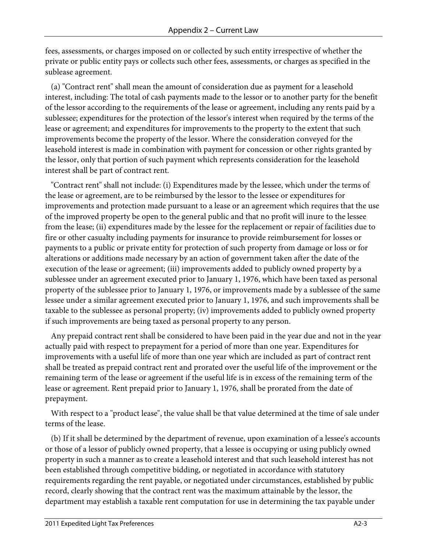fees, assessments, or charges imposed on or collected by such entity irrespective of whether the private or public entity pays or collects such other fees, assessments, or charges as specified in the sublease agreement.

 (a) "Contract rent" shall mean the amount of consideration due as payment for a leasehold interest, including: The total of cash payments made to the lessor or to another party for the benefit of the lessor according to the requirements of the lease or agreement, including any rents paid by a sublessee; expenditures for the protection of the lessor's interest when required by the terms of the lease or agreement; and expenditures for improvements to the property to the extent that such improvements become the property of the lessor. Where the consideration conveyed for the leasehold interest is made in combination with payment for concession or other rights granted by the lessor, only that portion of such payment which represents consideration for the leasehold interest shall be part of contract rent.

 "Contract rent" shall not include: (i) Expenditures made by the lessee, which under the terms of the lease or agreement, are to be reimbursed by the lessor to the lessee or expenditures for improvements and protection made pursuant to a lease or an agreement which requires that the use of the improved property be open to the general public and that no profit will inure to the lessee from the lease; (ii) expenditures made by the lessee for the replacement or repair of facilities due to fire or other casualty including payments for insurance to provide reimbursement for losses or payments to a public or private entity for protection of such property from damage or loss or for alterations or additions made necessary by an action of government taken after the date of the execution of the lease or agreement; (iii) improvements added to publicly owned property by a sublessee under an agreement executed prior to January 1, 1976, which have been taxed as personal property of the sublessee prior to January 1, 1976, or improvements made by a sublessee of the same lessee under a similar agreement executed prior to January 1, 1976, and such improvements shall be taxable to the sublessee as personal property; (iv) improvements added to publicly owned property if such improvements are being taxed as personal property to any person.

 Any prepaid contract rent shall be considered to have been paid in the year due and not in the year actually paid with respect to prepayment for a period of more than one year. Expenditures for improvements with a useful life of more than one year which are included as part of contract rent shall be treated as prepaid contract rent and prorated over the useful life of the improvement or the remaining term of the lease or agreement if the useful life is in excess of the remaining term of the lease or agreement. Rent prepaid prior to January 1, 1976, shall be prorated from the date of prepayment.

 With respect to a "product lease", the value shall be that value determined at the time of sale under terms of the lease.

 (b) If it shall be determined by the department of revenue, upon examination of a lessee's accounts or those of a lessor of publicly owned property, that a lessee is occupying or using publicly owned property in such a manner as to create a leasehold interest and that such leasehold interest has not been established through competitive bidding, or negotiated in accordance with statutory requirements regarding the rent payable, or negotiated under circumstances, established by public record, clearly showing that the contract rent was the maximum attainable by the lessor, the department may establish a taxable rent computation for use in determining the tax payable under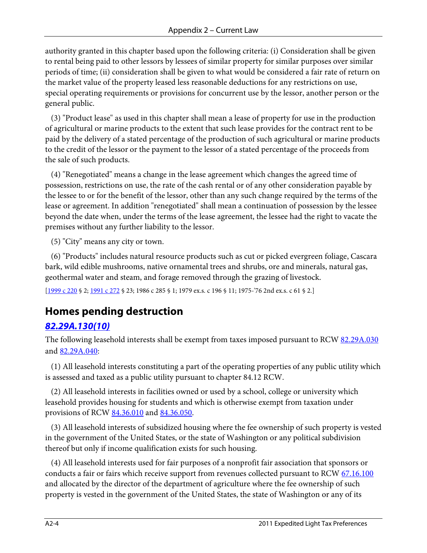authority granted in this chapter based upon the following criteria: (i) Consideration shall be given to rental being paid to other lessors by lessees of similar property for similar purposes over similar periods of time; (ii) consideration shall be given to what would be considered a fair rate of return on the market value of the property leased less reasonable deductions for any restrictions on use, special operating requirements or provisions for concurrent use by the lessor, another person or the general public.

 (3) "Product lease" as used in this chapter shall mean a lease of property for use in the production of agricultural or marine products to the extent that such lease provides for the contract rent to be paid by the delivery of a stated percentage of the production of such agricultural or marine products to the credit of the lessor or the payment to the lessor of a stated percentage of the proceeds from the sale of such products.

 (4) "Renegotiated" means a change in the lease agreement which changes the agreed time of possession, restrictions on use, the rate of the cash rental or of any other consideration payable by the lessee to or for the benefit of the lessor, other than any such change required by the terms of the lease or agreement. In addition "renegotiated" shall mean a continuation of possession by the lessee beyond the date when, under the terms of the lease agreement, the lessee had the right to vacate the premises without any further liability to the lessor.

(5) "City" means any city or town.

 (6) "Products" includes natural resource products such as cut or picked evergreen foliage, Cascara bark, wild edible mushrooms, native ornamental trees and shrubs, ore and minerals, natural gas, geothermal water and steam, and forage removed through the grazing of livestock.

[\[1999 c 220](http://apps.leg.wa.gov/billinfo/summary.aspx?bill=5661&year=1999) § 2[; 1991 c 272](http://apps.leg.wa.gov/billinfo/summary.aspx?bill=5756&year=1991) § 23; 1986 c 285 § 1; 1979 ex.s. c 196 § 11; 1975-'76 2nd ex.s. c 61 § 2.]

### **Homes pending destruction**

#### *[82.29A.130\(10\)](http://apps.leg.wa.gov/RCW/default.aspx?cite=82.29A.130)*

The following leasehold interests shall be exempt from taxes imposed pursuant to RC[W 82.29A.030](http://apps.leg.wa.gov/RCW/default.aspx?cite=82.29A.030) an[d 82.29A.040:](http://apps.leg.wa.gov/RCW/default.aspx?cite=82.29A.040)

 (1) All leasehold interests constituting a part of the operating properties of any public utility which is assessed and taxed as a public utility pursuant to chapter 84.12 RCW.

 (2) All leasehold interests in facilities owned or used by a school, college or university which leasehold provides housing for students and which is otherwise exempt from taxation under provisions of RCW [84.36.010](http://apps.leg.wa.gov/RCW/default.aspx?cite=84.36.010) and [84.36.050.](http://apps.leg.wa.gov/RCW/default.aspx?cite=84.36.050)

 (3) All leasehold interests of subsidized housing where the fee ownership of such property is vested in the government of the United States, or the state of Washington or any political subdivision thereof but only if income qualification exists for such housing.

 (4) All leasehold interests used for fair purposes of a nonprofit fair association that sponsors or conducts a fair or fairs which receive support from revenues collected pursuant to RC[W 67.16.100](http://apps.leg.wa.gov/RCW/default.aspx?cite=67.16.100) and allocated by the director of the department of agriculture where the fee ownership of such property is vested in the government of the United States, the state of Washington or any of its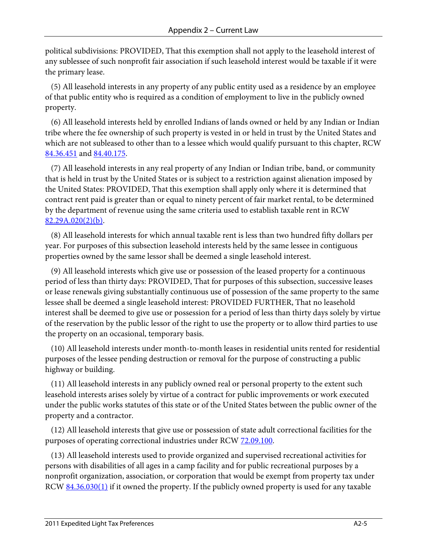political subdivisions: PROVIDED, That this exemption shall not apply to the leasehold interest of any sublessee of such nonprofit fair association if such leasehold interest would be taxable if it were the primary lease.

 (5) All leasehold interests in any property of any public entity used as a residence by an employee of that public entity who is required as a condition of employment to live in the publicly owned property.

 (6) All leasehold interests held by enrolled Indians of lands owned or held by any Indian or Indian tribe where the fee ownership of such property is vested in or held in trust by the United States and which are not subleased to other than to a lessee which would qualify pursuant to this chapter, RCW [84.36.451](http://apps.leg.wa.gov/RCW/default.aspx?cite=84.36.451) and [84.40.175.](http://apps.leg.wa.gov/RCW/default.aspx?cite=84.40.175)

 (7) All leasehold interests in any real property of any Indian or Indian tribe, band, or community that is held in trust by the United States or is subject to a restriction against alienation imposed by the United States: PROVIDED, That this exemption shall apply only where it is determined that contract rent paid is greater than or equal to ninety percent of fair market rental, to be determined by the department of revenue using the same criteria used to establish taxable rent in RCW  $82.29A.020(2)(b)$ .

 (8) All leasehold interests for which annual taxable rent is less than two hundred fifty dollars per year. For purposes of this subsection leasehold interests held by the same lessee in contiguous properties owned by the same lessor shall be deemed a single leasehold interest.

 (9) All leasehold interests which give use or possession of the leased property for a continuous period of less than thirty days: PROVIDED, That for purposes of this subsection, successive leases or lease renewals giving substantially continuous use of possession of the same property to the same lessee shall be deemed a single leasehold interest: PROVIDED FURTHER, That no leasehold interest shall be deemed to give use or possession for a period of less than thirty days solely by virtue of the reservation by the public lessor of the right to use the property or to allow third parties to use the property on an occasional, temporary basis.

 (10) All leasehold interests under month-to-month leases in residential units rented for residential purposes of the lessee pending destruction or removal for the purpose of constructing a public highway or building.

 (11) All leasehold interests in any publicly owned real or personal property to the extent such leasehold interests arises solely by virtue of a contract for public improvements or work executed under the public works statutes of this state or of the United States between the public owner of the property and a contractor.

 (12) All leasehold interests that give use or possession of state adult correctional facilities for the purposes of operating correctional industries under RCW [72.09.100.](http://apps.leg.wa.gov/RCW/default.aspx?cite=72.09.100)

 (13) All leasehold interests used to provide organized and supervised recreational activities for persons with disabilities of all ages in a camp facility and for public recreational purposes by a nonprofit organization, association, or corporation that would be exempt from property tax under RCW [84.36.030\(1\)](http://apps.leg.wa.gov/RCW/default.aspx?cite=84.36.030) if it owned the property. If the publicly owned property is used for any taxable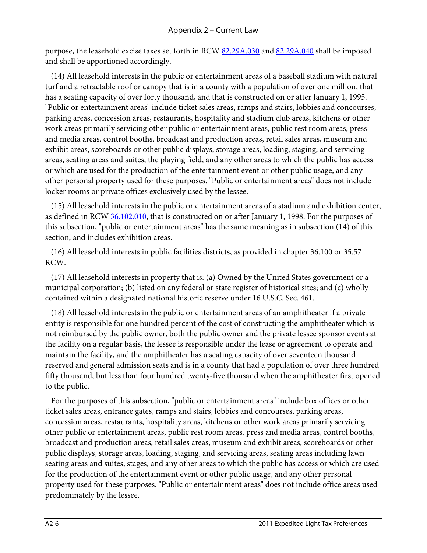purpose, the leasehold excise taxes set forth in RCW [82.29A.030](http://apps.leg.wa.gov/RCW/default.aspx?cite=82.29A.030) an[d 82.29A.040](http://apps.leg.wa.gov/RCW/default.aspx?cite=82.29A.040) shall be imposed and shall be apportioned accordingly.

 (14) All leasehold interests in the public or entertainment areas of a baseball stadium with natural turf and a retractable roof or canopy that is in a county with a population of over one million, that has a seating capacity of over forty thousand, and that is constructed on or after January 1, 1995. "Public or entertainment areas" include ticket sales areas, ramps and stairs, lobbies and concourses, parking areas, concession areas, restaurants, hospitality and stadium club areas, kitchens or other work areas primarily servicing other public or entertainment areas, public rest room areas, press and media areas, control booths, broadcast and production areas, retail sales areas, museum and exhibit areas, scoreboards or other public displays, storage areas, loading, staging, and servicing areas, seating areas and suites, the playing field, and any other areas to which the public has access or which are used for the production of the entertainment event or other public usage, and any other personal property used for these purposes. "Public or entertainment areas" does not include locker rooms or private offices exclusively used by the lessee.

 (15) All leasehold interests in the public or entertainment areas of a stadium and exhibition center, as defined in RCW [36.102.010,](http://apps.leg.wa.gov/RCW/default.aspx?cite=36.102.010) that is constructed on or after January 1, 1998. For the purposes of this subsection, "public or entertainment areas" has the same meaning as in subsection (14) of this section, and includes exhibition areas.

 (16) All leasehold interests in public facilities districts, as provided in chapter 36.100 or 35.57 RCW.

 (17) All leasehold interests in property that is: (a) Owned by the United States government or a municipal corporation; (b) listed on any federal or state register of historical sites; and (c) wholly contained within a designated national historic reserve under 16 U.S.C. Sec. 461.

 (18) All leasehold interests in the public or entertainment areas of an amphitheater if a private entity is responsible for one hundred percent of the cost of constructing the amphitheater which is not reimbursed by the public owner, both the public owner and the private lessee sponsor events at the facility on a regular basis, the lessee is responsible under the lease or agreement to operate and maintain the facility, and the amphitheater has a seating capacity of over seventeen thousand reserved and general admission seats and is in a county that had a population of over three hundred fifty thousand, but less than four hundred twenty-five thousand when the amphitheater first opened to the public.

 For the purposes of this subsection, "public or entertainment areas" include box offices or other ticket sales areas, entrance gates, ramps and stairs, lobbies and concourses, parking areas, concession areas, restaurants, hospitality areas, kitchens or other work areas primarily servicing other public or entertainment areas, public rest room areas, press and media areas, control booths, broadcast and production areas, retail sales areas, museum and exhibit areas, scoreboards or other public displays, storage areas, loading, staging, and servicing areas, seating areas including lawn seating areas and suites, stages, and any other areas to which the public has access or which are used for the production of the entertainment event or other public usage, and any other personal property used for these purposes. "Public or entertainment areas" does not include office areas used predominately by the lessee.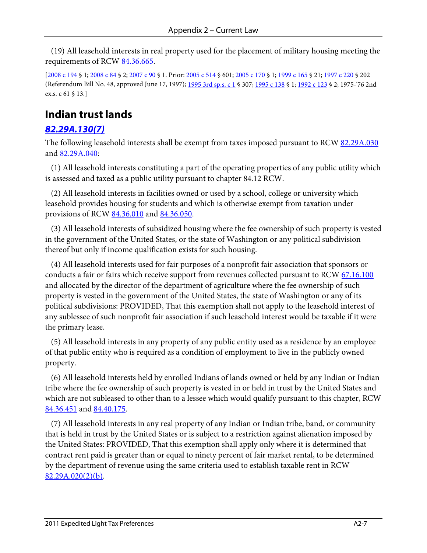(19) All leasehold interests in real property used for the placement of military housing meeting the requirements of RCW [84.36.665.](http://apps.leg.wa.gov/RCW/default.aspx?cite=84.36.665)

[\[2008 c 194](http://apps.leg.wa.gov/billinfo/summary.aspx?bill=2460&year=2008) § 1[; 2008 c 84](http://apps.leg.wa.gov/billinfo/summary.aspx?bill=6389&year=2008) § 2[; 2007 c 90](http://apps.leg.wa.gov/billinfo/summary.aspx?bill=5607&year=2007) § 1. Prior: [2005 c 514](http://apps.leg.wa.gov/billinfo/summary.aspx?bill=2314&year=2005) § 601[; 2005 c 170](http://apps.leg.wa.gov/billinfo/summary.aspx?bill=5154&year=2005) § 1; [1999 c 165](http://apps.leg.wa.gov/billinfo/summary.aspx?bill=5452&year=1999) § 21[; 1997 c 220](http://apps.leg.wa.gov/billinfo/summary.aspx?bill=2192&year=1997) § 202 (Referendum Bill No. 48, approved June 17, 1997)[; 1995 3rd sp.s. c 1](http://apps.leg.wa.gov/billinfo/summary.aspx?bill=2115&year=1995) § 307; [1995 c 138](http://apps.leg.wa.gov/billinfo/summary.aspx?bill=1163&year=1995) § 1; [1992 c 123](http://apps.leg.wa.gov/billinfo/summary.aspx?bill=2268&year=1992) § 2; 1975-'76 2nd ex.s. c 61 § 13.]

### **Indian trust lands**

#### *[82.29A.130\(7\)](http://apps.leg.wa.gov/RCW/default.aspx?cite=82.29A.130)*

The following leasehold interests shall be exempt from taxes imposed pursuant to RC[W 82.29A.030](http://apps.leg.wa.gov/RCW/default.aspx?cite=82.29A.030) an[d 82.29A.040:](http://apps.leg.wa.gov/RCW/default.aspx?cite=82.29A.040)

 (1) All leasehold interests constituting a part of the operating properties of any public utility which is assessed and taxed as a public utility pursuant to chapter 84.12 RCW.

 (2) All leasehold interests in facilities owned or used by a school, college or university which leasehold provides housing for students and which is otherwise exempt from taxation under provisions of RCW [84.36.010](http://apps.leg.wa.gov/RCW/default.aspx?cite=84.36.010) and [84.36.050.](http://apps.leg.wa.gov/RCW/default.aspx?cite=84.36.050)

 (3) All leasehold interests of subsidized housing where the fee ownership of such property is vested in the government of the United States, or the state of Washington or any political subdivision thereof but only if income qualification exists for such housing.

 (4) All leasehold interests used for fair purposes of a nonprofit fair association that sponsors or conducts a fair or fairs which receive support from revenues collected pursuant to RC[W 67.16.100](http://apps.leg.wa.gov/RCW/default.aspx?cite=67.16.100) and allocated by the director of the department of agriculture where the fee ownership of such property is vested in the government of the United States, the state of Washington or any of its political subdivisions: PROVIDED, That this exemption shall not apply to the leasehold interest of any sublessee of such nonprofit fair association if such leasehold interest would be taxable if it were the primary lease.

 (5) All leasehold interests in any property of any public entity used as a residence by an employee of that public entity who is required as a condition of employment to live in the publicly owned property.

 (6) All leasehold interests held by enrolled Indians of lands owned or held by any Indian or Indian tribe where the fee ownership of such property is vested in or held in trust by the United States and which are not subleased to other than to a lessee which would qualify pursuant to this chapter, RCW [84.36.451](http://apps.leg.wa.gov/RCW/default.aspx?cite=84.36.451) and [84.40.175.](http://apps.leg.wa.gov/RCW/default.aspx?cite=84.40.175)

 (7) All leasehold interests in any real property of any Indian or Indian tribe, band, or community that is held in trust by the United States or is subject to a restriction against alienation imposed by the United States: PROVIDED, That this exemption shall apply only where it is determined that contract rent paid is greater than or equal to ninety percent of fair market rental, to be determined by the department of revenue using the same criteria used to establish taxable rent in RCW  $82.29A.020(2)(b)$ .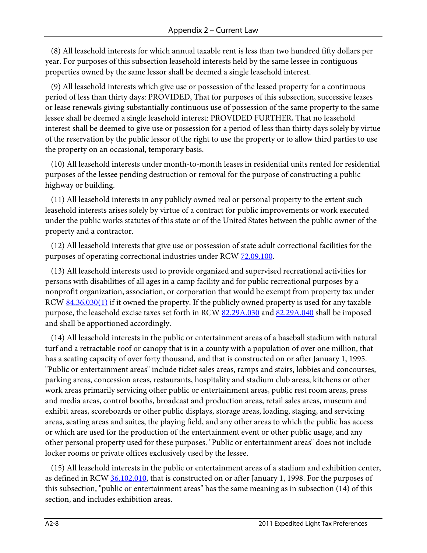(8) All leasehold interests for which annual taxable rent is less than two hundred fifty dollars per year. For purposes of this subsection leasehold interests held by the same lessee in contiguous properties owned by the same lessor shall be deemed a single leasehold interest.

 (9) All leasehold interests which give use or possession of the leased property for a continuous period of less than thirty days: PROVIDED, That for purposes of this subsection, successive leases or lease renewals giving substantially continuous use of possession of the same property to the same lessee shall be deemed a single leasehold interest: PROVIDED FURTHER, That no leasehold interest shall be deemed to give use or possession for a period of less than thirty days solely by virtue of the reservation by the public lessor of the right to use the property or to allow third parties to use the property on an occasional, temporary basis.

 (10) All leasehold interests under month-to-month leases in residential units rented for residential purposes of the lessee pending destruction or removal for the purpose of constructing a public highway or building.

 (11) All leasehold interests in any publicly owned real or personal property to the extent such leasehold interests arises solely by virtue of a contract for public improvements or work executed under the public works statutes of this state or of the United States between the public owner of the property and a contractor.

 (12) All leasehold interests that give use or possession of state adult correctional facilities for the purposes of operating correctional industries under RCW [72.09.100.](http://apps.leg.wa.gov/RCW/default.aspx?cite=72.09.100)

 (13) All leasehold interests used to provide organized and supervised recreational activities for persons with disabilities of all ages in a camp facility and for public recreational purposes by a nonprofit organization, association, or corporation that would be exempt from property tax under RCW [84.36.030\(1\)](http://apps.leg.wa.gov/RCW/default.aspx?cite=84.36.030) if it owned the property. If the publicly owned property is used for any taxable purpose, the leasehold excise taxes set forth in RCW [82.29A.030](http://apps.leg.wa.gov/RCW/default.aspx?cite=82.29A.030) an[d 82.29A.040](http://apps.leg.wa.gov/RCW/default.aspx?cite=82.29A.040) shall be imposed and shall be apportioned accordingly.

 (14) All leasehold interests in the public or entertainment areas of a baseball stadium with natural turf and a retractable roof or canopy that is in a county with a population of over one million, that has a seating capacity of over forty thousand, and that is constructed on or after January 1, 1995. "Public or entertainment areas" include ticket sales areas, ramps and stairs, lobbies and concourses, parking areas, concession areas, restaurants, hospitality and stadium club areas, kitchens or other work areas primarily servicing other public or entertainment areas, public rest room areas, press and media areas, control booths, broadcast and production areas, retail sales areas, museum and exhibit areas, scoreboards or other public displays, storage areas, loading, staging, and servicing areas, seating areas and suites, the playing field, and any other areas to which the public has access or which are used for the production of the entertainment event or other public usage, and any other personal property used for these purposes. "Public or entertainment areas" does not include locker rooms or private offices exclusively used by the lessee.

 (15) All leasehold interests in the public or entertainment areas of a stadium and exhibition center, as defined in RCW [36.102.010,](http://apps.leg.wa.gov/RCW/default.aspx?cite=36.102.010) that is constructed on or after January 1, 1998. For the purposes of this subsection, "public or entertainment areas" has the same meaning as in subsection (14) of this section, and includes exhibition areas.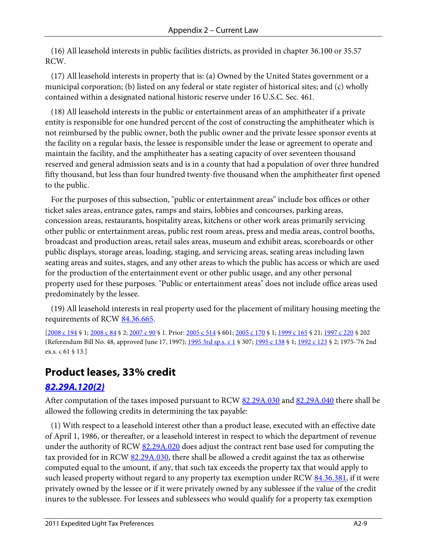(16) All leasehold interests in public facilities districts, as provided in chapter 36.100 or 35.57 RCW.

 (17) All leasehold interests in property that is: (a) Owned by the United States government or a municipal corporation; (b) listed on any federal or state register of historical sites; and (c) wholly contained within a designated national historic reserve under 16 U.S.C. Sec. 461.

 (18) All leasehold interests in the public or entertainment areas of an amphitheater if a private entity is responsible for one hundred percent of the cost of constructing the amphitheater which is not reimbursed by the public owner, both the public owner and the private lessee sponsor events at the facility on a regular basis, the lessee is responsible under the lease or agreement to operate and maintain the facility, and the amphitheater has a seating capacity of over seventeen thousand reserved and general admission seats and is in a county that had a population of over three hundred fifty thousand, but less than four hundred twenty-five thousand when the amphitheater first opened to the public.

 For the purposes of this subsection, "public or entertainment areas" include box offices or other ticket sales areas, entrance gates, ramps and stairs, lobbies and concourses, parking areas, concession areas, restaurants, hospitality areas, kitchens or other work areas primarily servicing other public or entertainment areas, public rest room areas, press and media areas, control booths, broadcast and production areas, retail sales areas, museum and exhibit areas, scoreboards or other public displays, storage areas, loading, staging, and servicing areas, seating areas including lawn seating areas and suites, stages, and any other areas to which the public has access or which are used for the production of the entertainment event or other public usage, and any other personal property used for these purposes. "Public or entertainment areas" does not include office areas used predominately by the lessee.

 (19) All leasehold interests in real property used for the placement of military housing meeting the requirements of RCW [84.36.665.](http://apps.leg.wa.gov/RCW/default.aspx?cite=84.36.665)

[\[2008 c 194](http://apps.leg.wa.gov/billinfo/summary.aspx?bill=2460&year=2008) § 1[; 2008 c 84](http://apps.leg.wa.gov/billinfo/summary.aspx?bill=6389&year=2008) § 2[; 2007 c 90](http://apps.leg.wa.gov/billinfo/summary.aspx?bill=5607&year=2007) § 1. Prior: [2005 c 514](http://apps.leg.wa.gov/billinfo/summary.aspx?bill=2314&year=2005) § 601[; 2005 c 170](http://apps.leg.wa.gov/billinfo/summary.aspx?bill=5154&year=2005) § 1; [1999 c 165](http://apps.leg.wa.gov/billinfo/summary.aspx?bill=5452&year=1999) § 21[; 1997 c 220](http://apps.leg.wa.gov/billinfo/summary.aspx?bill=2192&year=1997) § 202 (Referendum Bill No. 48, approved June 17, 1997)[; 1995 3rd sp.s. c 1](http://apps.leg.wa.gov/billinfo/summary.aspx?bill=2115&year=1995) § 307; [1995 c 138](http://apps.leg.wa.gov/billinfo/summary.aspx?bill=1163&year=1995) § 1; [1992 c 123](http://apps.leg.wa.gov/billinfo/summary.aspx?bill=2268&year=1992) § 2; 1975-'76 2nd ex.s. c 61 § 13.]

### **Product leases, 33% credit**

#### *[82.29A.120\(2\)](http://apps.leg.wa.gov/RCW/default.aspx?cite=82.29A.120)*

After computation of the taxes imposed pursuant to RCW [82.29A.030](http://apps.leg.wa.gov/RCW/default.aspx?cite=82.29A.030) an[d 82.29A.040](http://apps.leg.wa.gov/RCW/default.aspx?cite=82.29A.040) there shall be allowed the following credits in determining the tax payable:

 (1) With respect to a leasehold interest other than a product lease, executed with an effective date of April 1, 1986, or thereafter, or a leasehold interest in respect to which the department of revenue under the authority of RCW [82.29A.020](http://apps.leg.wa.gov/RCW/default.aspx?cite=82.29A.020) does adjust the contract rent base used for computing the tax provided for in RCW [82.29A.030,](http://apps.leg.wa.gov/RCW/default.aspx?cite=82.29A.030) there shall be allowed a credit against the tax as otherwise computed equal to the amount, if any, that such tax exceeds the property tax that would apply to such leased property without regard to any property tax exemption under RCW [84.36.381,](http://apps.leg.wa.gov/RCW/default.aspx?cite=84.36.381) if it were privately owned by the lessee or if it were privately owned by any sublessee if the value of the credit inures to the sublessee. For lessees and sublessees who would qualify for a property tax exemption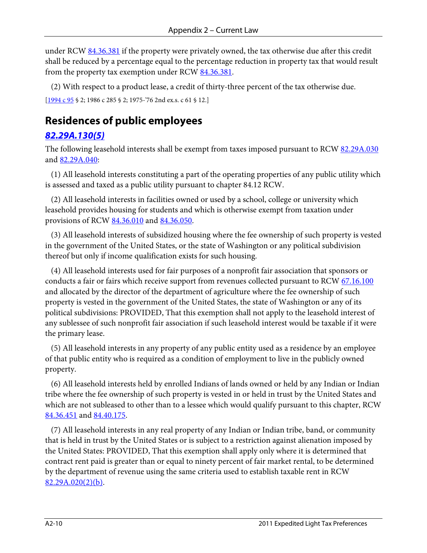under RCW [84.36.381](http://apps.leg.wa.gov/RCW/default.aspx?cite=84.36.381) if the property were privately owned, the tax otherwise due after this credit shall be reduced by a percentage equal to the percentage reduction in property tax that would result from the property tax exemption under RCW [84.36.381.](http://apps.leg.wa.gov/RCW/default.aspx?cite=84.36.381)

(2) With respect to a product lease, a credit of thirty-three percent of the tax otherwise due.

[\[1994 c 95](http://apps.leg.wa.gov/billinfo/summary.aspx?bill=2582&year=1994) § 2; 1986 c 285 § 2; 1975-'76 2nd ex.s. c 61 § 12.]

### **Residences of public employees**

#### *[82.29A.130\(5\)](http://apps.leg.wa.gov/RCW/default.aspx?cite=82.29A.130)*

The following leasehold interests shall be exempt from taxes imposed pursuant to RC[W 82.29A.030](http://apps.leg.wa.gov/RCW/default.aspx?cite=82.29A.030) an[d 82.29A.040:](http://apps.leg.wa.gov/RCW/default.aspx?cite=82.29A.040)

 (1) All leasehold interests constituting a part of the operating properties of any public utility which is assessed and taxed as a public utility pursuant to chapter 84.12 RCW.

 (2) All leasehold interests in facilities owned or used by a school, college or university which leasehold provides housing for students and which is otherwise exempt from taxation under provisions of RCW [84.36.010](http://apps.leg.wa.gov/RCW/default.aspx?cite=84.36.010) and [84.36.050.](http://apps.leg.wa.gov/RCW/default.aspx?cite=84.36.050)

 (3) All leasehold interests of subsidized housing where the fee ownership of such property is vested in the government of the United States, or the state of Washington or any political subdivision thereof but only if income qualification exists for such housing.

 (4) All leasehold interests used for fair purposes of a nonprofit fair association that sponsors or conducts a fair or fairs which receive support from revenues collected pursuant to RCW  $67.16.100$ and allocated by the director of the department of agriculture where the fee ownership of such property is vested in the government of the United States, the state of Washington or any of its political subdivisions: PROVIDED, That this exemption shall not apply to the leasehold interest of any sublessee of such nonprofit fair association if such leasehold interest would be taxable if it were the primary lease.

 (5) All leasehold interests in any property of any public entity used as a residence by an employee of that public entity who is required as a condition of employment to live in the publicly owned property.

 (6) All leasehold interests held by enrolled Indians of lands owned or held by any Indian or Indian tribe where the fee ownership of such property is vested in or held in trust by the United States and which are not subleased to other than to a lessee which would qualify pursuant to this chapter, RCW [84.36.451](http://apps.leg.wa.gov/RCW/default.aspx?cite=84.36.451) and [84.40.175.](http://apps.leg.wa.gov/RCW/default.aspx?cite=84.40.175)

 (7) All leasehold interests in any real property of any Indian or Indian tribe, band, or community that is held in trust by the United States or is subject to a restriction against alienation imposed by the United States: PROVIDED, That this exemption shall apply only where it is determined that contract rent paid is greater than or equal to ninety percent of fair market rental, to be determined by the department of revenue using the same criteria used to establish taxable rent in RCW [82.29A.020\(2\)\(b\).](http://apps.leg.wa.gov/RCW/default.aspx?cite=82.29A.020)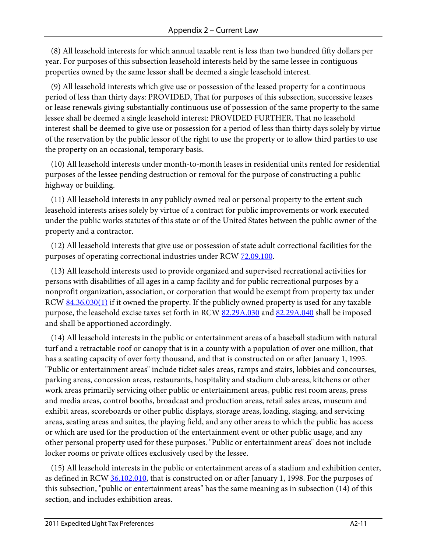(8) All leasehold interests for which annual taxable rent is less than two hundred fifty dollars per year. For purposes of this subsection leasehold interests held by the same lessee in contiguous properties owned by the same lessor shall be deemed a single leasehold interest.

 (9) All leasehold interests which give use or possession of the leased property for a continuous period of less than thirty days: PROVIDED, That for purposes of this subsection, successive leases or lease renewals giving substantially continuous use of possession of the same property to the same lessee shall be deemed a single leasehold interest: PROVIDED FURTHER, That no leasehold interest shall be deemed to give use or possession for a period of less than thirty days solely by virtue of the reservation by the public lessor of the right to use the property or to allow third parties to use the property on an occasional, temporary basis.

 (10) All leasehold interests under month-to-month leases in residential units rented for residential purposes of the lessee pending destruction or removal for the purpose of constructing a public highway or building.

 (11) All leasehold interests in any publicly owned real or personal property to the extent such leasehold interests arises solely by virtue of a contract for public improvements or work executed under the public works statutes of this state or of the United States between the public owner of the property and a contractor.

 (12) All leasehold interests that give use or possession of state adult correctional facilities for the purposes of operating correctional industries under RCW [72.09.100.](http://apps.leg.wa.gov/RCW/default.aspx?cite=72.09.100)

 (13) All leasehold interests used to provide organized and supervised recreational activities for persons with disabilities of all ages in a camp facility and for public recreational purposes by a nonprofit organization, association, or corporation that would be exempt from property tax under RCW [84.36.030\(1\)](http://apps.leg.wa.gov/RCW/default.aspx?cite=84.36.030) if it owned the property. If the publicly owned property is used for any taxable purpose, the leasehold excise taxes set forth in RCW [82.29A.030](http://apps.leg.wa.gov/RCW/default.aspx?cite=82.29A.030) an[d 82.29A.040](http://apps.leg.wa.gov/RCW/default.aspx?cite=82.29A.040) shall be imposed and shall be apportioned accordingly.

 (14) All leasehold interests in the public or entertainment areas of a baseball stadium with natural turf and a retractable roof or canopy that is in a county with a population of over one million, that has a seating capacity of over forty thousand, and that is constructed on or after January 1, 1995. "Public or entertainment areas" include ticket sales areas, ramps and stairs, lobbies and concourses, parking areas, concession areas, restaurants, hospitality and stadium club areas, kitchens or other work areas primarily servicing other public or entertainment areas, public rest room areas, press and media areas, control booths, broadcast and production areas, retail sales areas, museum and exhibit areas, scoreboards or other public displays, storage areas, loading, staging, and servicing areas, seating areas and suites, the playing field, and any other areas to which the public has access or which are used for the production of the entertainment event or other public usage, and any other personal property used for these purposes. "Public or entertainment areas" does not include locker rooms or private offices exclusively used by the lessee.

 (15) All leasehold interests in the public or entertainment areas of a stadium and exhibition center, as defined in RCW [36.102.010,](http://apps.leg.wa.gov/RCW/default.aspx?cite=36.102.010) that is constructed on or after January 1, 1998. For the purposes of this subsection, "public or entertainment areas" has the same meaning as in subsection (14) of this section, and includes exhibition areas.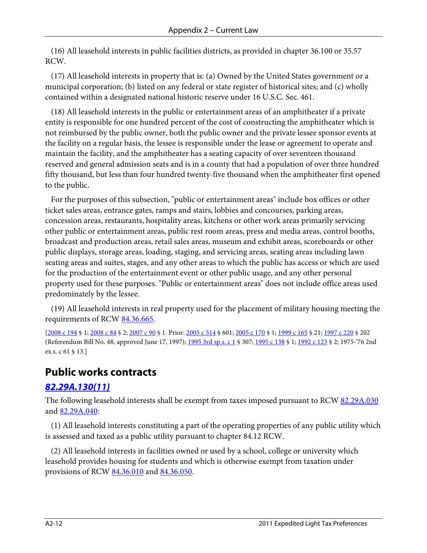(16) All leasehold interests in public facilities districts, as provided in chapter 36.100 or 35.57 RCW.

 (17) All leasehold interests in property that is: (a) Owned by the United States government or a municipal corporation; (b) listed on any federal or state register of historical sites; and (c) wholly contained within a designated national historic reserve under 16 U.S.C. Sec. 461.

 (18) All leasehold interests in the public or entertainment areas of an amphitheater if a private entity is responsible for one hundred percent of the cost of constructing the amphitheater which is not reimbursed by the public owner, both the public owner and the private lessee sponsor events at the facility on a regular basis, the lessee is responsible under the lease or agreement to operate and maintain the facility, and the amphitheater has a seating capacity of over seventeen thousand reserved and general admission seats and is in a county that had a population of over three hundred fifty thousand, but less than four hundred twenty-five thousand when the amphitheater first opened to the public.

 For the purposes of this subsection, "public or entertainment areas" include box offices or other ticket sales areas, entrance gates, ramps and stairs, lobbies and concourses, parking areas, concession areas, restaurants, hospitality areas, kitchens or other work areas primarily servicing other public or entertainment areas, public rest room areas, press and media areas, control booths, broadcast and production areas, retail sales areas, museum and exhibit areas, scoreboards or other public displays, storage areas, loading, staging, and servicing areas, seating areas including lawn seating areas and suites, stages, and any other areas to which the public has access or which are used for the production of the entertainment event or other public usage, and any other personal property used for these purposes. "Public or entertainment areas" does not include office areas used predominately by the lessee.

 (19) All leasehold interests in real property used for the placement of military housing meeting the requirements of RCW [84.36.665.](http://apps.leg.wa.gov/RCW/default.aspx?cite=84.36.665)

[\[2008 c 194](http://apps.leg.wa.gov/billinfo/summary.aspx?bill=2460&year=2008) § 1[; 2008 c 84](http://apps.leg.wa.gov/billinfo/summary.aspx?bill=6389&year=2008) § 2[; 2007 c 90](http://apps.leg.wa.gov/billinfo/summary.aspx?bill=5607&year=2007) § 1. Prior: [2005 c 514](http://apps.leg.wa.gov/billinfo/summary.aspx?bill=2314&year=2005) § 601[; 2005 c 170](http://apps.leg.wa.gov/billinfo/summary.aspx?bill=5154&year=2005) § 1; [1999 c 165](http://apps.leg.wa.gov/billinfo/summary.aspx?bill=5452&year=1999) § 21[; 1997 c 220](http://apps.leg.wa.gov/billinfo/summary.aspx?bill=2192&year=1997) § 202 (Referendum Bill No. 48, approved June 17, 1997)[; 1995 3rd sp.s. c 1](http://apps.leg.wa.gov/billinfo/summary.aspx?bill=2115&year=1995) § 307; [1995 c 138](http://apps.leg.wa.gov/billinfo/summary.aspx?bill=1163&year=1995) § 1; [1992 c 123](http://apps.leg.wa.gov/billinfo/summary.aspx?bill=2268&year=1992) § 2; 1975-'76 2nd ex.s. c 61 § 13.]

### **Public works contracts**

#### *[82.29A.130\(11\)](http://apps.leg.wa.gov/RCW/default.aspx?cite=82.29A.130)*

The following leasehold interests shall be exempt from taxes imposed pursuant to RC[W 82.29A.030](http://apps.leg.wa.gov/RCW/default.aspx?cite=82.29A.030) an[d 82.29A.040:](http://apps.leg.wa.gov/RCW/default.aspx?cite=82.29A.040)

 (1) All leasehold interests constituting a part of the operating properties of any public utility which is assessed and taxed as a public utility pursuant to chapter 84.12 RCW.

 (2) All leasehold interests in facilities owned or used by a school, college or university which leasehold provides housing for students and which is otherwise exempt from taxation under provisions of RCW [84.36.010](http://apps.leg.wa.gov/RCW/default.aspx?cite=84.36.010) and [84.36.050.](http://apps.leg.wa.gov/RCW/default.aspx?cite=84.36.050)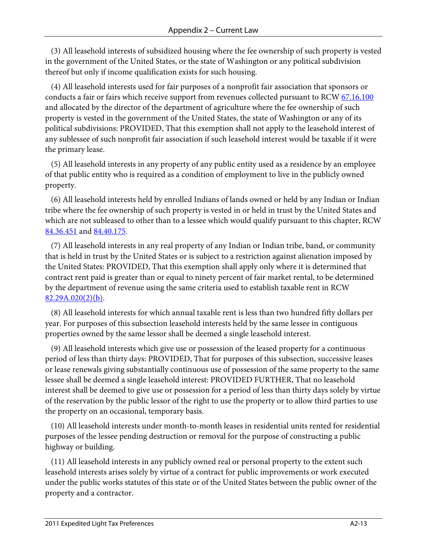(3) All leasehold interests of subsidized housing where the fee ownership of such property is vested in the government of the United States, or the state of Washington or any political subdivision thereof but only if income qualification exists for such housing.

 (4) All leasehold interests used for fair purposes of a nonprofit fair association that sponsors or conducts a fair or fairs which receive support from revenues collected pursuant to RC[W 67.16.100](http://apps.leg.wa.gov/RCW/default.aspx?cite=67.16.100) and allocated by the director of the department of agriculture where the fee ownership of such property is vested in the government of the United States, the state of Washington or any of its political subdivisions: PROVIDED, That this exemption shall not apply to the leasehold interest of any sublessee of such nonprofit fair association if such leasehold interest would be taxable if it were the primary lease.

 (5) All leasehold interests in any property of any public entity used as a residence by an employee of that public entity who is required as a condition of employment to live in the publicly owned property.

 (6) All leasehold interests held by enrolled Indians of lands owned or held by any Indian or Indian tribe where the fee ownership of such property is vested in or held in trust by the United States and which are not subleased to other than to a lessee which would qualify pursuant to this chapter, RCW [84.36.451](http://apps.leg.wa.gov/RCW/default.aspx?cite=84.36.451) and [84.40.175.](http://apps.leg.wa.gov/RCW/default.aspx?cite=84.40.175)

 (7) All leasehold interests in any real property of any Indian or Indian tribe, band, or community that is held in trust by the United States or is subject to a restriction against alienation imposed by the United States: PROVIDED, That this exemption shall apply only where it is determined that contract rent paid is greater than or equal to ninety percent of fair market rental, to be determined by the department of revenue using the same criteria used to establish taxable rent in RCW [82.29A.020\(2\)\(b\).](http://apps.leg.wa.gov/RCW/default.aspx?cite=82.29A.020)

 (8) All leasehold interests for which annual taxable rent is less than two hundred fifty dollars per year. For purposes of this subsection leasehold interests held by the same lessee in contiguous properties owned by the same lessor shall be deemed a single leasehold interest.

 (9) All leasehold interests which give use or possession of the leased property for a continuous period of less than thirty days: PROVIDED, That for purposes of this subsection, successive leases or lease renewals giving substantially continuous use of possession of the same property to the same lessee shall be deemed a single leasehold interest: PROVIDED FURTHER, That no leasehold interest shall be deemed to give use or possession for a period of less than thirty days solely by virtue of the reservation by the public lessor of the right to use the property or to allow third parties to use the property on an occasional, temporary basis.

 (10) All leasehold interests under month-to-month leases in residential units rented for residential purposes of the lessee pending destruction or removal for the purpose of constructing a public highway or building.

 (11) All leasehold interests in any publicly owned real or personal property to the extent such leasehold interests arises solely by virtue of a contract for public improvements or work executed under the public works statutes of this state or of the United States between the public owner of the property and a contractor.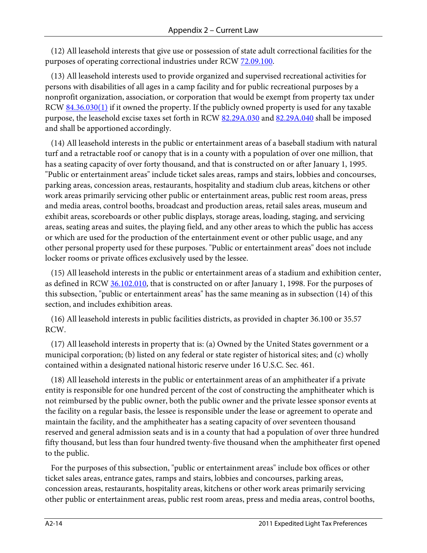(12) All leasehold interests that give use or possession of state adult correctional facilities for the purposes of operating correctional industries under RCW [72.09.100.](http://apps.leg.wa.gov/RCW/default.aspx?cite=72.09.100)

 (13) All leasehold interests used to provide organized and supervised recreational activities for persons with disabilities of all ages in a camp facility and for public recreational purposes by a nonprofit organization, association, or corporation that would be exempt from property tax under RCW [84.36.030\(1\)](http://apps.leg.wa.gov/RCW/default.aspx?cite=84.36.030) if it owned the property. If the publicly owned property is used for any taxable purpose, the leasehold excise taxes set forth in RCW [82.29A.030](http://apps.leg.wa.gov/RCW/default.aspx?cite=82.29A.030) an[d 82.29A.040](http://apps.leg.wa.gov/RCW/default.aspx?cite=82.29A.040) shall be imposed and shall be apportioned accordingly.

 (14) All leasehold interests in the public or entertainment areas of a baseball stadium with natural turf and a retractable roof or canopy that is in a county with a population of over one million, that has a seating capacity of over forty thousand, and that is constructed on or after January 1, 1995. "Public or entertainment areas" include ticket sales areas, ramps and stairs, lobbies and concourses, parking areas, concession areas, restaurants, hospitality and stadium club areas, kitchens or other work areas primarily servicing other public or entertainment areas, public rest room areas, press and media areas, control booths, broadcast and production areas, retail sales areas, museum and exhibit areas, scoreboards or other public displays, storage areas, loading, staging, and servicing areas, seating areas and suites, the playing field, and any other areas to which the public has access or which are used for the production of the entertainment event or other public usage, and any other personal property used for these purposes. "Public or entertainment areas" does not include locker rooms or private offices exclusively used by the lessee.

 (15) All leasehold interests in the public or entertainment areas of a stadium and exhibition center, as defined in RCW [36.102.010,](http://apps.leg.wa.gov/RCW/default.aspx?cite=36.102.010) that is constructed on or after January 1, 1998. For the purposes of this subsection, "public or entertainment areas" has the same meaning as in subsection (14) of this section, and includes exhibition areas.

 (16) All leasehold interests in public facilities districts, as provided in chapter 36.100 or 35.57 RCW.

 (17) All leasehold interests in property that is: (a) Owned by the United States government or a municipal corporation; (b) listed on any federal or state register of historical sites; and (c) wholly contained within a designated national historic reserve under 16 U.S.C. Sec. 461.

 (18) All leasehold interests in the public or entertainment areas of an amphitheater if a private entity is responsible for one hundred percent of the cost of constructing the amphitheater which is not reimbursed by the public owner, both the public owner and the private lessee sponsor events at the facility on a regular basis, the lessee is responsible under the lease or agreement to operate and maintain the facility, and the amphitheater has a seating capacity of over seventeen thousand reserved and general admission seats and is in a county that had a population of over three hundred fifty thousand, but less than four hundred twenty-five thousand when the amphitheater first opened to the public.

 For the purposes of this subsection, "public or entertainment areas" include box offices or other ticket sales areas, entrance gates, ramps and stairs, lobbies and concourses, parking areas, concession areas, restaurants, hospitality areas, kitchens or other work areas primarily servicing other public or entertainment areas, public rest room areas, press and media areas, control booths,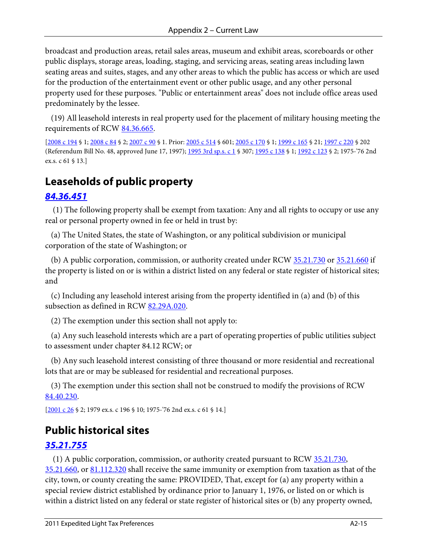broadcast and production areas, retail sales areas, museum and exhibit areas, scoreboards or other public displays, storage areas, loading, staging, and servicing areas, seating areas including lawn seating areas and suites, stages, and any other areas to which the public has access or which are used for the production of the entertainment event or other public usage, and any other personal property used for these purposes. "Public or entertainment areas" does not include office areas used predominately by the lessee.

 (19) All leasehold interests in real property used for the placement of military housing meeting the requirements of RCW [84.36.665.](http://apps.leg.wa.gov/RCW/default.aspx?cite=84.36.665)

[\[2008 c 194](http://apps.leg.wa.gov/billinfo/summary.aspx?bill=2460&year=2008) § 1[; 2008 c 84](http://apps.leg.wa.gov/billinfo/summary.aspx?bill=6389&year=2008) § 2[; 2007 c 90](http://apps.leg.wa.gov/billinfo/summary.aspx?bill=5607&year=2007) § 1. Prior: [2005 c 514](http://apps.leg.wa.gov/billinfo/summary.aspx?bill=2314&year=2005) § 601[; 2005 c 170](http://apps.leg.wa.gov/billinfo/summary.aspx?bill=5154&year=2005) § 1; [1999 c 165](http://apps.leg.wa.gov/billinfo/summary.aspx?bill=5452&year=1999) § 21[; 1997 c 220](http://apps.leg.wa.gov/billinfo/summary.aspx?bill=2192&year=1997) § 202 (Referendum Bill No. 48, approved June 17, 1997)[; 1995 3rd sp.s. c 1](http://apps.leg.wa.gov/billinfo/summary.aspx?bill=2115&year=1995) § 307; [1995 c 138](http://apps.leg.wa.gov/billinfo/summary.aspx?bill=1163&year=1995) § 1; [1992 c 123](http://apps.leg.wa.gov/billinfo/summary.aspx?bill=2268&year=1992) § 2; 1975-'76 2nd ex.s. c 61 § 13.]

### **Leaseholds of public property**

#### *[84.36.451](http://apps.leg.wa.gov/RCW/default.aspx?cite=84.36.451)*

 (1) The following property shall be exempt from taxation: Any and all rights to occupy or use any real or personal property owned in fee or held in trust by:

 (a) The United States, the state of Washington, or any political subdivision or municipal corporation of the state of Washington; or

(b) A public corporation, commission, or authority created under RC[W 35.21.730](http://apps.leg.wa.gov/RCW/default.aspx?cite=35.21.730) or [35.21.660](http://apps.leg.wa.gov/RCW/default.aspx?cite=35.21.660) if the property is listed on or is within a district listed on any federal or state register of historical sites; and

 (c) Including any leasehold interest arising from the property identified in (a) and (b) of this subsection as defined in RCW [82.29A.020.](http://apps.leg.wa.gov/RCW/default.aspx?cite=82.29A.020)

(2) The exemption under this section shall not apply to:

 (a) Any such leasehold interests which are a part of operating properties of public utilities subject to assessment under chapter 84.12 RCW; or

 (b) Any such leasehold interest consisting of three thousand or more residential and recreational lots that are or may be subleased for residential and recreational purposes.

 (3) The exemption under this section shall not be construed to modify the provisions of RCW [84.40.230.](http://apps.leg.wa.gov/RCW/default.aspx?cite=84.40.230)

[\[2001 c 26](http://apps.leg.wa.gov/billinfo/summary.aspx?bill=1055&year=2001) § 2; 1979 ex.s. c 196 § 10; 1975-'76 2nd ex.s. c 61 § 14.]

#### **Public historical sites**

#### *[35.21.755](http://apps.leg.wa.gov/RCW/default.aspx?cite=35.21.755)*

 (1) A public corporation, commission, or authority created pursuant to RCW [35.21.730,](http://apps.leg.wa.gov/RCW/default.aspx?cite=35.21.730) [35.21.660,](http://apps.leg.wa.gov/RCW/default.aspx?cite=35.21.660) or [81.112.320](http://apps.leg.wa.gov/RCW/default.aspx?cite=81.112.320) shall receive the same immunity or exemption from taxation as that of the city, town, or county creating the same: PROVIDED, That, except for (a) any property within a special review district established by ordinance prior to January 1, 1976, or listed on or which is within a district listed on any federal or state register of historical sites or (b) any property owned,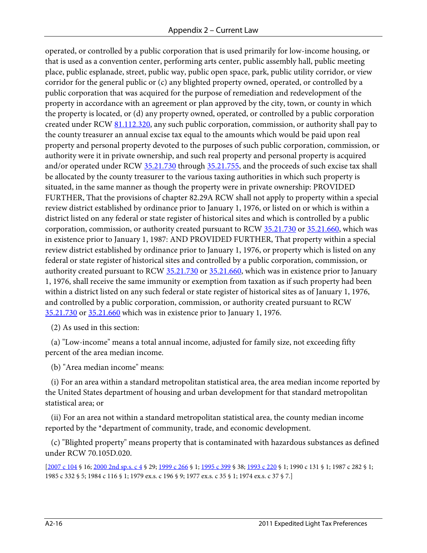operated, or controlled by a public corporation that is used primarily for low-income housing, or that is used as a convention center, performing arts center, public assembly hall, public meeting place, public esplanade, street, public way, public open space, park, public utility corridor, or view corridor for the general public or (c) any blighted property owned, operated, or controlled by a public corporation that was acquired for the purpose of remediation and redevelopment of the property in accordance with an agreement or plan approved by the city, town, or county in which the property is located, or (d) any property owned, operated, or controlled by a public corporation created under RCW [81.112.320,](http://apps.leg.wa.gov/RCW/default.aspx?cite=81.112.320) any such public corporation, commission, or authority shall pay to the county treasurer an annual excise tax equal to the amounts which would be paid upon real property and personal property devoted to the purposes of such public corporation, commission, or authority were it in private ownership, and such real property and personal property is acquired and/or operated under RC[W 35.21.730](http://apps.leg.wa.gov/RCW/default.aspx?cite=35.21.730) through [35.21.755,](http://apps.leg.wa.gov/RCW/default.aspx?cite=35.21.755) and the proceeds of such excise tax shall be allocated by the county treasurer to the various taxing authorities in which such property is situated, in the same manner as though the property were in private ownership: PROVIDED FURTHER, That the provisions of chapter 82.29A RCW shall not apply to property within a special review district established by ordinance prior to January 1, 1976, or listed on or which is within a district listed on any federal or state register of historical sites and which is controlled by a public corporation, commission, or authority created pursuant to RCW [35.21.730](http://apps.leg.wa.gov/RCW/default.aspx?cite=35.21.730) or [35.21.660,](http://apps.leg.wa.gov/RCW/default.aspx?cite=35.21.660) which was in existence prior to January 1, 1987: AND PROVIDED FURTHER, That property within a special review district established by ordinance prior to January 1, 1976, or property which is listed on any federal or state register of historical sites and controlled by a public corporation, commission, or authority created pursuant to RCW [35.21.730](http://apps.leg.wa.gov/RCW/default.aspx?cite=35.21.730) or [35.21.660,](http://apps.leg.wa.gov/RCW/default.aspx?cite=35.21.660) which was in existence prior to January 1, 1976, shall receive the same immunity or exemption from taxation as if such property had been within a district listed on any such federal or state register of historical sites as of January 1, 1976, and controlled by a public corporation, commission, or authority created pursuant to RCW [35.21.730](http://apps.leg.wa.gov/RCW/default.aspx?cite=35.21.730) or [35.21.660](http://apps.leg.wa.gov/RCW/default.aspx?cite=35.21.660) which was in existence prior to January 1, 1976.

(2) As used in this section:

 (a) "Low-income" means a total annual income, adjusted for family size, not exceeding fifty percent of the area median income.

(b) "Area median income" means:

 (i) For an area within a standard metropolitan statistical area, the area median income reported by the United States department of housing and urban development for that standard metropolitan statistical area; or

 (ii) For an area not within a standard metropolitan statistical area, the county median income reported by the \*department of community, trade, and economic development.

 (c) "Blighted property" means property that is contaminated with hazardous substances as defined under RCW 70.105D.020.

[\[2007 c 104](http://apps.leg.wa.gov/billinfo/summary.aspx?bill=5421&year=2007) § 16; [2000 2nd sp.s. c 4](http://apps.leg.wa.gov/billinfo/summary.aspx?bill=6856&year=2000) § 29[; 1999 c 266](http://apps.leg.wa.gov/billinfo/summary.aspx?bill=6065&year=1999) § 1[; 1995 c 399](http://apps.leg.wa.gov/billinfo/summary.aspx?bill=1014&year=1995) § 38[; 1993 c 220](http://apps.leg.wa.gov/billinfo/summary.aspx?bill=5835&year=1993) § 1; 1990 c 131 § 1; 1987 c 282 § 1; 1985 c 332 § 5; 1984 c 116 § 1; 1979 ex.s. c 196 § 9; 1977 ex.s. c 35 § 1; 1974 ex.s. c 37 § 7.]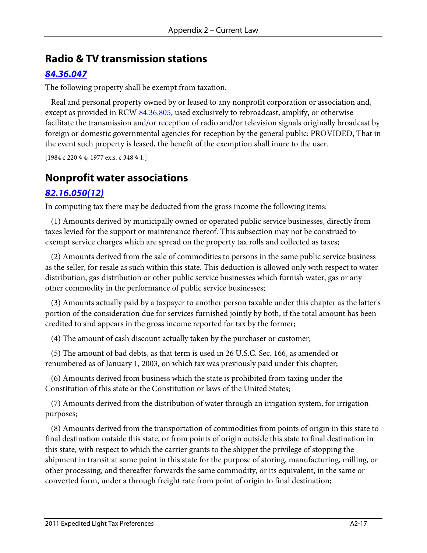#### **Radio & TV transmission stations**

#### *[84.36.047](http://apps.leg.wa.gov/RCW/default.aspx?cite=84.36.047)*

The following property shall be exempt from taxation:

 Real and personal property owned by or leased to any nonprofit corporation or association and, except as provided in RCW [84.36.805,](http://apps.leg.wa.gov/RCW/default.aspx?cite=84.36.805) used exclusively to rebroadcast, amplify, or otherwise facilitate the transmission and/or reception of radio and/or television signals originally broadcast by foreign or domestic governmental agencies for reception by the general public: PROVIDED, That in the event such property is leased, the benefit of the exemption shall inure to the user.

[1984 c 220 § 4; 1977 ex.s. c 348 § 1.]

#### **Nonprofit water associations**

#### *[82.16.050\(12\)](http://apps.leg.wa.gov/RCW/default.aspx?cite=82.16.050)*

In computing tax there may be deducted from the gross income the following items:

 (1) Amounts derived by municipally owned or operated public service businesses, directly from taxes levied for the support or maintenance thereof. This subsection may not be construed to exempt service charges which are spread on the property tax rolls and collected as taxes;

 (2) Amounts derived from the sale of commodities to persons in the same public service business as the seller, for resale as such within this state. This deduction is allowed only with respect to water distribution, gas distribution or other public service businesses which furnish water, gas or any other commodity in the performance of public service businesses;

 (3) Amounts actually paid by a taxpayer to another person taxable under this chapter as the latter's portion of the consideration due for services furnished jointly by both, if the total amount has been credited to and appears in the gross income reported for tax by the former;

(4) The amount of cash discount actually taken by the purchaser or customer;

 (5) The amount of bad debts, as that term is used in 26 U.S.C. Sec. 166, as amended or renumbered as of January 1, 2003, on which tax was previously paid under this chapter;

 (6) Amounts derived from business which the state is prohibited from taxing under the Constitution of this state or the Constitution or laws of the United States;

 (7) Amounts derived from the distribution of water through an irrigation system, for irrigation purposes;

 (8) Amounts derived from the transportation of commodities from points of origin in this state to final destination outside this state, or from points of origin outside this state to final destination in this state, with respect to which the carrier grants to the shipper the privilege of stopping the shipment in transit at some point in this state for the purpose of storing, manufacturing, milling, or other processing, and thereafter forwards the same commodity, or its equivalent, in the same or converted form, under a through freight rate from point of origin to final destination;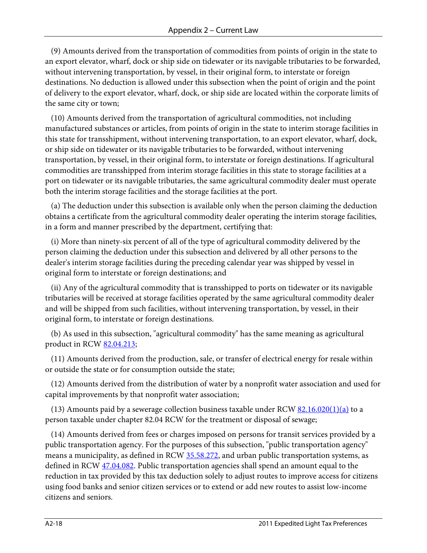(9) Amounts derived from the transportation of commodities from points of origin in the state to an export elevator, wharf, dock or ship side on tidewater or its navigable tributaries to be forwarded, without intervening transportation, by vessel, in their original form, to interstate or foreign destinations. No deduction is allowed under this subsection when the point of origin and the point of delivery to the export elevator, wharf, dock, or ship side are located within the corporate limits of the same city or town;

 (10) Amounts derived from the transportation of agricultural commodities, not including manufactured substances or articles, from points of origin in the state to interim storage facilities in this state for transshipment, without intervening transportation, to an export elevator, wharf, dock, or ship side on tidewater or its navigable tributaries to be forwarded, without intervening transportation, by vessel, in their original form, to interstate or foreign destinations. If agricultural commodities are transshipped from interim storage facilities in this state to storage facilities at a port on tidewater or its navigable tributaries, the same agricultural commodity dealer must operate both the interim storage facilities and the storage facilities at the port.

 (a) The deduction under this subsection is available only when the person claiming the deduction obtains a certificate from the agricultural commodity dealer operating the interim storage facilities, in a form and manner prescribed by the department, certifying that:

 (i) More than ninety-six percent of all of the type of agricultural commodity delivered by the person claiming the deduction under this subsection and delivered by all other persons to the dealer's interim storage facilities during the preceding calendar year was shipped by vessel in original form to interstate or foreign destinations; and

 (ii) Any of the agricultural commodity that is transshipped to ports on tidewater or its navigable tributaries will be received at storage facilities operated by the same agricultural commodity dealer and will be shipped from such facilities, without intervening transportation, by vessel, in their original form, to interstate or foreign destinations.

 (b) As used in this subsection, "agricultural commodity" has the same meaning as agricultural product in RCW [82.04.213;](http://apps.leg.wa.gov/RCW/default.aspx?cite=82.04.213)

 (11) Amounts derived from the production, sale, or transfer of electrical energy for resale within or outside the state or for consumption outside the state;

 (12) Amounts derived from the distribution of water by a nonprofit water association and used for capital improvements by that nonprofit water association;

(13) Amounts paid by a sewerage collection business taxable under RCW  $82.16.020(1)(a)$  to a person taxable under chapter 82.04 RCW for the treatment or disposal of sewage;

 (14) Amounts derived from fees or charges imposed on persons for transit services provided by a public transportation agency. For the purposes of this subsection, "public transportation agency" means a municipality, as defined in RCW [35.58.272,](http://apps.leg.wa.gov/RCW/default.aspx?cite=35.58.272) and urban public transportation systems, as defined in RCW [47.04.082.](http://apps.leg.wa.gov/RCW/default.aspx?cite=47.04.082) Public transportation agencies shall spend an amount equal to the reduction in tax provided by this tax deduction solely to adjust routes to improve access for citizens using food banks and senior citizen services or to extend or add new routes to assist low-income citizens and seniors.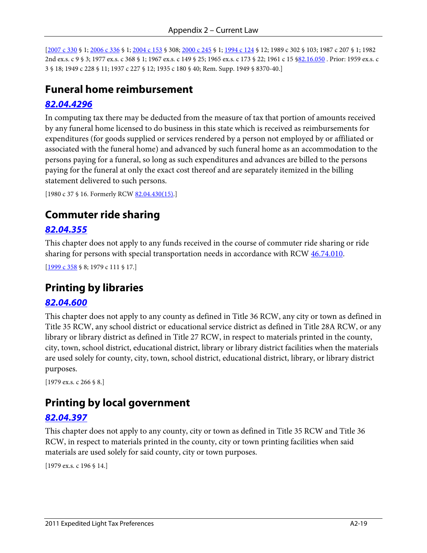[\[2007 c 330](http://apps.leg.wa.gov/billinfo/summary.aspx?bill=1443&year=2007) § 1[; 2006 c 336](http://apps.leg.wa.gov/billinfo/summary.aspx?bill=6826&year=2006) § 1[; 2004 c 153](http://apps.leg.wa.gov/billinfo/summary.aspx?bill=6515&year=2004) § 308; [2000 c 245](http://apps.leg.wa.gov/billinfo/summary.aspx?bill=2755&year=2000) § 1; [1994 c 124](http://apps.leg.wa.gov/billinfo/summary.aspx?bill=2479&year=1994) § 12; 1989 c 302 § 103; 1987 c 207 § 1; 1982 2nd ex.s. c 9 § 3; 1977 ex.s. c 368 § 1; 1967 ex.s. c 149 § 25; 1965 ex.s. c 173 § 22; 1961 c 15 [§82.16.050](http://apps.leg.wa.gov/RCW/default.aspx?cite=82.16.050) . Prior: 1959 ex.s. c 3 § 18; 1949 c 228 § 11; 1937 c 227 § 12; 1935 c 180 § 40; Rem. Supp. 1949 § 8370-40.]

## **Funeral home reimbursement**

#### *[82.04.4296](http://apps.leg.wa.gov/RCW/default.aspx?cite=82.04.4296)*

In computing tax there may be deducted from the measure of tax that portion of amounts received by any funeral home licensed to do business in this state which is received as reimbursements for expenditures (for goods supplied or services rendered by a person not employed by or affiliated or associated with the funeral home) and advanced by such funeral home as an accommodation to the persons paying for a funeral, so long as such expenditures and advances are billed to the persons paying for the funeral at only the exact cost thereof and are separately itemized in the billing statement delivered to such persons.

```
 82.04.430(15).]
```
## **Commuter ride sharing**

#### *[82.04.355](http://apps.leg.wa.gov/RCW/default.aspx?cite=82.04.355)*

This chapter does not apply to any funds received in the course of commuter ride sharing or ride sharing for persons with special transportation needs in accordance with RCW  $46.74.010$ .

[\[1999 c 358](http://apps.leg.wa.gov/billinfo/summary.aspx?bill=1623&year=1999) § 8; 1979 c 111 § 17.]

## **Printing by libraries**

#### *[82.04.600](http://apps.leg.wa.gov/RCW/default.aspx?cite=82.04.600)*

This chapter does not apply to any county as defined in Title 36 RCW, any city or town as defined in Title 35 RCW, any school district or educational service district as defined in Title 28A RCW, or any library or library district as defined in Title 27 RCW, in respect to materials printed in the county, city, town, school district, educational district, library or library district facilities when the materials are used solely for county, city, town, school district, educational district, library, or library district purposes.

[1979 ex.s. c 266 § 8.]

## **Printing by local government**

#### *[82.04.397](http://apps.leg.wa.gov/RCW/default.aspx?cite=82.04.397)*

This chapter does not apply to any county, city or town as defined in Title 35 RCW and Title 36 RCW, in respect to materials printed in the county, city or town printing facilities when said materials are used solely for said county, city or town purposes.

[1979 ex.s. c 196 § 14.]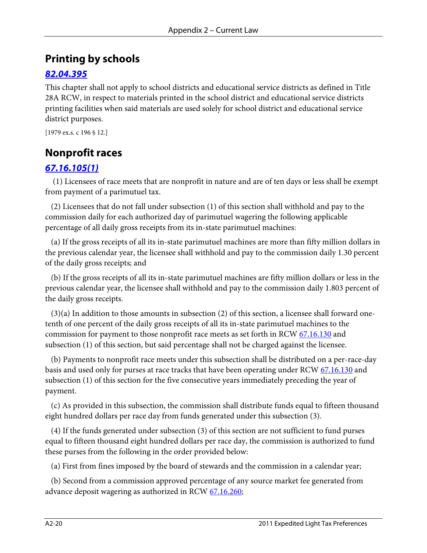# **Printing by schools**

### *[82.04.395](http://apps.leg.wa.gov/RCW/default.aspx?cite=82.04.395)*

This chapter shall not apply to school districts and educational service districts as defined in Title 28A RCW, in respect to materials printed in the school district and educational service districts printing facilities when said materials are used solely for school district and educational service district purposes.

```
[1979 ex.s. c 196 § 12.]
```
# **Nonprofit races**

### *[67.16.105\(1\)](http://apps.leg.wa.gov/RCW/default.aspx?cite=67.16.105)*

 (1) Licensees of race meets that are nonprofit in nature and are of ten days or less shall be exempt from payment of a parimutuel tax.

 (2) Licensees that do not fall under subsection (1) of this section shall withhold and pay to the commission daily for each authorized day of parimutuel wagering the following applicable percentage of all daily gross receipts from its in-state parimutuel machines:

 (a) If the gross receipts of all its in-state parimutuel machines are more than fifty million dollars in the previous calendar year, the licensee shall withhold and pay to the commission daily 1.30 percent of the daily gross receipts; and

 (b) If the gross receipts of all its in-state parimutuel machines are fifty million dollars or less in the previous calendar year, the licensee shall withhold and pay to the commission daily 1.803 percent of the daily gross receipts.

 (3)(a) In addition to those amounts in subsection (2) of this section, a licensee shall forward onetenth of one percent of the daily gross receipts of all its in-state parimutuel machines to the commission for payment to those nonprofit race meets as set forth in RCW [67.16.130](http://apps.leg.wa.gov/RCW/default.aspx?cite=67.16.130) and subsection (1) of this section, but said percentage shall not be charged against the licensee.

 (b) Payments to nonprofit race meets under this subsection shall be distributed on a per-race-day basis and used only for purses at race tracks that have been operating under RCW [67.16.130](http://apps.leg.wa.gov/RCW/default.aspx?cite=67.16.130) and subsection (1) of this section for the five consecutive years immediately preceding the year of payment.

 (c) As provided in this subsection, the commission shall distribute funds equal to fifteen thousand eight hundred dollars per race day from funds generated under this subsection (3).

 (4) If the funds generated under subsection (3) of this section are not sufficient to fund purses equal to fifteen thousand eight hundred dollars per race day, the commission is authorized to fund these purses from the following in the order provided below:

(a) First from fines imposed by the board of stewards and the commission in a calendar year;

 (b) Second from a commission approved percentage of any source market fee generated from advance deposit wagering as authorized in RC[W 67.16.260;](http://apps.leg.wa.gov/RCW/default.aspx?cite=67.16.260)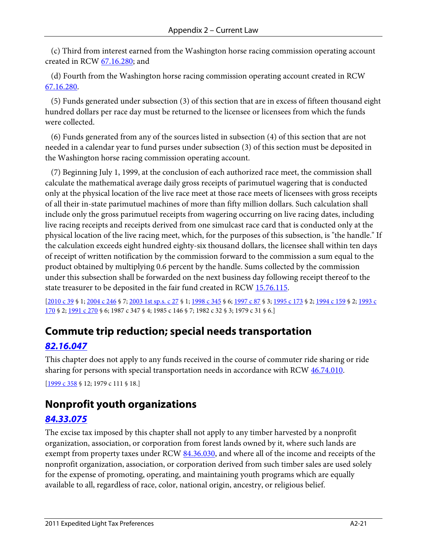(c) Third from interest earned from the Washington horse racing commission operating account created in RCW [67.16.280;](http://apps.leg.wa.gov/RCW/default.aspx?cite=67.16.280) and

 (d) Fourth from the Washington horse racing commission operating account created in RCW [67.16.280.](http://apps.leg.wa.gov/RCW/default.aspx?cite=67.16.280)

 (5) Funds generated under subsection (3) of this section that are in excess of fifteen thousand eight hundred dollars per race day must be returned to the licensee or licensees from which the funds were collected.

 (6) Funds generated from any of the sources listed in subsection (4) of this section that are not needed in a calendar year to fund purses under subsection (3) of this section must be deposited in the Washington horse racing commission operating account.

 (7) Beginning July 1, 1999, at the conclusion of each authorized race meet, the commission shall calculate the mathematical average daily gross receipts of parimutuel wagering that is conducted only at the physical location of the live race meet at those race meets of licensees with gross receipts of all their in-state parimutuel machines of more than fifty million dollars. Such calculation shall include only the gross parimutuel receipts from wagering occurring on live racing dates, including live racing receipts and receipts derived from one simulcast race card that is conducted only at the physical location of the live racing meet, which, for the purposes of this subsection, is "the handle." If the calculation exceeds eight hundred eighty-six thousand dollars, the licensee shall within ten days of receipt of written notification by the commission forward to the commission a sum equal to the product obtained by multiplying 0.6 percent by the handle. Sums collected by the commission under this subsection shall be forwarded on the next business day following receipt thereof to the state treasurer to be deposited in the fair fund created in RCW [15.76.115.](http://apps.leg.wa.gov/RCW/default.aspx?cite=15.76.115)

[\[2010 c 39](http://apps.leg.wa.gov/billinfo/summary.aspx?bill=2678&year=2010) § 1[; 2004 c 246](http://apps.leg.wa.gov/billinfo/summary.aspx?bill=2575&year=2004) § 7[; 2003 1st sp.s. c 27](http://apps.leg.wa.gov/billinfo/summary.aspx?bill=2192&year=2003) § 1; [1998 c 345](http://apps.leg.wa.gov/billinfo/summary.aspx?bill=6562&year=1998) § 6; [1997 c 87](http://apps.leg.wa.gov/billinfo/summary.aspx?bill=5762&year=1997) § 3; [1995 c 173](http://apps.leg.wa.gov/billinfo/summary.aspx?bill=1247&year=1995) § 2; [1994 c 159](http://apps.leg.wa.gov/billinfo/summary.aspx?bill=2167&year=1994) § 2[; 1993 c](http://apps.leg.wa.gov/billinfo/summary.aspx?bill=1845&year=1993)  [170](http://apps.leg.wa.gov/billinfo/summary.aspx?bill=1845&year=1993) § 2; [1991 c 270](http://apps.leg.wa.gov/billinfo/summary.aspx?bill=1120&year=1991) § 6; 1987 c 347 § 4; 1985 c 146 § 7; 1982 c 32 § 3; 1979 c 31 § 6.]

# **Commute trip reduction; special needs transportation**

### *[82.16.047](http://apps.leg.wa.gov/RCW/default.aspx?cite=82.16.047)*

This chapter does not apply to any funds received in the course of commuter ride sharing or ride sharing for persons with special transportation needs in accordance with RCW  $46.74.010$ .

[\[1999 c 358](http://apps.leg.wa.gov/billinfo/summary.aspx?bill=1623&year=1999) § 12; 1979 c 111 § 18.]

## **Nonprofit youth organizations**

#### *[84.33.075](http://apps.leg.wa.gov/RCW/default.aspx?cite=84.33.075)*

The excise tax imposed by this chapter shall not apply to any timber harvested by a nonprofit organization, association, or corporation from forest lands owned by it, where such lands are exempt from property taxes under RC[W 84.36.030,](http://apps.leg.wa.gov/RCW/default.aspx?cite=84.36.030) and where all of the income and receipts of the nonprofit organization, association, or corporation derived from such timber sales are used solely for the expense of promoting, operating, and maintaining youth programs which are equally available to all, regardless of race, color, national origin, ancestry, or religious belief.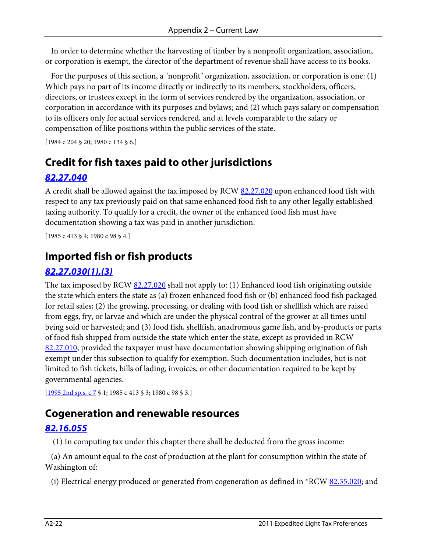In order to determine whether the harvesting of timber by a nonprofit organization, association, or corporation is exempt, the director of the department of revenue shall have access to its books.

 For the purposes of this section, a "nonprofit" organization, association, or corporation is one: (1) Which pays no part of its income directly or indirectly to its members, stockholders, officers, directors, or trustees except in the form of services rendered by the organization, association, or corporation in accordance with its purposes and bylaws; and (2) which pays salary or compensation to its officers only for actual services rendered, and at levels comparable to the salary or compensation of like positions within the public services of the state.

[1984 c 204 § 20; 1980 c 134 § 6.]

# **Credit for fish taxes paid to other jurisdictions**

### *[82.27.040](http://apps.leg.wa.gov/RCW/default.aspx?cite=82.27.040)*

A credit shall be allowed against the tax imposed by RCW [82.27.020](http://apps.leg.wa.gov/RCW/default.aspx?cite=82.27.020) upon enhanced food fish with respect to any tax previously paid on that same enhanced food fish to any other legally established taxing authority. To qualify for a credit, the owner of the enhanced food fish must have documentation showing a tax was paid in another jurisdiction.

[1985 c 413 § 4; 1980 c 98 § 4.]

# **Imported fish or fish products**

### *[82.27.030\(1\),\(3\)](http://apps.leg.wa.gov/RCW/default.aspx?cite=82.27.030)*

The tax imposed by RCW [82.27.020](http://apps.leg.wa.gov/RCW/default.aspx?cite=82.27.020) shall not apply to: (1) Enhanced food fish originating outside the state which enters the state as (a) frozen enhanced food fish or (b) enhanced food fish packaged for retail sales; (2) the growing, processing, or dealing with food fish or shellfish which are raised from eggs, fry, or larvae and which are under the physical control of the grower at all times until being sold or harvested; and (3) food fish, shellfish, anadromous game fish, and by-products or parts of food fish shipped from outside the state which enter the state, except as provided in RCW [82.27.010,](http://apps.leg.wa.gov/RCW/default.aspx?cite=82.27.010) provided the taxpayer must have documentation showing shipping origination of fish exempt under this subsection to qualify for exemption. Such documentation includes, but is not limited to fish tickets, bills of lading, invoices, or other documentation required to be kept by governmental agencies.

[\[1995 2nd sp.s. c 7](http://apps.leg.wa.gov/billinfo/summary.aspx?bill=1102&year=1995) § 1; 1985 c 413 § 3; 1980 c 98 § 3.]

## **Cogeneration and renewable resources**

#### *[82.16.055](http://apps.leg.wa.gov/RCW/default.aspx?cite=82.16.055)*

(1) In computing tax under this chapter there shall be deducted from the gross income:

 (a) An amount equal to the cost of production at the plant for consumption within the state of Washington of:

(i) Electrical energy produced or generated from cogeneration as defined in  $*RCW \underline{82.35.020}$ ; and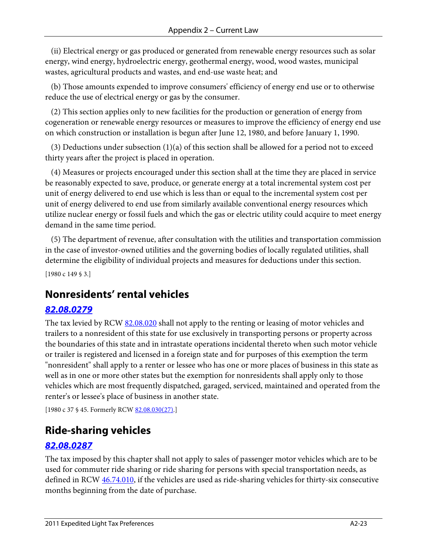(ii) Electrical energy or gas produced or generated from renewable energy resources such as solar energy, wind energy, hydroelectric energy, geothermal energy, wood, wood wastes, municipal wastes, agricultural products and wastes, and end-use waste heat; and

 (b) Those amounts expended to improve consumers' efficiency of energy end use or to otherwise reduce the use of electrical energy or gas by the consumer.

 (2) This section applies only to new facilities for the production or generation of energy from cogeneration or renewable energy resources or measures to improve the efficiency of energy end use on which construction or installation is begun after June 12, 1980, and before January 1, 1990.

(3) Deductions under subsection  $(1)(a)$  of this section shall be allowed for a period not to exceed thirty years after the project is placed in operation.

 (4) Measures or projects encouraged under this section shall at the time they are placed in service be reasonably expected to save, produce, or generate energy at a total incremental system cost per unit of energy delivered to end use which is less than or equal to the incremental system cost per unit of energy delivered to end use from similarly available conventional energy resources which utilize nuclear energy or fossil fuels and which the gas or electric utility could acquire to meet energy demand in the same time period.

 (5) The department of revenue, after consultation with the utilities and transportation commission in the case of investor-owned utilities and the governing bodies of locally regulated utilities, shall determine the eligibility of individual projects and measures for deductions under this section.

[1980 c 149 § 3.]

## **Nonresidents' rental vehicles**

#### *[82.08.0279](http://apps.leg.wa.gov/RCW/default.aspx?cite=82.08.0279)*

The tax levied by RCW [82.08.020](http://apps.leg.wa.gov/RCW/default.aspx?cite=82.08.020) shall not apply to the renting or leasing of motor vehicles and trailers to a nonresident of this state for use exclusively in transporting persons or property across the boundaries of this state and in intrastate operations incidental thereto when such motor vehicle or trailer is registered and licensed in a foreign state and for purposes of this exemption the term "nonresident" shall apply to a renter or lessee who has one or more places of business in this state as well as in one or more other states but the exemption for nonresidents shall apply only to those vehicles which are most frequently dispatched, garaged, serviced, maintained and operated from the renter's or lessee's place of business in another state.

[1980 c 37 § 45. Formerly RCW [82.08.030\(27\).\]](http://apps.leg.wa.gov/RCW/default.aspx?cite=82.08.030)

### **Ride-sharing vehicles**

#### *[82.08.0287](http://apps.leg.wa.gov/RCW/default.aspx?cite=82.08.0287)*

The tax imposed by this chapter shall not apply to sales of passenger motor vehicles which are to be used for commuter ride sharing or ride sharing for persons with special transportation needs, as defined in RCW  $46.74.010$ , if the vehicles are used as ride-sharing vehicles for thirty-six consecutive months beginning from the date of purchase.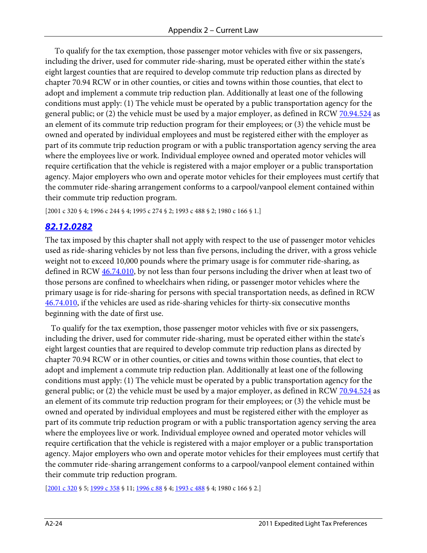To qualify for the tax exemption, those passenger motor vehicles with five or six passengers, including the driver, used for commuter ride-sharing, must be operated either within the state's eight largest counties that are required to develop commute trip reduction plans as directed by chapter [70.94](http://apps.leg.wa.gov/RCW/default.aspx?cite=70.94) RCW or in other counties, or cities and towns within those counties, that elect to adopt and implement a commute trip reduction plan. Additionally at least one of the following conditions must apply: (1) The vehicle must be operated by a public transportation agency for the general public; or (2) the vehicle must be used by a major employer, as defined in RC[W 70.94.524](http://apps.leg.wa.gov/RCW/default.aspx?cite=70.94.524) as an element of its commute trip reduction program for their employees; or (3) the vehicle must be owned and operated by individual employees and must be registered either with the employer as part of its commute trip reduction program or with a public transportation agency serving the area where the employees live or work. Individual employee owned and operated motor vehicles will require certification that the vehicle is registered with a major employer or a public transportation agency. Major employers who own and operate motor vehicles for their employees must certify that the commuter ride-sharing arrangement conforms to a carpool/vanpool element contained within their commute trip reduction program.

[2001 c 320 § 4; 1996 c 244 § 4; 1995 c 274 § 2; 1993 c 488 § 2; 1980 c 166 § 1.]

#### *[82.12.0282](http://apps.leg.wa.gov/RCW/default.aspx?cite=82.12.0282)*

The tax imposed by this chapter shall not apply with respect to the use of passenger motor vehicles used as ride-sharing vehicles by not less than five persons, including the driver, with a gross vehicle weight not to exceed 10,000 pounds where the primary usage is for commuter ride-sharing, as defined in RCW  $46.74.010$ , by not less than four persons including the driver when at least two of those persons are confined to wheelchairs when riding, or passenger motor vehicles where the primary usage is for ride-sharing for persons with special transportation needs, as defined in RCW [46.74.010,](http://apps.leg.wa.gov/RCW/default.aspx?cite=46.74.010) if the vehicles are used as ride-sharing vehicles for thirty-six consecutive months beginning with the date of first use.

 To qualify for the tax exemption, those passenger motor vehicles with five or six passengers, including the driver, used for commuter ride-sharing, must be operated either within the state's eight largest counties that are required to develop commute trip reduction plans as directed by chapter 70.94 RCW or in other counties, or cities and towns within those counties, that elect to adopt and implement a commute trip reduction plan. Additionally at least one of the following conditions must apply: (1) The vehicle must be operated by a public transportation agency for the general public; or (2) the vehicle must be used by a major employer, as defined in RC[W 70.94.524](http://apps.leg.wa.gov/RCW/default.aspx?cite=70.94.524) as an element of its commute trip reduction program for their employees; or (3) the vehicle must be owned and operated by individual employees and must be registered either with the employer as part of its commute trip reduction program or with a public transportation agency serving the area where the employees live or work. Individual employee owned and operated motor vehicles will require certification that the vehicle is registered with a major employer or a public transportation agency. Major employers who own and operate motor vehicles for their employees must certify that the commuter ride-sharing arrangement conforms to a carpool/vanpool element contained within their commute trip reduction program.

[\[2001 c 320](http://apps.leg.wa.gov/billinfo/summary.aspx?bill=1361&year=2001) § 5[; 1999 c 358](http://apps.leg.wa.gov/billinfo/summary.aspx?bill=1623&year=1999) § 11; [1996 c 88](http://apps.leg.wa.gov/billinfo/summary.aspx?bill=2591&year=1996) § 4[; 1993 c 488](http://apps.leg.wa.gov/billinfo/summary.aspx?bill=5876&year=1993) § 4; 1980 c 166 § 2.]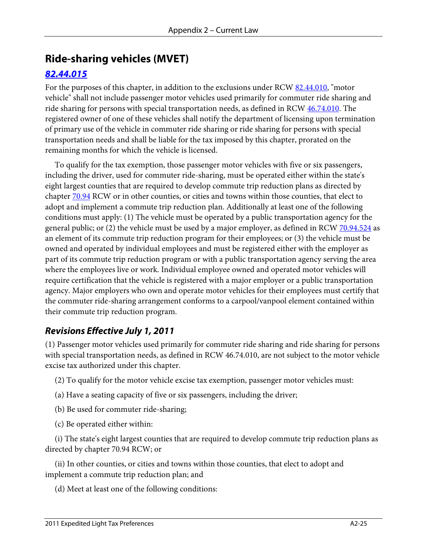# **Ride-sharing vehicles (MVET)**

### *[82.44.015](http://apps.leg.wa.gov/RCW/default.aspx?cite=82.44.015)*

For the purposes of this chapter, in addition to the exclusions under RCW [82.44.010,](http://apps.leg.wa.gov/RCW/default.aspx?cite=82.44.010) "motor vehicle" shall not include passenger motor vehicles used primarily for commuter ride sharing and ride sharing for persons with special transportation needs, as defined in RCW  $46.74.010$ . The registered owner of one of these vehicles shall notify the department of licensing upon termination of primary use of the vehicle in commuter ride sharing or ride sharing for persons with special transportation needs and shall be liable for the tax imposed by this chapter, prorated on the remaining months for which the vehicle is licensed.

 To qualify for the tax exemption, those passenger motor vehicles with five or six passengers, including the driver, used for commuter ride-sharing, must be operated either within the state's eight largest counties that are required to develop commute trip reduction plans as directed by chapter <u>70.94</u> RCW or in other counties, or cities and towns within those counties, that elect to adopt and implement a commute trip reduction plan. Additionally at least one of the following conditions must apply: (1) The vehicle must be operated by a public transportation agency for the general public; or (2) the vehicle must be used by a major employer, as defined in RC[W 70.94.524](http://apps.leg.wa.gov/RCW/default.aspx?cite=70.94.524) as an element of its commute trip reduction program for their employees; or (3) the vehicle must be owned and operated by individual employees and must be registered either with the employer as part of its commute trip reduction program or with a public transportation agency serving the area where the employees live or work. Individual employee owned and operated motor vehicles will require certification that the vehicle is registered with a major employer or a public transportation agency. Major employers who own and operate motor vehicles for their employees must certify that the commuter ride-sharing arrangement conforms to a carpool/vanpool element contained within their commute trip reduction program.

### *Revisions Effective July 1, 2011*

(1) Passenger motor vehicles used primarily for commuter ride sharing and ride sharing for persons with special transportation needs, as defined in RCW [46.74.010,](http://apps.leg.wa.gov/RCW/default.aspx?cite=46.74.010) are not subject to the motor vehicle excise tax authorized under this chapter.

- (2) To qualify for the motor vehicle excise tax exemption, passenger motor vehicles must:
- (a) Have a seating capacity of five or six passengers, including the driver;
- (b) Be used for commuter ride-sharing;
- (c) Be operated either within:

 (i) The state's eight largest counties that are required to develop commute trip reduction plans as directed by chapter [70.94](http://apps.leg.wa.gov/RCW/default.aspx?cite=70.94) RCW; or

 (ii) In other counties, or cities and towns within those counties, that elect to adopt and implement a commute trip reduction plan; and

(d) Meet at least one of the following conditions: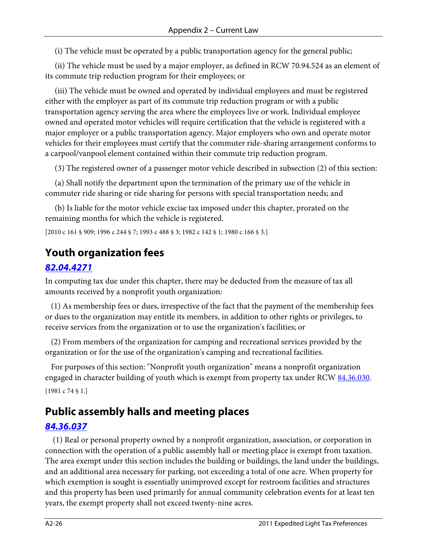(i) The vehicle must be operated by a public transportation agency for the general public;

 (ii) The vehicle must be used by a major employer, as defined in RCW [70.94.524](http://apps.leg.wa.gov/RCW/default.aspx?cite=70.94.524) as an element of its commute trip reduction program for their employees; or

 (iii) The vehicle must be owned and operated by individual employees and must be registered either with the employer as part of its commute trip reduction program or with a public transportation agency serving the area where the employees live or work. Individual employee owned and operated motor vehicles will require certification that the vehicle is registered with a major employer or a public transportation agency. Major employers who own and operate motor vehicles for their employees must certify that the commuter ride-sharing arrangement conforms to a carpool/vanpool element contained within their commute trip reduction program.

(3) The registered owner of a passenger motor vehicle described in subsection (2) of this section:

 (a) Shall notify the department upon the termination of the primary use of the vehicle in commuter ride sharing or ride sharing for persons with special transportation needs; and

 (b) Is liable for the motor vehicle excise tax imposed under this chapter, prorated on the remaining months for which the vehicle is registered.

[2010 c 161 § 909; 1996 c 244 § 7; 1993 c 488 § 3; 1982 c 142 § 1; 1980 c 166 § 3.]

# **Youth organization fees**

#### *[82.04.4271](http://apps.leg.wa.gov/RCW/default.aspx?cite=82.04.4271)*

In computing tax due under this chapter, there may be deducted from the measure of tax all amounts received by a nonprofit youth organization:

 (1) As membership fees or dues, irrespective of the fact that the payment of the membership fees or dues to the organization may entitle its members, in addition to other rights or privileges, to receive services from the organization or to use the organization's facilities; or

 (2) From members of the organization for camping and recreational services provided by the organization or for the use of the organization's camping and recreational facilities.

 For purposes of this section: "Nonprofit youth organization" means a nonprofit organization engaged in character building of youth which is exempt from property tax under RCW [84.36.030.](http://apps.leg.wa.gov/RCW/default.aspx?cite=84.36.030) [1981 c 74 § 1.]

# **Public assembly halls and meeting places**

### *[84.36.037](http://apps.leg.wa.gov/RCW/default.aspx?cite=84.36.037)*

 (1) Real or personal property owned by a nonprofit organization, association, or corporation in connection with the operation of a public assembly hall or meeting place is exempt from taxation. The area exempt under this section includes the building or buildings, the land under the buildings, and an additional area necessary for parking, not exceeding a total of one acre. When property for which exemption is sought is essentially unimproved except for restroom facilities and structures and this property has been used primarily for annual community celebration events for at least ten years, the exempt property shall not exceed twenty-nine acres.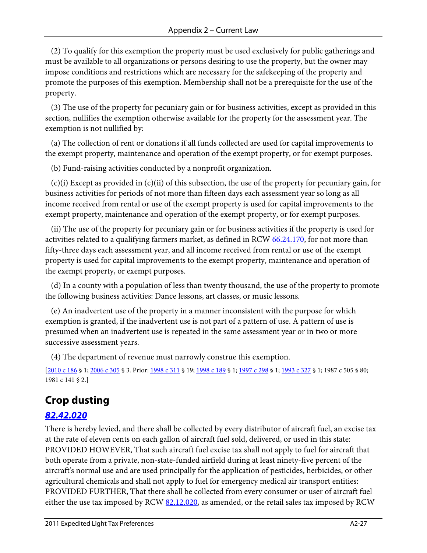(2) To qualify for this exemption the property must be used exclusively for public gatherings and must be available to all organizations or persons desiring to use the property, but the owner may impose conditions and restrictions which are necessary for the safekeeping of the property and promote the purposes of this exemption. Membership shall not be a prerequisite for the use of the property.

 (3) The use of the property for pecuniary gain or for business activities, except as provided in this section, nullifies the exemption otherwise available for the property for the assessment year. The exemption is not nullified by:

 (a) The collection of rent or donations if all funds collected are used for capital improvements to the exempt property, maintenance and operation of the exempt property, or for exempt purposes.

(b) Fund-raising activities conducted by a nonprofit organization.

 (c)(i) Except as provided in (c)(ii) of this subsection, the use of the property for pecuniary gain, for business activities for periods of not more than fifteen days each assessment year so long as all income received from rental or use of the exempt property is used for capital improvements to the exempt property, maintenance and operation of the exempt property, or for exempt purposes.

 (ii) The use of the property for pecuniary gain or for business activities if the property is used for activities related to a qualifying farmers market, as defined in RCW [66.24.170,](http://apps.leg.wa.gov/RCW/default.aspx?cite=66.24.170) for not more than fifty-three days each assessment year, and all income received from rental or use of the exempt property is used for capital improvements to the exempt property, maintenance and operation of the exempt property, or exempt purposes.

 (d) In a county with a population of less than twenty thousand, the use of the property to promote the following business activities: Dance lessons, art classes, or music lessons.

 (e) An inadvertent use of the property in a manner inconsistent with the purpose for which exemption is granted, if the inadvertent use is not part of a pattern of use. A pattern of use is presumed when an inadvertent use is repeated in the same assessment year or in two or more successive assessment years.

(4) The department of revenue must narrowly construe this exemption.

[\[2010 c 186](http://apps.leg.wa.gov/billinfo/summary.aspx?bill=2402&year=2010) § 1[; 2006 c 305](http://apps.leg.wa.gov/billinfo/summary.aspx?bill=1510&year=2006) § 3. Prior[: 1998 c 311](http://apps.leg.wa.gov/billinfo/summary.aspx?bill=2315&year=1998) § 19[; 1998 c 189](http://apps.leg.wa.gov/billinfo/summary.aspx?bill=6311&year=1998) § 1[; 1997 c 298](http://apps.leg.wa.gov/billinfo/summary.aspx?bill=5229&year=1997) § 1[; 1993 c 327](http://apps.leg.wa.gov/billinfo/summary.aspx?bill=5134&year=1993) § 1; 1987 c 505 § 80; 1981 c 141 § 2.]

# **Crop dusting**

### *[82.42.020](http://apps.leg.wa.gov/RCW/default.aspx?cite=82.42.020)*

There is hereby levied, and there shall be collected by every distributor of aircraft fuel, an excise tax at the rate of eleven cents on each gallon of aircraft fuel sold, delivered, or used in this state: PROVIDED HOWEVER, That such aircraft fuel excise tax shall not apply to fuel for aircraft that both operate from a private, non-state-funded airfield during at least ninety-five percent of the aircraft's normal use and are used principally for the application of pesticides, herbicides, or other agricultural chemicals and shall not apply to fuel for emergency medical air transport entities: PROVIDED FURTHER, That there shall be collected from every consumer or user of aircraft fuel either the use tax imposed by RCW  $82.12.020$ , as amended, or the retail sales tax imposed by RCW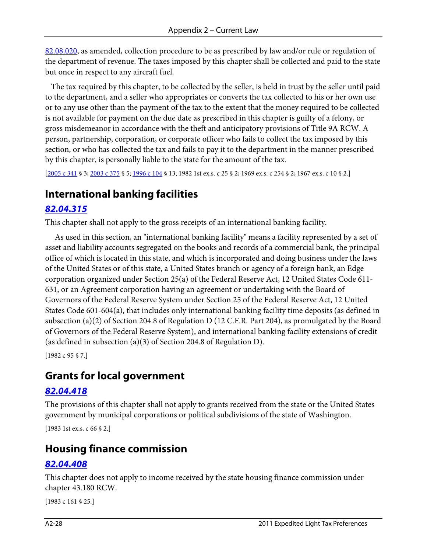[82.08.020,](http://apps.leg.wa.gov/RCW/default.aspx?cite=82.08.020) as amended, collection procedure to be as prescribed by law and/or rule or regulation of the department of revenue. The taxes imposed by this chapter shall be collected and paid to the state but once in respect to any aircraft fuel.

 The tax required by this chapter, to be collected by the seller, is held in trust by the seller until paid to the department, and a seller who appropriates or converts the tax collected to his or her own use or to any use other than the payment of the tax to the extent that the money required to be collected is not available for payment on the due date as prescribed in this chapter is guilty of a felony, or gross misdemeanor in accordance with the theft and anticipatory provisions of Title 9A RCW. A person, partnership, corporation, or corporate officer who fails to collect the tax imposed by this section, or who has collected the tax and fails to pay it to the department in the manner prescribed by this chapter, is personally liable to the state for the amount of the tax.

[\[2005 c 341](http://apps.leg.wa.gov/billinfo/summary.aspx?bill=5414&year=2005) § 3[; 2003 c 375](http://apps.leg.wa.gov/billinfo/summary.aspx?bill=6056&year=2003) § 5[; 1996 c 104](http://apps.leg.wa.gov/billinfo/summary.aspx?bill=6673&year=1996) § 13; 1982 1st ex.s. c 25 § 2; 1969 ex.s. c 254 § 2; 1967 ex.s. c 10 § 2.]

## **International banking facilities**

#### *[82.04.315](http://apps.leg.wa.gov/RCW/default.aspx?cite=82.04.315)*

This chapter shall not apply to the gross receipts of an international banking facility.

 As used in this section, an "international banking facility" means a facility represented by a set of asset and liability accounts segregated on the books and records of a commercial bank, the principal office of which is located in this state, and which is incorporated and doing business under the laws of the United States or of this state, a United States branch or agency of a foreign bank, an Edge corporation organized under Section 25(a) of the Federal Reserve Act, 12 United States Code 611- 631, or an Agreement corporation having an agreement or undertaking with the Board of Governors of the Federal Reserve System under Section 25 of the Federal Reserve Act, 12 United States Code 601-604(a), that includes only international banking facility time deposits (as defined in subsection (a)(2) of Section 204.8 of Regulation D (12 C.F.R. Part 204), as promulgated by the Board of Governors of the Federal Reserve System), and international banking facility extensions of credit (as defined in subsection (a)(3) of Section 204.8 of Regulation D).

[1982 c 95 § 7.]

## **Grants for local government**

#### *[82.04.418](http://apps.leg.wa.gov/RCW/default.aspx?cite=82.04.418)*

The provisions of this chapter shall not apply to grants received from the state or the United States government by municipal corporations or political subdivisions of the state of Washington.

[1983 1st ex.s. c 66 § 2.]

## **Housing finance commission**

#### *[82.04.408](http://apps.leg.wa.gov/RCW/default.aspx?cite=82.04.408)*

This chapter does not apply to income received by the state housing finance commission under chapter 43.180 RCW.

[1983 c 161 § 25.]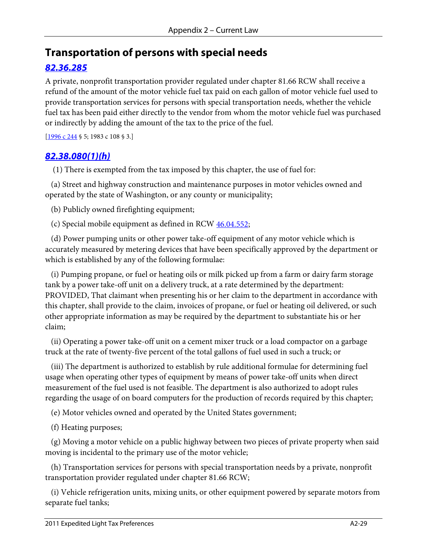## **Transportation of persons with special needs**

### *[82.36.285](http://apps.leg.wa.gov/RCW/default.aspx?cite=82.36.285)*

A private, nonprofit transportation provider regulated under chapter [81.66](http://apps.leg.wa.gov/RCW/default.aspx?cite=81.66) RCW shall receive a refund of the amount of the motor vehicle fuel tax paid on each gallon of motor vehicle fuel used to provide transportation services for persons with special transportation needs, whether the vehicle fuel tax has been paid either directly to the vendor from whom the motor vehicle fuel was purchased or indirectly by adding the amount of the tax to the price of the fuel.

[\[1996 c 244](http://apps.leg.wa.gov/billinfo/summary.aspx?bill=6699&year=1996) § 5; 1983 c 108 § 3.]

#### *[82.38.080\(1\)\(h\)](http://apps.leg.wa.gov/RCW/default.aspx?cite=82.38.080)*

(1) There is exempted from the tax imposed by this chapter, the use of fuel for:

 (a) Street and highway construction and maintenance purposes in motor vehicles owned and operated by the state of Washington, or any county or municipality;

(b) Publicly owned firefighting equipment;

(c) Special mobile equipment as defined in RCW  $46.04.552$ ;

 (d) Power pumping units or other power take-off equipment of any motor vehicle which is accurately measured by metering devices that have been specifically approved by the department or which is established by any of the following formulae:

 (i) Pumping propane, or fuel or heating oils or milk picked up from a farm or dairy farm storage tank by a power take-off unit on a delivery truck, at a rate determined by the department: PROVIDED, That claimant when presenting his or her claim to the department in accordance with this chapter, shall provide to the claim, invoices of propane, or fuel or heating oil delivered, or such other appropriate information as may be required by the department to substantiate his or her claim;

 (ii) Operating a power take-off unit on a cement mixer truck or a load compactor on a garbage truck at the rate of twenty-five percent of the total gallons of fuel used in such a truck; or

 (iii) The department is authorized to establish by rule additional formulae for determining fuel usage when operating other types of equipment by means of power take-off units when direct measurement of the fuel used is not feasible. The department is also authorized to adopt rules regarding the usage of on board computers for the production of records required by this chapter;

(e) Motor vehicles owned and operated by the United States government;

(f) Heating purposes;

 (g) Moving a motor vehicle on a public highway between two pieces of private property when said moving is incidental to the primary use of the motor vehicle;

 (h) Transportation services for persons with special transportation needs by a private, nonprofit transportation provider regulated under chapter 81.66 RCW;

 (i) Vehicle refrigeration units, mixing units, or other equipment powered by separate motors from separate fuel tanks;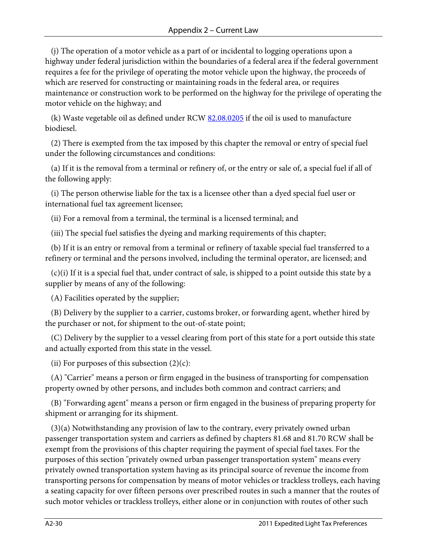(j) The operation of a motor vehicle as a part of or incidental to logging operations upon a highway under federal jurisdiction within the boundaries of a federal area if the federal government requires a fee for the privilege of operating the motor vehicle upon the highway, the proceeds of which are reserved for constructing or maintaining roads in the federal area, or requires maintenance or construction work to be performed on the highway for the privilege of operating the motor vehicle on the highway; and

(k) Waste vegetable oil as defined under RCW  $82.08.0205$  if the oil is used to manufacture biodiesel.

 (2) There is exempted from the tax imposed by this chapter the removal or entry of special fuel under the following circumstances and conditions:

 (a) If it is the removal from a terminal or refinery of, or the entry or sale of, a special fuel if all of the following apply:

 (i) The person otherwise liable for the tax is a licensee other than a dyed special fuel user or international fuel tax agreement licensee;

(ii) For a removal from a terminal, the terminal is a licensed terminal; and

(iii) The special fuel satisfies the dyeing and marking requirements of this chapter;

 (b) If it is an entry or removal from a terminal or refinery of taxable special fuel transferred to a refinery or terminal and the persons involved, including the terminal operator, are licensed; and

 (c)(i) If it is a special fuel that, under contract of sale, is shipped to a point outside this state by a supplier by means of any of the following:

(A) Facilities operated by the supplier;

 (B) Delivery by the supplier to a carrier, customs broker, or forwarding agent, whether hired by the purchaser or not, for shipment to the out-of-state point;

 (C) Delivery by the supplier to a vessel clearing from port of this state for a port outside this state and actually exported from this state in the vessel.

(ii) For purposes of this subsection  $(2)(c)$ :

 (A) "Carrier" means a person or firm engaged in the business of transporting for compensation property owned by other persons, and includes both common and contract carriers; and

 (B) "Forwarding agent" means a person or firm engaged in the business of preparing property for shipment or arranging for its shipment.

 (3)(a) Notwithstanding any provision of law to the contrary, every privately owned urban passenger transportation system and carriers as defined by chapters 81.68 and 81.70 RCW shall be exempt from the provisions of this chapter requiring the payment of special fuel taxes. For the purposes of this section "privately owned urban passenger transportation system" means every privately owned transportation system having as its principal source of revenue the income from transporting persons for compensation by means of motor vehicles or trackless trolleys, each having a seating capacity for over fifteen persons over prescribed routes in such a manner that the routes of such motor vehicles or trackless trolleys, either alone or in conjunction with routes of other such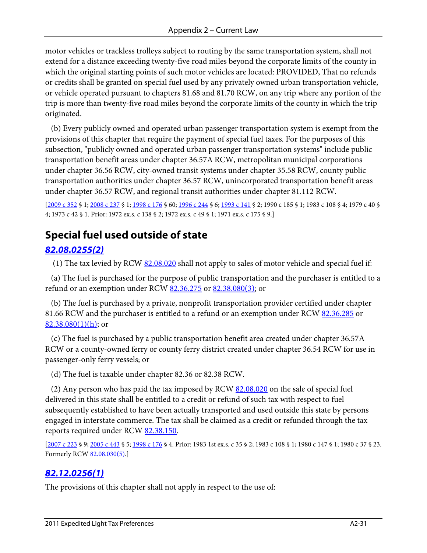motor vehicles or trackless trolleys subject to routing by the same transportation system, shall not extend for a distance exceeding twenty-five road miles beyond the corporate limits of the county in which the original starting points of such motor vehicles are located: PROVIDED, That no refunds or credits shall be granted on special fuel used by any privately owned urban transportation vehicle, or vehicle operated pursuant to chapters 81.68 and 81.70 RCW, on any trip where any portion of the trip is more than twenty-five road miles beyond the corporate limits of the county in which the trip originated.

 (b) Every publicly owned and operated urban passenger transportation system is exempt from the provisions of this chapter that require the payment of special fuel taxes. For the purposes of this subsection, "publicly owned and operated urban passenger transportation systems" include public transportation benefit areas under chapter 36.57A RCW, metropolitan municipal corporations under chapter 36.56 RCW, city-owned transit systems under chapter 35.58 RCW, county public transportation authorities under chapter 36.57 RCW, unincorporated transportation benefit areas under chapter 36.57 RCW, and regional transit authorities under chapter 81.112 RCW.

[\[2009 c 352](http://apps.leg.wa.gov/billinfo/summary.aspx?bill=1225&year=2009) § 1[; 2008 c 237](http://apps.leg.wa.gov/billinfo/summary.aspx?bill=3188&year=2008) § 1[; 1998 c 176](http://apps.leg.wa.gov/billinfo/summary.aspx?bill=2659&year=1998) § 60; [1996 c 244](http://apps.leg.wa.gov/billinfo/summary.aspx?bill=6699&year=1996) § 6; [1993 c 141](http://apps.leg.wa.gov/billinfo/summary.aspx?bill=1477&year=1993) § 2; 1990 c 185 § 1; 1983 c 108 § 4; 1979 c 40 § 4; 1973 c 42 § 1. Prior: 1972 ex.s. c 138 § 2; 1972 ex.s. c 49 § 1; 1971 ex.s. c 175 § 9.]

# **Special fuel used outside of state**

### *[82.08.0255\(2\)](http://apps.leg.wa.gov/RCW/default.aspx?cite=82.08.0255)*

(1) The tax levied by RCW  $82.08.020$  shall not apply to sales of motor vehicle and special fuel if:

 (a) The fuel is purchased for the purpose of public transportation and the purchaser is entitled to a refund or an exemption under RCW [82.36.275](http://apps.leg.wa.gov/RCW/default.aspx?cite=82.36.275) or [82.38.080\(3\);](http://apps.leg.wa.gov/RCW/default.aspx?cite=82.38.080) or

 (b) The fuel is purchased by a private, nonprofit transportation provider certified under chapter 81.66 RCW and the purchaser is entitled to a refund or an exemption under RCW [82.36.285](http://apps.leg.wa.gov/RCW/default.aspx?cite=82.36.285) or  $82.38.080(1)(h)$ ; or

 (c) The fuel is purchased by a public transportation benefit area created under chapter 36.57A RCW or a county-owned ferry or county ferry district created under chapter 36.54 RCW for use in passenger-only ferry vessels; or

(d) The fuel is taxable under chapter 82.36 or 82.38 RCW.

(2) Any person who has paid the tax imposed by RCW [82.08.020](http://apps.leg.wa.gov/RCW/default.aspx?cite=82.08.020) on the sale of special fuel delivered in this state shall be entitled to a credit or refund of such tax with respect to fuel subsequently established to have been actually transported and used outside this state by persons engaged in interstate commerce. The tax shall be claimed as a credit or refunded through the tax reports required under RCW [82.38.150.](http://apps.leg.wa.gov/RCW/default.aspx?cite=82.38.150)

[\[2007 c 223](http://apps.leg.wa.gov/billinfo/summary.aspx?bill=5862&year=2007) § 9[; 2005 c 443](http://apps.leg.wa.gov/billinfo/summary.aspx?bill=1299&year=2005) § 5[; 1998 c 176](http://apps.leg.wa.gov/billinfo/summary.aspx?bill=2659&year=1998) § 4. Prior: 1983 1st ex.s. c 35 § 2; 1983 c 108 § 1; 1980 c 147 § 1; 1980 c 37 § 23. Formerly RCW [82.08.030\(5\).](http://apps.leg.wa.gov/RCW/default.aspx?cite=82.08.030)]

### *[82.12.0256\(1\)](http://apps.leg.wa.gov/RCW/default.aspx?cite=82.12.0256)*

The provisions of this chapter shall not apply in respect to the use of: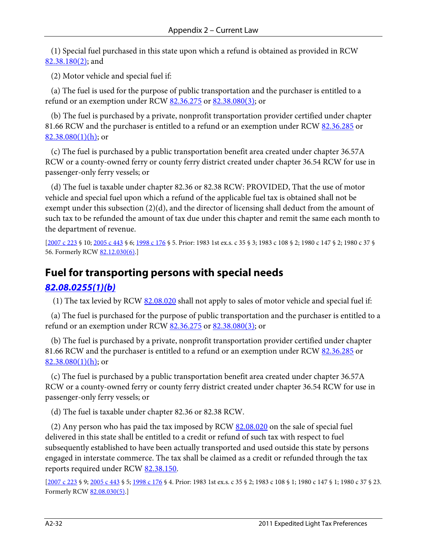(1) Special fuel purchased in this state upon which a refund is obtained as provided in RCW [82.38.180\(2\);](http://apps.leg.wa.gov/RCW/default.aspx?cite=82.38.180) and

(2) Motor vehicle and special fuel if:

 (a) The fuel is used for the purpose of public transportation and the purchaser is entitled to a refund or an exemption under RCW [82.36.275](http://apps.leg.wa.gov/RCW/default.aspx?cite=82.36.275) or [82.38.080\(3\);](http://apps.leg.wa.gov/RCW/default.aspx?cite=82.38.080) or

 (b) The fuel is purchased by a private, nonprofit transportation provider certified under chapter 81.66 RCW and the purchaser is entitled to a refund or an exemption under RCW [82.36.285](http://apps.leg.wa.gov/RCW/default.aspx?cite=82.36.285) or  $82.38.080(1)(h)$ ; or

 (c) The fuel is purchased by a public transportation benefit area created under chapter 36.57A RCW or a county-owned ferry or county ferry district created under chapter 36.54 RCW for use in passenger-only ferry vessels; or

 (d) The fuel is taxable under chapter 82.36 or 82.38 RCW: PROVIDED, That the use of motor vehicle and special fuel upon which a refund of the applicable fuel tax is obtained shall not be exempt under this subsection (2)(d), and the director of licensing shall deduct from the amount of such tax to be refunded the amount of tax due under this chapter and remit the same each month to the department of revenue.

[\[2007 c 223](http://apps.leg.wa.gov/billinfo/summary.aspx?bill=5862&year=2007) § 10; [2005 c 443](http://apps.leg.wa.gov/billinfo/summary.aspx?bill=1299&year=2005) § 6; [1998 c 176](http://apps.leg.wa.gov/billinfo/summary.aspx?bill=2659&year=1998) § 5. Prior: 1983 1st ex.s. c 35 § 3; 1983 c 108 § 2; 1980 c 147 § 2; 1980 c 37 § 56. Formerly RCW [82.12.030\(6\).\]](http://apps.leg.wa.gov/RCW/default.aspx?cite=82.12.030)

# **Fuel for transporting persons with special needs**

### *[82.08.0255\(1\)\(b\)](http://apps.leg.wa.gov/RCW/default.aspx?cite=82.08.0255)*

(1) The tax levied by RCW  $82.08.020$  shall not apply to sales of motor vehicle and special fuel if:

 (a) The fuel is purchased for the purpose of public transportation and the purchaser is entitled to a refund or an exemption under RCW [82.36.275](http://apps.leg.wa.gov/RCW/default.aspx?cite=82.36.275) or [82.38.080\(3\);](http://apps.leg.wa.gov/RCW/default.aspx?cite=82.38.080) or

 (b) The fuel is purchased by a private, nonprofit transportation provider certified under chapter 81.66 RCW and the purchaser is entitled to a refund or an exemption under RCW [82.36.285](http://apps.leg.wa.gov/RCW/default.aspx?cite=82.36.285) or  $82.38.080(1)(h)$ ; or

 (c) The fuel is purchased by a public transportation benefit area created under chapter 36.57A RCW or a county-owned ferry or county ferry district created under chapter 36.54 RCW for use in passenger-only ferry vessels; or

(d) The fuel is taxable under chapter 82.36 or 82.38 RCW.

(2) Any person who has paid the tax imposed by RCW [82.08.020](http://apps.leg.wa.gov/RCW/default.aspx?cite=82.08.020) on the sale of special fuel delivered in this state shall be entitled to a credit or refund of such tax with respect to fuel subsequently established to have been actually transported and used outside this state by persons engaged in interstate commerce. The tax shall be claimed as a credit or refunded through the tax reports required under RCW [82.38.150.](http://apps.leg.wa.gov/RCW/default.aspx?cite=82.38.150)

[\[2007 c 223](http://apps.leg.wa.gov/billinfo/summary.aspx?bill=5862&year=2007) § 9[; 2005 c 443](http://apps.leg.wa.gov/billinfo/summary.aspx?bill=1299&year=2005) § 5[; 1998 c 176](http://apps.leg.wa.gov/billinfo/summary.aspx?bill=2659&year=1998) § 4. Prior: 1983 1st ex.s. c 35 § 2; 1983 c 108 § 1; 1980 c 147 § 1; 1980 c 37 § 23. Formerly RCW [82.08.030\(5\).](http://apps.leg.wa.gov/RCW/default.aspx?cite=82.08.030)]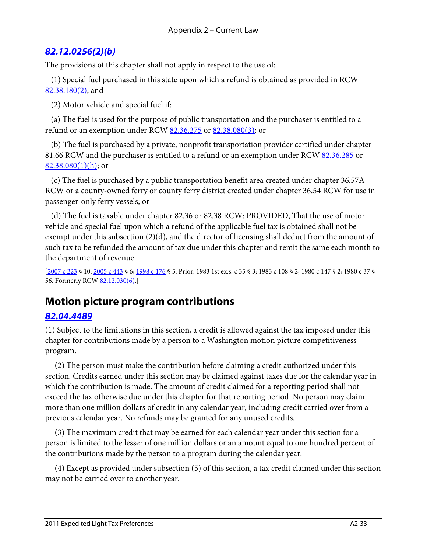#### *[82.12.0256\(2\)\(b\)](http://apps.leg.wa.gov/RCW/default.aspx?cite=82.12.0256)*

The provisions of this chapter shall not apply in respect to the use of:

 (1) Special fuel purchased in this state upon which a refund is obtained as provided in RCW [82.38.180\(2\);](http://apps.leg.wa.gov/RCW/default.aspx?cite=82.38.180) and

(2) Motor vehicle and special fuel if:

 (a) The fuel is used for the purpose of public transportation and the purchaser is entitled to a refund or an exemption under RCW [82.36.275](http://apps.leg.wa.gov/RCW/default.aspx?cite=82.36.275) or [82.38.080\(3\);](http://apps.leg.wa.gov/RCW/default.aspx?cite=82.38.080) or

 (b) The fuel is purchased by a private, nonprofit transportation provider certified under chapter 81.66 RCW and the purchaser is entitled to a refund or an exemption under RCW [82.36.285](http://apps.leg.wa.gov/RCW/default.aspx?cite=82.36.285) or  $82.38.080(1)(h)$ ; or

 (c) The fuel is purchased by a public transportation benefit area created under chapter 36.57A RCW or a county-owned ferry or county ferry district created under chapter 36.54 RCW for use in passenger-only ferry vessels; or

 (d) The fuel is taxable under chapter 82.36 or 82.38 RCW: PROVIDED, That the use of motor vehicle and special fuel upon which a refund of the applicable fuel tax is obtained shall not be exempt under this subsection (2)(d), and the director of licensing shall deduct from the amount of such tax to be refunded the amount of tax due under this chapter and remit the same each month to the department of revenue.

[\[2007 c 223](http://apps.leg.wa.gov/billinfo/summary.aspx?bill=5862&year=2007) § 10; [2005 c 443](http://apps.leg.wa.gov/billinfo/summary.aspx?bill=1299&year=2005) § 6; [1998 c 176](http://apps.leg.wa.gov/billinfo/summary.aspx?bill=2659&year=1998) § 5. Prior: 1983 1st ex.s. c 35 § 3; 1983 c 108 § 2; 1980 c 147 § 2; 1980 c 37 § 56. Formerly RCW [82.12.030\(6\).\]](http://apps.leg.wa.gov/RCW/default.aspx?cite=82.12.030)

## **Motion picture program contributions**

#### *[82.04.4489](http://apps.leg.wa.gov/RCW/default.aspx?cite=82.04.4489)*

(1) Subject to the limitations in this section, a credit is allowed against the tax imposed under this chapter for contributions made by a person to a Washington motion picture competitiveness program.

 (2) The person must make the contribution before claiming a credit authorized under this section. Credits earned under this section may be claimed against taxes due for the calendar year in which the contribution is made. The amount of credit claimed for a reporting period shall not exceed the tax otherwise due under this chapter for that reporting period. No person may claim more than one million dollars of credit in any calendar year, including credit carried over from a previous calendar year. No refunds may be granted for any unused credits.

 (3) The maximum credit that may be earned for each calendar year under this section for a person is limited to the lesser of one million dollars or an amount equal to one hundred percent of the contributions made by the person to a program during the calendar year.

 (4) Except as provided under subsection (5) of this section, a tax credit claimed under this section may not be carried over to another year.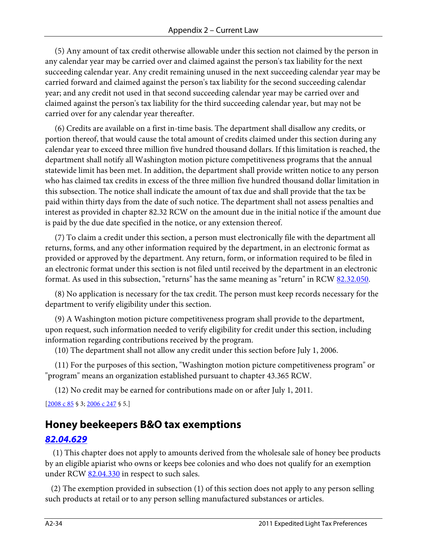(5) Any amount of tax credit otherwise allowable under this section not claimed by the person in any calendar year may be carried over and claimed against the person's tax liability for the next succeeding calendar year. Any credit remaining unused in the next succeeding calendar year may be carried forward and claimed against the person's tax liability for the second succeeding calendar year; and any credit not used in that second succeeding calendar year may be carried over and claimed against the person's tax liability for the third succeeding calendar year, but may not be carried over for any calendar year thereafter.

 (6) Credits are available on a first in-time basis. The department shall disallow any credits, or portion thereof, that would cause the total amount of credits claimed under this section during any calendar year to exceed three million five hundred thousand dollars. If this limitation is reached, the department shall notify all Washington motion picture competitiveness programs that the annual statewide limit has been met. In addition, the department shall provide written notice to any person who has claimed tax credits in excess of the three million five hundred thousand dollar limitation in this subsection. The notice shall indicate the amount of tax due and shall provide that the tax be paid within thirty days from the date of such notice. The department shall not assess penalties and interest as provided in chapter 82.32 RCW on the amount due in the initial notice if the amount due is paid by the due date specified in the notice, or any extension thereof.

 (7) To claim a credit under this section, a person must electronically file with the department all returns, forms, and any other information required by the department, in an electronic format as provided or approved by the department. Any return, form, or information required to be filed in an electronic format under this section is not filed until received by the department in an electronic format. As used in this subsection, "returns" has the same meaning as "return" in RCW [82.32.050.](http://apps.leg.wa.gov/RCW/default.aspx?cite=82.32.050)

 (8) No application is necessary for the tax credit. The person must keep records necessary for the department to verify eligibility under this section.

 (9) A Washington motion picture competitiveness program shall provide to the department, upon request, such information needed to verify eligibility for credit under this section, including information regarding contributions received by the program.

(10) The department shall not allow any credit under this section before July 1, 2006.

 (11) For the purposes of this section, "Washington motion picture competitiveness program" or "program" means an organization established pursuant to chapter 43.365 RCW.

(12) No credit may be earned for contributions made on or after July 1, 2011.

[\[2008 c 85](http://apps.leg.wa.gov/billinfo/summary.aspx?bill=6423&year=2008) § 3[; 2006 c 247](http://apps.leg.wa.gov/billinfo/summary.aspx?bill=6558&year=2006) § 5.]

## **Honey beekeepers B&O tax exemptions**

#### *[82.04.629](http://apps.leg.wa.gov/RCW/default.aspx?cite=82.04.629)*

 (1) This chapter does not apply to amounts derived from the wholesale sale of honey bee products by an eligible apiarist who owns or keeps bee colonies and who does not qualify for an exemption under RCW [82.04.330](http://apps.leg.wa.gov/RCW/default.aspx?cite=82.04.330) in respect to such sales.

 (2) The exemption provided in subsection (1) of this section does not apply to any person selling such products at retail or to any person selling manufactured substances or articles.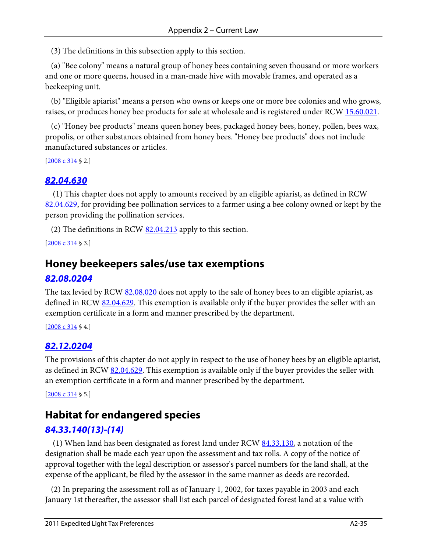(3) The definitions in this subsection apply to this section.

 (a) "Bee colony" means a natural group of honey bees containing seven thousand or more workers and one or more queens, housed in a man-made hive with movable frames, and operated as a beekeeping unit.

 (b) "Eligible apiarist" means a person who owns or keeps one or more bee colonies and who grows, raises, or produces honey bee products for sale at wholesale and is registered under RCW [15.60.021.](http://apps.leg.wa.gov/RCW/default.aspx?cite=15.60.021)

 (c) "Honey bee products" means queen honey bees, packaged honey bees, honey, pollen, bees wax, propolis, or other substances obtained from honey bees. "Honey bee products" does not include manufactured substances or articles.

[\[2008 c 314](http://apps.leg.wa.gov/billinfo/summary.aspx?bill=6468&year=2008) § 2.]

#### *[82.04.630](http://apps.leg.wa.gov/RCW/default.aspx?cite=82.04.630)*

 (1) This chapter does not apply to amounts received by an eligible apiarist, as defined in RCW [82.04.629,](http://apps.leg.wa.gov/RCW/default.aspx?cite=82.04.629) for providing bee pollination services to a farmer using a bee colony owned or kept by the person providing the pollination services.

(2) The definitions in RCW  $82.04.213$  apply to this section.

 $[2008 \text{ c } 314 \text{ } \text{\$ } 3.]$ 

### **Honey beekeepers sales/use tax exemptions**

#### *[82.08.0204](http://apps.leg.wa.gov/RCW/default.aspx?cite=82.08.0204)*

The tax levied by RCW [82.08.020](http://apps.leg.wa.gov/RCW/default.aspx?cite=82.08.020) does not apply to the sale of honey bees to an eligible apiarist, as defined in RCW [82.04.629.](http://apps.leg.wa.gov/RCW/default.aspx?cite=82.04.629) This exemption is available only if the buyer provides the seller with an exemption certificate in a form and manner prescribed by the department.

 $[2008 \text{ c } 314 \text{ § } 4.]$ 

#### *[82.12.0204](http://apps.leg.wa.gov/RCW/default.aspx?cite=82.12.0204)*

The provisions of this chapter do not apply in respect to the use of honey bees by an eligible apiarist, as defined in RCW [82.04.629.](http://apps.leg.wa.gov/RCW/default.aspx?cite=82.04.629) This exemption is available only if the buyer provides the seller with an exemption certificate in a form and manner prescribed by the department.

[\[2008 c 314](http://apps.leg.wa.gov/billinfo/summary.aspx?bill=6468&year=2008) § 5.]

## **Habitat for endangered species**

#### *[84.33.140\(13\)-\(14\)](http://apps.leg.wa.gov/RCW/default.aspx?cite=84.33.140)*

 (1) When land has been designated as forest land under RCW [84.33.130,](http://apps.leg.wa.gov/RCW/default.aspx?cite=84.33.130) a notation of the designation shall be made each year upon the assessment and tax rolls. A copy of the notice of approval together with the legal description or assessor's parcel numbers for the land shall, at the expense of the applicant, be filed by the assessor in the same manner as deeds are recorded.

 (2) In preparing the assessment roll as of January 1, 2002, for taxes payable in 2003 and each January 1st thereafter, the assessor shall list each parcel of designated forest land at a value with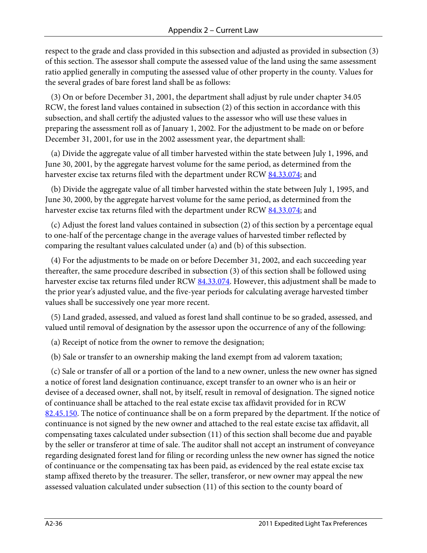respect to the grade and class provided in this subsection and adjusted as provided in subsection (3) of this section. The assessor shall compute the assessed value of the land using the same assessment ratio applied generally in computing the assessed value of other property in the county. Values for the several grades of bare forest land shall be as follows:

 (3) On or before December 31, 2001, the department shall adjust by rule under chapter 34.05 RCW, the forest land values contained in subsection (2) of this section in accordance with this subsection, and shall certify the adjusted values to the assessor who will use these values in preparing the assessment roll as of January 1, 2002. For the adjustment to be made on or before December 31, 2001, for use in the 2002 assessment year, the department shall:

 (a) Divide the aggregate value of all timber harvested within the state between July 1, 1996, and June 30, 2001, by the aggregate harvest volume for the same period, as determined from the harvester excise tax returns filed with the department under RC[W 84.33.074;](http://apps.leg.wa.gov/RCW/default.aspx?cite=84.33.074) and

 (b) Divide the aggregate value of all timber harvested within the state between July 1, 1995, and June 30, 2000, by the aggregate harvest volume for the same period, as determined from the harvester excise tax returns filed with the department under RC[W 84.33.074;](http://apps.leg.wa.gov/RCW/default.aspx?cite=84.33.074) and

 (c) Adjust the forest land values contained in subsection (2) of this section by a percentage equal to one-half of the percentage change in the average values of harvested timber reflected by comparing the resultant values calculated under (a) and (b) of this subsection.

 (4) For the adjustments to be made on or before December 31, 2002, and each succeeding year thereafter, the same procedure described in subsection (3) of this section shall be followed using harvester excise tax returns filed under RCW [84.33.074.](http://apps.leg.wa.gov/RCW/default.aspx?cite=84.33.074) However, this adjustment shall be made to the prior year's adjusted value, and the five-year periods for calculating average harvested timber values shall be successively one year more recent.

 (5) Land graded, assessed, and valued as forest land shall continue to be so graded, assessed, and valued until removal of designation by the assessor upon the occurrence of any of the following:

(a) Receipt of notice from the owner to remove the designation;

(b) Sale or transfer to an ownership making the land exempt from ad valorem taxation;

 (c) Sale or transfer of all or a portion of the land to a new owner, unless the new owner has signed a notice of forest land designation continuance, except transfer to an owner who is an heir or devisee of a deceased owner, shall not, by itself, result in removal of designation. The signed notice of continuance shall be attached to the real estate excise tax affidavit provided for in RCW [82.45.150.](http://apps.leg.wa.gov/RCW/default.aspx?cite=82.45.150) The notice of continuance shall be on a form prepared by the department. If the notice of continuance is not signed by the new owner and attached to the real estate excise tax affidavit, all compensating taxes calculated under subsection (11) of this section shall become due and payable by the seller or transferor at time of sale. The auditor shall not accept an instrument of conveyance regarding designated forest land for filing or recording unless the new owner has signed the notice of continuance or the compensating tax has been paid, as evidenced by the real estate excise tax stamp affixed thereto by the treasurer. The seller, transferor, or new owner may appeal the new assessed valuation calculated under subsection (11) of this section to the county board of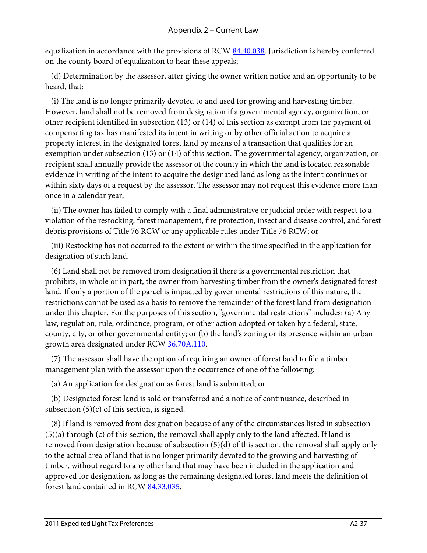equalization in accordance with the provisions of RCW [84.40.038.](http://apps.leg.wa.gov/RCW/default.aspx?cite=84.40.038) Jurisdiction is hereby conferred on the county board of equalization to hear these appeals;

 (d) Determination by the assessor, after giving the owner written notice and an opportunity to be heard, that:

 (i) The land is no longer primarily devoted to and used for growing and harvesting timber. However, land shall not be removed from designation if a governmental agency, organization, or other recipient identified in subsection (13) or (14) of this section as exempt from the payment of compensating tax has manifested its intent in writing or by other official action to acquire a property interest in the designated forest land by means of a transaction that qualifies for an exemption under subsection (13) or (14) of this section. The governmental agency, organization, or recipient shall annually provide the assessor of the county in which the land is located reasonable evidence in writing of the intent to acquire the designated land as long as the intent continues or within sixty days of a request by the assessor. The assessor may not request this evidence more than once in a calendar year;

 (ii) The owner has failed to comply with a final administrative or judicial order with respect to a violation of the restocking, forest management, fire protection, insect and disease control, and forest debris provisions of Title 76 RCW or any applicable rules under Title 76 RCW; or

 (iii) Restocking has not occurred to the extent or within the time specified in the application for designation of such land.

 (6) Land shall not be removed from designation if there is a governmental restriction that prohibits, in whole or in part, the owner from harvesting timber from the owner's designated forest land. If only a portion of the parcel is impacted by governmental restrictions of this nature, the restrictions cannot be used as a basis to remove the remainder of the forest land from designation under this chapter. For the purposes of this section, "governmental restrictions" includes: (a) Any law, regulation, rule, ordinance, program, or other action adopted or taken by a federal, state, county, city, or other governmental entity; or (b) the land's zoning or its presence within an urban growth area designated under RCW [36.70A.110.](http://apps.leg.wa.gov/RCW/default.aspx?cite=36.70A.110)

 (7) The assessor shall have the option of requiring an owner of forest land to file a timber management plan with the assessor upon the occurrence of one of the following:

(a) An application for designation as forest land is submitted; or

 (b) Designated forest land is sold or transferred and a notice of continuance, described in subsection  $(5)(c)$  of this section, is signed.

 (8) If land is removed from designation because of any of the circumstances listed in subsection (5)(a) through (c) of this section, the removal shall apply only to the land affected. If land is removed from designation because of subsection (5)(d) of this section, the removal shall apply only to the actual area of land that is no longer primarily devoted to the growing and harvesting of timber, without regard to any other land that may have been included in the application and approved for designation, as long as the remaining designated forest land meets the definition of forest land contained in RC[W 84.33.035.](http://apps.leg.wa.gov/RCW/default.aspx?cite=84.33.035)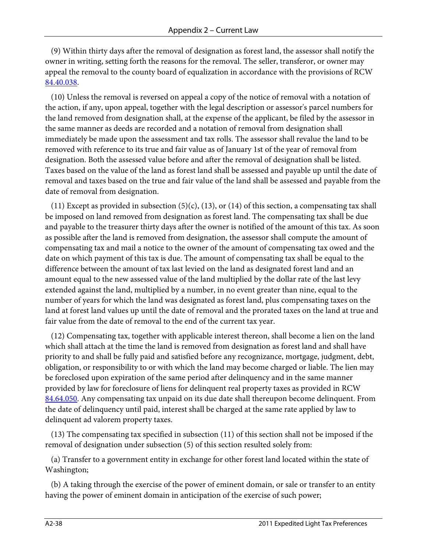(9) Within thirty days after the removal of designation as forest land, the assessor shall notify the owner in writing, setting forth the reasons for the removal. The seller, transferor, or owner may appeal the removal to the county board of equalization in accordance with the provisions of RCW [84.40.038.](http://apps.leg.wa.gov/RCW/default.aspx?cite=84.40.038)

 (10) Unless the removal is reversed on appeal a copy of the notice of removal with a notation of the action, if any, upon appeal, together with the legal description or assessor's parcel numbers for the land removed from designation shall, at the expense of the applicant, be filed by the assessor in the same manner as deeds are recorded and a notation of removal from designation shall immediately be made upon the assessment and tax rolls. The assessor shall revalue the land to be removed with reference to its true and fair value as of January 1st of the year of removal from designation. Both the assessed value before and after the removal of designation shall be listed. Taxes based on the value of the land as forest land shall be assessed and payable up until the date of removal and taxes based on the true and fair value of the land shall be assessed and payable from the date of removal from designation.

(11) Except as provided in subsection (5)(c), (13), or (14) of this section, a compensating tax shall be imposed on land removed from designation as forest land. The compensating tax shall be due and payable to the treasurer thirty days after the owner is notified of the amount of this tax. As soon as possible after the land is removed from designation, the assessor shall compute the amount of compensating tax and mail a notice to the owner of the amount of compensating tax owed and the date on which payment of this tax is due. The amount of compensating tax shall be equal to the difference between the amount of tax last levied on the land as designated forest land and an amount equal to the new assessed value of the land multiplied by the dollar rate of the last levy extended against the land, multiplied by a number, in no event greater than nine, equal to the number of years for which the land was designated as forest land, plus compensating taxes on the land at forest land values up until the date of removal and the prorated taxes on the land at true and fair value from the date of removal to the end of the current tax year.

 (12) Compensating tax, together with applicable interest thereon, shall become a lien on the land which shall attach at the time the land is removed from designation as forest land and shall have priority to and shall be fully paid and satisfied before any recognizance, mortgage, judgment, debt, obligation, or responsibility to or with which the land may become charged or liable. The lien may be foreclosed upon expiration of the same period after delinquency and in the same manner provided by law for foreclosure of liens for delinquent real property taxes as provided in RCW [84.64.050.](http://apps.leg.wa.gov/RCW/default.aspx?cite=84.64.050) Any compensating tax unpaid on its due date shall thereupon become delinquent. From the date of delinquency until paid, interest shall be charged at the same rate applied by law to delinquent ad valorem property taxes.

 (13) The compensating tax specified in subsection (11) of this section shall not be imposed if the removal of designation under subsection (5) of this section resulted solely from:

 (a) Transfer to a government entity in exchange for other forest land located within the state of Washington;

 (b) A taking through the exercise of the power of eminent domain, or sale or transfer to an entity having the power of eminent domain in anticipation of the exercise of such power;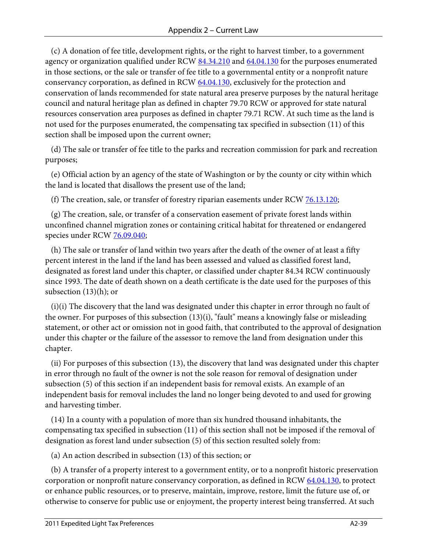(c) A donation of fee title, development rights, or the right to harvest timber, to a government agency or organization qualified under RCW [84.34.210](http://apps.leg.wa.gov/RCW/default.aspx?cite=84.34.210) and [64.04.130](http://apps.leg.wa.gov/RCW/default.aspx?cite=64.04.130) for the purposes enumerated in those sections, or the sale or transfer of fee title to a governmental entity or a nonprofit nature conservancy corporation, as defined in RC[W 64.04.130,](http://apps.leg.wa.gov/RCW/default.aspx?cite=64.04.130) exclusively for the protection and conservation of lands recommended for state natural area preserve purposes by the natural heritage council and natural heritage plan as defined in chapter 79.70 RCW or approved for state natural resources conservation area purposes as defined in chapter 79.71 RCW. At such time as the land is not used for the purposes enumerated, the compensating tax specified in subsection (11) of this section shall be imposed upon the current owner;

 (d) The sale or transfer of fee title to the parks and recreation commission for park and recreation purposes;

 (e) Official action by an agency of the state of Washington or by the county or city within which the land is located that disallows the present use of the land;

(f) The creation, sale, or transfer of forestry riparian easements under RCW [76.13.120;](http://apps.leg.wa.gov/RCW/default.aspx?cite=76.13.120)

 (g) The creation, sale, or transfer of a conservation easement of private forest lands within unconfined channel migration zones or containing critical habitat for threatened or endangered species under RCW [76.09.040;](http://apps.leg.wa.gov/RCW/default.aspx?cite=76.09.040)

 (h) The sale or transfer of land within two years after the death of the owner of at least a fifty percent interest in the land if the land has been assessed and valued as classified forest land, designated as forest land under this chapter, or classified under chapter 84.34 RCW continuously since 1993. The date of death shown on a death certificate is the date used for the purposes of this subsection (13)(h); or

 (i)(i) The discovery that the land was designated under this chapter in error through no fault of the owner. For purposes of this subsection (13)(i), "fault" means a knowingly false or misleading statement, or other act or omission not in good faith, that contributed to the approval of designation under this chapter or the failure of the assessor to remove the land from designation under this chapter.

 (ii) For purposes of this subsection (13), the discovery that land was designated under this chapter in error through no fault of the owner is not the sole reason for removal of designation under subsection (5) of this section if an independent basis for removal exists. An example of an independent basis for removal includes the land no longer being devoted to and used for growing and harvesting timber.

 (14) In a county with a population of more than six hundred thousand inhabitants, the compensating tax specified in subsection (11) of this section shall not be imposed if the removal of designation as forest land under subsection (5) of this section resulted solely from:

(a) An action described in subsection (13) of this section; or

 (b) A transfer of a property interest to a government entity, or to a nonprofit historic preservation corporation or nonprofit nature conservancy corporation, as defined in RCW [64.04.130,](http://apps.leg.wa.gov/RCW/default.aspx?cite=64.04.130) to protect or enhance public resources, or to preserve, maintain, improve, restore, limit the future use of, or otherwise to conserve for public use or enjoyment, the property interest being transferred. At such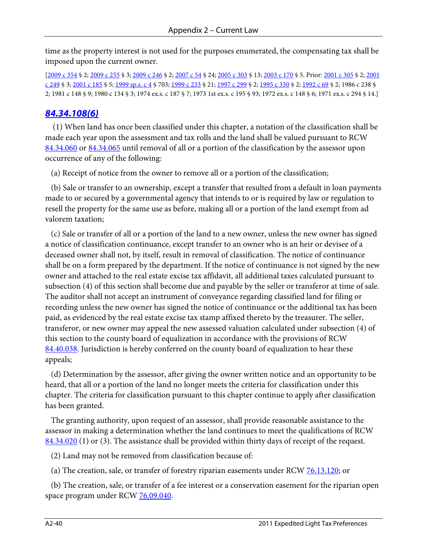time as the property interest is not used for the purposes enumerated, the compensating tax shall be imposed upon the current owner.

[\[2009 c 354](http://apps.leg.wa.gov/billinfo/summary.aspx?bill=1484&year=2009) § 2[; 2009 c 255](http://apps.leg.wa.gov/billinfo/summary.aspx?bill=1733&year=2009) § 3[; 2009 c 246](http://apps.leg.wa.gov/billinfo/summary.aspx?bill=5401&year=2009) § 2[; 2007 c 54](http://apps.leg.wa.gov/billinfo/summary.aspx?bill=1381&year=2007) § 24[; 2005 c 303](http://apps.leg.wa.gov/billinfo/summary.aspx?bill=5396&year=2005) § 13; [2003 c 170](http://apps.leg.wa.gov/billinfo/summary.aspx?bill=1075&year=2003) § 5. Prior[: 2001 c 305](http://apps.leg.wa.gov/billinfo/summary.aspx?bill=1450&year=2001) § 2[; 2001](http://apps.leg.wa.gov/billinfo/summary.aspx?bill=5702&year=2001)  [c 249](http://apps.leg.wa.gov/billinfo/summary.aspx?bill=5702&year=2001) § 3[; 2001 c 185](http://apps.leg.wa.gov/billinfo/summary.aspx?bill=1202&year=2001) § 5[; 1999 sp.s. c 4](http://apps.leg.wa.gov/billinfo/summary.aspx?bill=2091&year=1999) § 703; [1999 c 233](http://apps.leg.wa.gov/billinfo/summary.aspx?bill=1647&year=1999) § 21[; 1997 c 299](http://apps.leg.wa.gov/billinfo/summary.aspx?bill=5230&year=1997) § 2[; 1995 c 330](http://apps.leg.wa.gov/billinfo/summary.aspx?bill=1700&year=1995) § 2[; 1992 c 69](http://apps.leg.wa.gov/billinfo/summary.aspx?bill=2928&year=1992) § 2; 1986 c 238 § 2; 1981 c 148 § 9; 1980 c 134 § 3; 1974 ex.s. c 187 § 7; 1973 1st ex.s. c 195 § 93; 1972 ex.s. c 148 § 6; 1971 ex.s. c 294 § 14.]

#### *[84.34.108\(6\)](http://apps.leg.wa.gov/RCW/default.aspx?cite=84.34.108)*

 (1) When land has once been classified under this chapter, a notation of the classification shall be made each year upon the assessment and tax rolls and the land shall be valued pursuant to RCW [84.34.060](http://apps.leg.wa.gov/RCW/default.aspx?cite=84.34.060) or [84.34.065](http://apps.leg.wa.gov/RCW/default.aspx?cite=84.34.065) until removal of all or a portion of the classification by the assessor upon occurrence of any of the following:

(a) Receipt of notice from the owner to remove all or a portion of the classification;

 (b) Sale or transfer to an ownership, except a transfer that resulted from a default in loan payments made to or secured by a governmental agency that intends to or is required by law or regulation to resell the property for the same use as before, making all or a portion of the land exempt from ad valorem taxation;

 (c) Sale or transfer of all or a portion of the land to a new owner, unless the new owner has signed a notice of classification continuance, except transfer to an owner who is an heir or devisee of a deceased owner shall not, by itself, result in removal of classification. The notice of continuance shall be on a form prepared by the department. If the notice of continuance is not signed by the new owner and attached to the real estate excise tax affidavit, all additional taxes calculated pursuant to subsection (4) of this section shall become due and payable by the seller or transferor at time of sale. The auditor shall not accept an instrument of conveyance regarding classified land for filing or recording unless the new owner has signed the notice of continuance or the additional tax has been paid, as evidenced by the real estate excise tax stamp affixed thereto by the treasurer. The seller, transferor, or new owner may appeal the new assessed valuation calculated under subsection (4) of this section to the county board of equalization in accordance with the provisions of RCW [84.40.038.](http://apps.leg.wa.gov/RCW/default.aspx?cite=84.40.038) Jurisdiction is hereby conferred on the county board of equalization to hear these appeals;

 (d) Determination by the assessor, after giving the owner written notice and an opportunity to be heard, that all or a portion of the land no longer meets the criteria for classification under this chapter. The criteria for classification pursuant to this chapter continue to apply after classification has been granted.

 The granting authority, upon request of an assessor, shall provide reasonable assistance to the assessor in making a determination whether the land continues to meet the qualifications of RCW  $84.34.020$  (1) or (3). The assistance shall be provided within thirty days of receipt of the request.

(2) Land may not be removed from classification because of:

(a) The creation, sale, or transfer of forestry riparian easements under RCW [76.13.120;](http://apps.leg.wa.gov/RCW/default.aspx?cite=76.13.120) or

 (b) The creation, sale, or transfer of a fee interest or a conservation easement for the riparian open space program under RCW <u>76.09.040</u>.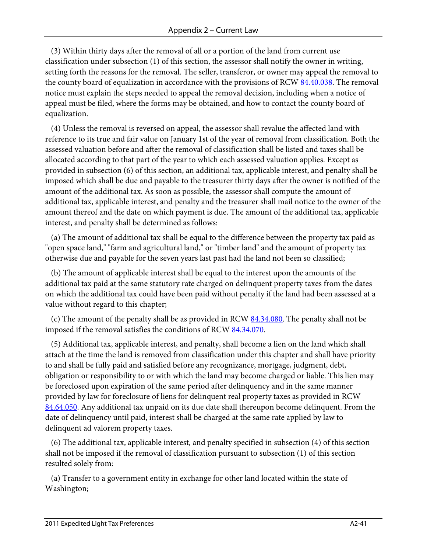(3) Within thirty days after the removal of all or a portion of the land from current use classification under subsection (1) of this section, the assessor shall notify the owner in writing, setting forth the reasons for the removal. The seller, transferor, or owner may appeal the removal to the county board of equalization in accordance with the provisions of RCW [84.40.038.](http://apps.leg.wa.gov/RCW/default.aspx?cite=84.40.038) The removal notice must explain the steps needed to appeal the removal decision, including when a notice of appeal must be filed, where the forms may be obtained, and how to contact the county board of equalization.

 (4) Unless the removal is reversed on appeal, the assessor shall revalue the affected land with reference to its true and fair value on January 1st of the year of removal from classification. Both the assessed valuation before and after the removal of classification shall be listed and taxes shall be allocated according to that part of the year to which each assessed valuation applies. Except as provided in subsection (6) of this section, an additional tax, applicable interest, and penalty shall be imposed which shall be due and payable to the treasurer thirty days after the owner is notified of the amount of the additional tax. As soon as possible, the assessor shall compute the amount of additional tax, applicable interest, and penalty and the treasurer shall mail notice to the owner of the amount thereof and the date on which payment is due. The amount of the additional tax, applicable interest, and penalty shall be determined as follows:

 (a) The amount of additional tax shall be equal to the difference between the property tax paid as "open space land," "farm and agricultural land," or "timber land" and the amount of property tax otherwise due and payable for the seven years last past had the land not been so classified;

 (b) The amount of applicable interest shall be equal to the interest upon the amounts of the additional tax paid at the same statutory rate charged on delinquent property taxes from the dates on which the additional tax could have been paid without penalty if the land had been assessed at a value without regard to this chapter;

(c) The amount of the penalty shall be as provided in RCW  $84.34.080$ . The penalty shall not be imposed if the removal satisfies the conditions of RCW [84.34.070.](http://apps.leg.wa.gov/RCW/default.aspx?cite=84.34.070)

 (5) Additional tax, applicable interest, and penalty, shall become a lien on the land which shall attach at the time the land is removed from classification under this chapter and shall have priority to and shall be fully paid and satisfied before any recognizance, mortgage, judgment, debt, obligation or responsibility to or with which the land may become charged or liable. This lien may be foreclosed upon expiration of the same period after delinquency and in the same manner provided by law for foreclosure of liens for delinquent real property taxes as provided in RCW [84.64.050.](http://apps.leg.wa.gov/RCW/default.aspx?cite=84.64.050) Any additional tax unpaid on its due date shall thereupon become delinquent. From the date of delinquency until paid, interest shall be charged at the same rate applied by law to delinquent ad valorem property taxes.

 (6) The additional tax, applicable interest, and penalty specified in subsection (4) of this section shall not be imposed if the removal of classification pursuant to subsection (1) of this section resulted solely from:

 (a) Transfer to a government entity in exchange for other land located within the state of Washington;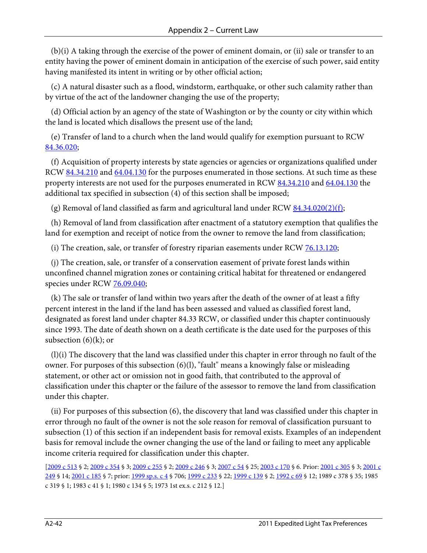(b)(i) A taking through the exercise of the power of eminent domain, or (ii) sale or transfer to an entity having the power of eminent domain in anticipation of the exercise of such power, said entity having manifested its intent in writing or by other official action;

 (c) A natural disaster such as a flood, windstorm, earthquake, or other such calamity rather than by virtue of the act of the landowner changing the use of the property;

 (d) Official action by an agency of the state of Washington or by the county or city within which the land is located which disallows the present use of the land;

 (e) Transfer of land to a church when the land would qualify for exemption pursuant to RCW [84.36.020;](http://apps.leg.wa.gov/RCW/default.aspx?cite=84.36.020)

 (f) Acquisition of property interests by state agencies or agencies or organizations qualified under RCW [84.34.210](http://apps.leg.wa.gov/RCW/default.aspx?cite=84.34.210) and [64.04.130](http://apps.leg.wa.gov/RCW/default.aspx?cite=64.04.130) for the purposes enumerated in those sections. At such time as these property interests are not used for the purposes enumerated in RCW [84.34.210](http://apps.leg.wa.gov/RCW/default.aspx?cite=84.34.210) and [64.04.130](http://apps.leg.wa.gov/RCW/default.aspx?cite=64.04.130) the additional tax specified in subsection (4) of this section shall be imposed;

(g) Removal of land classified as farm and agricultural land under RCW  $84.34.020(2)(f)$ ;

 (h) Removal of land from classification after enactment of a statutory exemption that qualifies the land for exemption and receipt of notice from the owner to remove the land from classification;

(i) The creation, sale, or transfer of forestry riparian easements under RCW  $76.13.120$ ;

 (j) The creation, sale, or transfer of a conservation easement of private forest lands within unconfined channel migration zones or containing critical habitat for threatened or endangered species under RCW [76.09.040;](http://apps.leg.wa.gov/RCW/default.aspx?cite=76.09.040)

 (k) The sale or transfer of land within two years after the death of the owner of at least a fifty percent interest in the land if the land has been assessed and valued as classified forest land, designated as forest land under chapter 84.33 RCW, or classified under this chapter continuously since 1993. The date of death shown on a death certificate is the date used for the purposes of this subsection  $(6)(k)$ ; or

 (l)(i) The discovery that the land was classified under this chapter in error through no fault of the owner. For purposes of this subsection (6)(l), "fault" means a knowingly false or misleading statement, or other act or omission not in good faith, that contributed to the approval of classification under this chapter or the failure of the assessor to remove the land from classification under this chapter.

 (ii) For purposes of this subsection (6), the discovery that land was classified under this chapter in error through no fault of the owner is not the sole reason for removal of classification pursuant to subsection (1) of this section if an independent basis for removal exists. Examples of an independent basis for removal include the owner changing the use of the land or failing to meet any applicable income criteria required for classification under this chapter.

[\[2009 c 513](http://apps.leg.wa.gov/billinfo/summary.aspx?bill=1815&year=2009) § 2[; 2009 c 354](http://apps.leg.wa.gov/billinfo/summary.aspx?bill=1484&year=2009) § 3[; 2009 c 255](http://apps.leg.wa.gov/billinfo/summary.aspx?bill=1733&year=2009) § 2[; 2009 c 246](http://apps.leg.wa.gov/billinfo/summary.aspx?bill=5401&year=2009) § 3[; 2007 c 54](http://apps.leg.wa.gov/billinfo/summary.aspx?bill=1381&year=2007) § 25[; 2003 c 170](http://apps.leg.wa.gov/billinfo/summary.aspx?bill=1075&year=2003) § 6. Prior: [2001 c 305](http://apps.leg.wa.gov/billinfo/summary.aspx?bill=1450&year=2001) § 3; [2001 c](http://apps.leg.wa.gov/billinfo/summary.aspx?bill=5702&year=2001)  [249](http://apps.leg.wa.gov/billinfo/summary.aspx?bill=5702&year=2001) § 14[; 2001 c 185](http://apps.leg.wa.gov/billinfo/summary.aspx?bill=1202&year=2001) § 7; prior[: 1999 sp.s. c 4](http://apps.leg.wa.gov/billinfo/summary.aspx?bill=2091&year=1999) § 706; [1999 c 233](http://apps.leg.wa.gov/billinfo/summary.aspx?bill=1647&year=1999) § 22; [1999 c 139](http://apps.leg.wa.gov/billinfo/summary.aspx?bill=5021&year=1999) § 2; [1992 c 69](http://apps.leg.wa.gov/billinfo/summary.aspx?bill=2928&year=1992) § 12; 1989 c 378 § 35; 1985 c 319 § 1; 1983 c 41 § 1; 1980 c 134 § 5; 1973 1st ex.s. c 212 § 12.]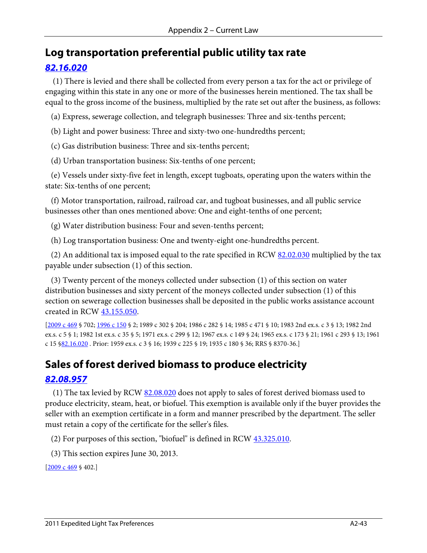### **Log transportation preferential public utility tax rate**

#### *[82.16.020](http://apps.leg.wa.gov/RCW/default.aspx?cite=82.16.020)*

 (1) There is levied and there shall be collected from every person a tax for the act or privilege of engaging within this state in any one or more of the businesses herein mentioned. The tax shall be equal to the gross income of the business, multiplied by the rate set out after the business, as follows:

(a) Express, sewerage collection, and telegraph businesses: Three and six-tenths percent;

(b) Light and power business: Three and sixty-two one-hundredths percent;

(c) Gas distribution business: Three and six-tenths percent;

(d) Urban transportation business: Six-tenths of one percent;

 (e) Vessels under sixty-five feet in length, except tugboats, operating upon the waters within the state: Six-tenths of one percent;

 (f) Motor transportation, railroad, railroad car, and tugboat businesses, and all public service businesses other than ones mentioned above: One and eight-tenths of one percent;

(g) Water distribution business: Four and seven-tenths percent;

(h) Log transportation business: One and twenty-eight one-hundredths percent.

(2) An additional tax is imposed equal to the rate specified in RCW  $82.02.030$  multiplied by the tax payable under subsection (1) of this section.

 (3) Twenty percent of the moneys collected under subsection (1) of this section on water distribution businesses and sixty percent of the moneys collected under subsection (1) of this section on sewerage collection businesses shall be deposited in the public works assistance account created in RCW [43.155.050.](http://apps.leg.wa.gov/RCW/default.aspx?cite=43.155.050)

[\[2009 c 469](http://apps.leg.wa.gov/billinfo/summary.aspx?bill=6170&year=2009) § 702; [1996 c 150](http://apps.leg.wa.gov/billinfo/summary.aspx?bill=2593&year=1996) § 2; 1989 c 302 § 204; 1986 c 282 § 14; 1985 c 471 § 10; 1983 2nd ex.s. c 3 § 13; 1982 2nd ex.s. c 5 § 1; 1982 1st ex.s. c 35 § 5; 1971 ex.s. c 299 § 12; 1967 ex.s. c 149 § 24; 1965 ex.s. c 173 § 21; 1961 c 293 § 13; 1961 c 15 [§82.16.020](http://apps.leg.wa.gov/RCW/default.aspx?cite=82.16.020) . Prior: 1959 ex.s. c 3 § 16; 1939 c 225 § 19; 1935 c 180 § 36; RRS § 8370-36.]

## **Sales of forest derived biomass to produce electricity**

#### *[82.08.957](http://apps.leg.wa.gov/RCW/default.aspx?cite=82.08.957)*

 (1) The tax levied by RC[W 82.08.020](http://apps.leg.wa.gov/RCW/default.aspx?cite=82.08.020) does not apply to sales of forest derived biomass used to produce electricity, steam, heat, or biofuel. This exemption is available only if the buyer provides the seller with an exemption certificate in a form and manner prescribed by the department. The seller must retain a copy of the certificate for the seller's files.

(2) For purposes of this section, "biofuel" is defined in RCW [43.325.010.](http://apps.leg.wa.gov/RCW/default.aspx?cite=43.325.010)

(3) This section expires June 30, 2013.

 $[2009 \text{ c } 469 \text{ § } 402.]$